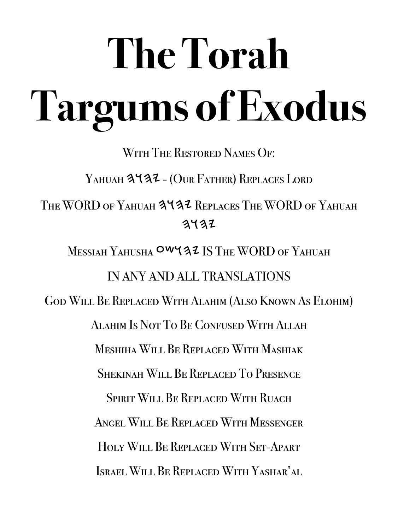# **The Torah Targums of Exodus**

WITH THE RESTORED NAMES OF:

YAHUAH 3432 - (OUR FATHER) REPLACES LORD

THE WORD OF YAHUAH 3437 REPLACES THE WORD OF YAHUAH  $3432$ 

MESSIAH YAHUSHA OWYAZ IS THE WORD OF YAHUAH IN ANY AND ALL TRANSLATIONS God Will Be Replaced With Alahim (Also Known As Elohim)

Alahim Is Not To Be Confused With Allah

Meshiha Will Be Replaced With Mashiak

Shekinah Will Be Replaced To Presence

SPIRIT WILL BE REPLACED WITH RUACH

Angel Will Be Replaced With Messenger

Holy Will Be Replaced With Set-Apart

Israel Will Be Replaced With Yashar'al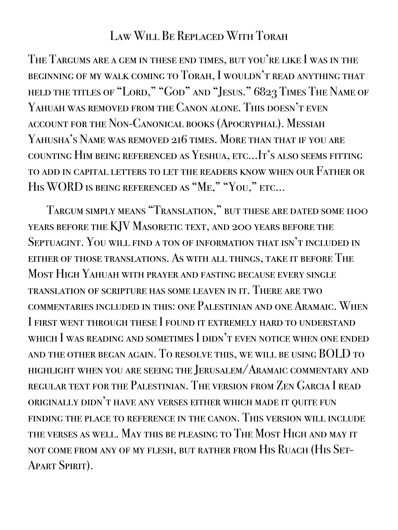### Law Will Be Replaced With Torah

The Targums are a gem in these end times, but you're like I was in the beginning of my walk coming to Torah, I wouldn't read anything that held the titles of "Lord," "God" and "Jesus." 6823 Times The Name of Yahuah was removed from the Canon alone. This doesn't even account for the Non-Canonical books (Apocryphal). Messiah Yahusha's Name was removed 216 times. More than that if you are counting Him being referenced as Yeshua, etc…It's also seems fitting to add in capital letters to let the readers know when our Father or HIS WORD IS BEING REFERENCED AS "ME," "YOU," ETC...

Targum simply means "Translation," but these are dated some 1100 years before the KJV Masoretic text, and 200 years before the Septuagint. You will find a ton of information that isn't included in either of those translations. As with all things, take it before The Most High Yahuah with prayer and fasting because every single translation of scripture has some leaven in it. There are two commentaries included in this: one Palestinian and one Aramaic. When I first went through these I found it extremely hard to understand which I was reading and sometimes I didn't even notice when one ended and the other began again. To resolve this, we will be using BOLD to highlight when you are seeing the Jerusalem/Aramaic commentary and regular text for the Palestinian. The version from Zen Garcia I read originally didn't have any verses either which made it quite fun finding the place to reference in the canon. This version will include the verses as well. May this be pleasing to The Most High and may it not come from any of my flesh, but rather from His Ruach (His Set-APART SPIRIT).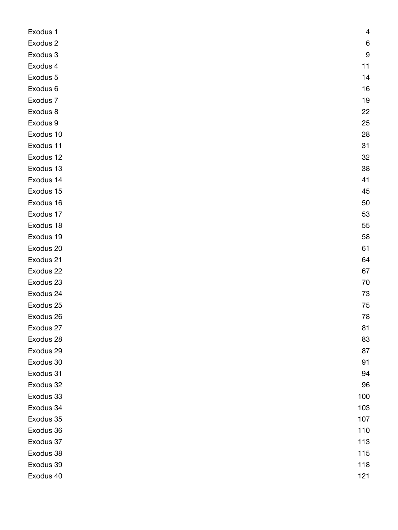| Exodus 1  | 4   |
|-----------|-----|
| Exodus 2  | 6   |
| Exodus 3  | 9   |
| Exodus 4  | 11  |
| Exodus 5  | 14  |
| Exodus 6  | 16  |
| Exodus 7  | 19  |
| Exodus 8  | 22  |
| Exodus 9  | 25  |
| Exodus 10 | 28  |
| Exodus 11 | 31  |
| Exodus 12 | 32  |
| Exodus 13 | 38  |
| Exodus 14 | 41  |
| Exodus 15 | 45  |
| Exodus 16 | 50  |
| Exodus 17 | 53  |
| Exodus 18 | 55  |
| Exodus 19 | 58  |
| Exodus 20 | 61  |
| Exodus 21 | 64  |
| Exodus 22 | 67  |
| Exodus 23 | 70  |
| Exodus 24 | 73  |
| Exodus 25 | 75  |
| Exodus 26 | 78  |
| Exodus 27 | 81  |
| Exodus 28 | 83  |
| Exodus 29 | 87  |
| Exodus 30 | 91  |
| Exodus 31 | 94  |
| Exodus 32 | 96  |
| Exodus 33 | 100 |
| Exodus 34 | 103 |
| Exodus 35 | 107 |
| Exodus 36 | 110 |
| Exodus 37 | 113 |
| Exodus 38 | 115 |
| Exodus 39 | 118 |
| Exodus 40 | 121 |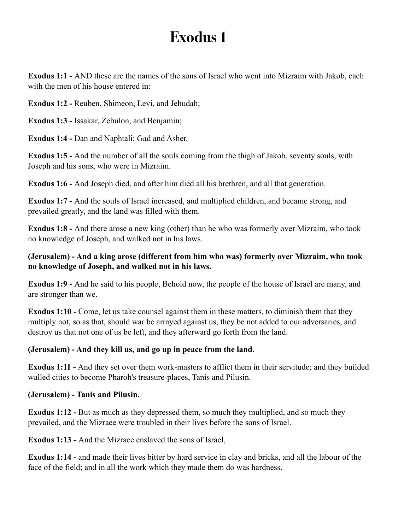<span id="page-3-0"></span>**Exodus 1:1 -** AND these are the names of the sons of Israel who went into Mizraim with Jakob, each with the men of his house entered in:

**Exodus 1:2 -** Reuben, Shimeon, Levi, and Jehudah;

**Exodus 1:3 -** Issakar, Zebulon, and Benjamin;

**Exodus 1:4 -** Dan and Naphtali; Gad and Asher.

**Exodus 1:5 -** And the number of all the souls coming from the thigh of Jakob, seventy souls, with Joseph and his sons, who were in Mizraim.

**Exodus 1:6 -** And Joseph died, and after him died all his brethren, and all that generation.

**Exodus 1:7 -** And the souls of Israel increased, and multiplied children, and became strong, and prevailed greatly, and the land was filled with them.

**Exodus 1:8 -** And there arose a new king (other) than he who was formerly over Mizraim, who took no knowledge of Joseph, and walked not in his laws.

#### **(Jerusalem) - And a king arose (different from him who was) formerly over Mizraim, who took no knowledge of Joseph, and walked not in his laws.**

**Exodus 1:9 -** And he said to his people, Behold now, the people of the house of Israel are many, and are stronger than we.

**Exodus 1:10 - Come, let us take counsel against them in these matters, to diminish them that they** multiply not, so as that, should war be arrayed against us, they be not added to our adversaries, and destroy us that not one of us be left, and they afterward go forth from the land.

#### **(Jerusalem) - And they kill us, and go up in peace from the land.**

**Exodus 1:11 -** And they set over them work-masters to afflict them in their servitude; and they builded walled cities to become Pharoh's treasure-places, Tanis and Pilusin.

#### **(Jerusalem) - Tanis and Pilusin.**

**Exodus 1:12 -** But as much as they depressed them, so much they multiplied, and so much they prevailed, and the Mizraee were troubled in their lives before the sons of Israel.

**Exodus 1:13 -** And the Mizraee enslaved the sons of Israel,

**Exodus 1:14 -** and made their lives bitter by hard service in clay and bricks, and all the labour of the face of the field; and in all the work which they made them do was hardness.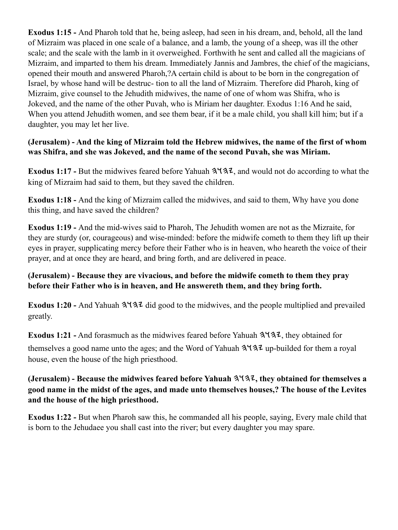**Exodus 1:15 -** And Pharoh told that he, being asleep, had seen in his dream, and, behold, all the land of Mizraim was placed in one scale of a balance, and a lamb, the young of a sheep, was ill the other scale; and the scale with the lamb in it overweighed. Forthwith he sent and called all the magicians of Mizraim, and imparted to them his dream. Immediately Jannis and Jambres, the chief of the magicians, opened their mouth and answered Pharoh,?A certain child is about to be born in the congregation of Israel, by whose hand will be destruc- tion to all the land of Mizraim. Therefore did Pharoh, king of Mizraim, give counsel to the Jehudith midwives, the name of one of whom was Shifra, who is Jokeved, and the name of the other Puvah, who is Miriam her daughter. Exodus 1:16 And he said, When you attend Jehudith women, and see them bear, if it be a male child, you shall kill him; but if a daughter, you may let her live.

#### **(Jerusalem) - And the king of Mizraim told the Hebrew midwives, the name of the first of whom was Shifra, and she was Jokeved, and the name of the second Puvah, she was Miriam.**

**Exodus 1:17 -** But the midwives feared before Yahuah  $3\sqrt{3}z$ , and would not do according to what the king of Mizraim had said to them, but they saved the children.

**Exodus 1:18 -** And the king of Mizraim called the midwives, and said to them, Why have you done this thing, and have saved the children?

**Exodus 1:19 -** And the mid-wives said to Pharoh, The Jehudith women are not as the Mizraite, for they are sturdy (or, courageous) and wise-minded: before the midwife cometh to them they lift up their eyes in prayer, supplicating mercy before their Father who is in heaven, who heareth the voice of their prayer, and at once they are heard, and bring forth, and are delivered in peace.

#### **(Jerusalem) - Because they are vivacious, and before the midwife cometh to them they pray before their Father who is in heaven, and He answereth them, and they bring forth.**

Exodus 1:20 - And Yahuah  $3\frac{4}{3}$  did good to the midwives, and the people multiplied and prevailed greatly.

**Exodus 1:21 -** And forasmuch as the midwives feared before Yahuah  $3\frac{4}{3}\frac{7}{3}\frac{7}{1}$ , they obtained for themselves a good name unto the ages; and the Word of Yahuah  $3\frac{4}{3}\frac{7}{4}$  up-builded for them a royal house, even the house of the high priesthood.

#### **(Jerusalem) - Because the midwives feared before Yahuah , they obtained for themselves a good name in the midst of the ages, and made unto themselves houses,? The house of the Levites and the house of the high priesthood.**

**Exodus 1:22 -** But when Pharoh saw this, he commanded all his people, saying, Every male child that is born to the Jehudaee you shall cast into the river; but every daughter you may spare.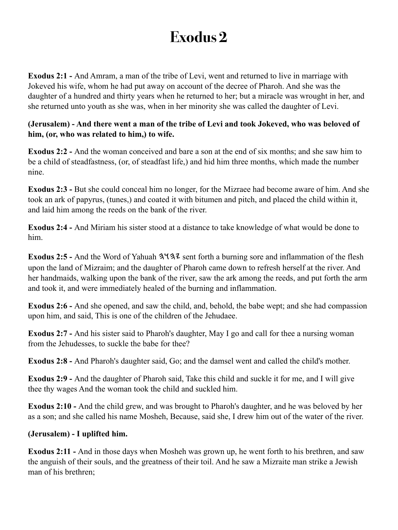<span id="page-5-0"></span>**Exodus 2:1 -** And Amram, a man of the tribe of Levi, went and returned to live in marriage with Jokeved his wife, whom he had put away on account of the decree of Pharoh. And she was the daughter of a hundred and thirty years when he returned to her; but a miracle was wrought in her, and she returned unto youth as she was, when in her minority she was called the daughter of Levi.

#### **(Jerusalem) - And there went a man of the tribe of Levi and took Jokeved, who was beloved of him, (or, who was related to him,) to wife.**

**Exodus 2:2 -** And the woman conceived and bare a son at the end of six months; and she saw him to be a child of steadfastness, (or, of steadfast life,) and hid him three months, which made the number nine.

**Exodus 2:3 - But she could conceal him no longer, for the Mizraee had become aware of him. And she** took an ark of papyrus, (tunes,) and coated it with bitumen and pitch, and placed the child within it, and laid him among the reeds on the bank of the river.

**Exodus 2:4 -** And Miriam his sister stood at a distance to take knowledge of what would be done to him.

**Exodus 2:5 - And the Word of Yahuah**  $3\frac{4}{3}\frac{2}{3}$  **sent forth a burning sore and inflammation of the flesh** upon the land of Mizraim; and the daughter of Pharoh came down to refresh herself at the river. And her handmaids, walking upon the bank of the river, saw the ark among the reeds, and put forth the arm and took it, and were immediately healed of the burning and inflammation.

**Exodus 2:6 -** And she opened, and saw the child, and, behold, the babe wept; and she had compassion upon him, and said, This is one of the children of the Jehudaee.

**Exodus 2:7 -** And his sister said to Pharoh's daughter, May I go and call for thee a nursing woman from the Jehudesses, to suckle the babe for thee?

**Exodus 2:8 -** And Pharoh's daughter said, Go; and the damsel went and called the child's mother.

**Exodus 2:9 -** And the daughter of Pharoh said, Take this child and suckle it for me, and I will give thee thy wages And the woman took the child and suckled him.

**Exodus 2:10 -** And the child grew, and was brought to Pharoh's daughter, and he was beloved by her as a son; and she called his name Mosheh, Because, said she, I drew him out of the water of the river.

#### **(Jerusalem) - I uplifted him.**

**Exodus 2:11 -** And in those days when Mosheh was grown up, he went forth to his brethren, and saw the anguish of their souls, and the greatness of their toil. And he saw a Mizraite man strike a Jewish man of his brethren;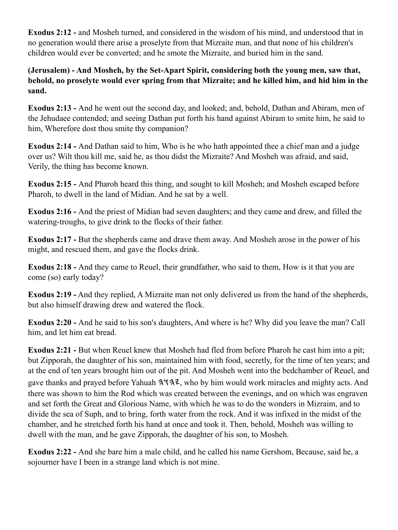**Exodus 2:12 -** and Mosheh turned, and considered in the wisdom of his mind, and understood that in no generation would there arise a proselyte from that Mizraite man, and that none of his children's children would ever be converted; and he smote the Mizraite, and buried him in the sand.

**(Jerusalem) - And Mosheh, by the Set-Apart Spirit, considering both the young men, saw that, behold, no proselyte would ever spring from that Mizraite; and he killed him, and hid him in the sand.**

**Exodus 2:13 -** And he went out the second day, and looked; and, behold, Dathan and Abiram, men of the Jehudaee contended; and seeing Dathan put forth his hand against Abiram to smite him, he said to him, Wherefore dost thou smite thy companion?

**Exodus 2:14 -** And Dathan said to him, Who is he who hath appointed thee a chief man and a judge over us? Wilt thou kill me, said he, as thou didst the Mizraite? And Mosheh was afraid, and said, Verily, the thing has become known.

**Exodus 2:15 -** And Pharoh heard this thing, and sought to kill Mosheh; and Mosheh escaped before Pharoh, to dwell in the land of Midian. And he sat by a well.

**Exodus 2:16 -** And the priest of Midian had seven daughters; and they came and drew, and filled the watering-troughs, to give drink to the flocks of their father.

**Exodus 2:17 -** But the shepherds came and drave them away. And Mosheh arose in the power of his might, and rescued them, and gave the flocks drink.

**Exodus 2:18 -** And they came to Reuel, their grandfather, who said to them, How is it that you are come (so) early today?

**Exodus 2:19 -** And they replied, A Mizraite man not only delivered us from the hand of the shepherds, but also himself drawing drew and watered the flock.

**Exodus 2:20 -** And he said to his son's daughters, And where is he? Why did you leave the man? Call him, and let him eat bread.

**Exodus 2:21 - But when Reuel knew that Mosheh had fled from before Pharoh he cast him into a pit;** but Zipporah, the daughter of his son, maintained him with food, secretly, for the time of ten years; and at the end of ten years brought him out of the pit. And Mosheh went into the bedchamber of Reuel, and gave thanks and prayed before Yahuah  $3\frac{4}{3}$ , who by him would work miracles and mighty acts. And there was shown to him the Rod which was created between the evenings, and on which was engraven and set forth the Great and Glorious Name, with which he was to do the wonders in Mizraim, and to divide the sea of Suph, and to bring, forth water from the rock. And it was infixed in the midst of the chamber, and he stretched forth his hand at once and took it. Then, behold, Mosheh was willing to dwell with the man, and he gave Zipporah, the daughter of his son, to Mosheh.

**Exodus 2:22 -** And she bare him a male child, and he called his name Gershom, Because, said he, a sojourner have I been in a strange land which is not mine.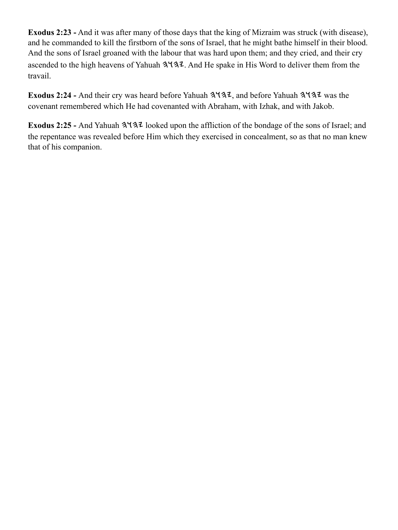**Exodus 2:23 -** And it was after many of those days that the king of Mizraim was struck (with disease), and he commanded to kill the firstborn of the sons of Israel, that he might bathe himself in their blood. And the sons of Israel groaned with the labour that was hard upon them; and they cried, and their cry ascended to the high heavens of Yahuah  $3137$ . And He spake in His Word to deliver them from the travail.

Exodus 2:24 - And their cry was heard before Yahuah  $3\sqrt{3}z$ , and before Yahuah  $3\sqrt{3}z$  was the covenant remembered which He had covenanted with Abraham, with Izhak, and with Jakob.

Exodus 2:25 - And Yahuah  $3\frac{4}{3}$  looked upon the affliction of the bondage of the sons of Israel; and the repentance was revealed before Him which they exercised in concealment, so as that no man knew that of his companion.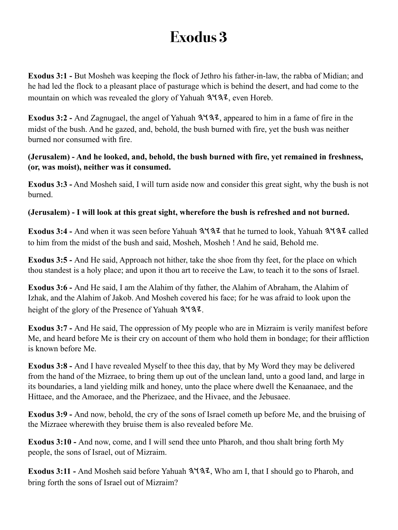<span id="page-8-0"></span>**Exodus 3:1 - But Mosheh was keeping the flock of Jethro his father-in-law, the rabba of Midian; and** he had led the flock to a pleasant place of pasturage which is behind the desert, and had come to the mountain on which was revealed the glory of Yahuah  $3\frac{1}{3}$ , even Horeb.

Exodus 3:2 - And Zagnugael, the angel of Yahuah  $3\frac{4}{3}$ , appeared to him in a fame of fire in the midst of the bush. And he gazed, and, behold, the bush burned with fire, yet the bush was neither burned nor consumed with fire.

**(Jerusalem) - And he looked, and, behold, the bush burned with fire, yet remained in freshness, (or, was moist), neither was it consumed.**

**Exodus 3:3 -** And Mosheh said, I will turn aside now and consider this great sight, why the bush is not burned.

**(Jerusalem) - I will look at this great sight, wherefore the bush is refreshed and not burned.**

**Exodus 3:4 - And when it was seen before Yahuah**  $3\frac{1}{3}$  **that he turned to look, Yahuah**  $3\frac{1}{3}$  **called** to him from the midst of the bush and said, Mosheh, Mosheh ! And he said, Behold me.

**Exodus 3:5 -** And He said, Approach not hither, take the shoe from thy feet, for the place on which thou standest is a holy place; and upon it thou art to receive the Law, to teach it to the sons of Israel.

**Exodus 3:6 -** And He said, I am the Alahim of thy father, the Alahim of Abraham, the Alahim of Izhak, and the Alahim of Jakob. And Mosheh covered his face; for he was afraid to look upon the height of the glory of the Presence of Yahuah  $3\overline{47}$ .

**Exodus 3:7 -** And He said, The oppression of My people who are in Mizraim is verily manifest before Me, and heard before Me is their cry on account of them who hold them in bondage; for their affliction is known before Me.

**Exodus 3:8 -** And I have revealed Myself to thee this day, that by My Word they may be delivered from the hand of the Mizraee, to bring them up out of the unclean land, unto a good land, and large in its boundaries, a land yielding milk and honey, unto the place where dwell the Kenaanaee, and the Hittaee, and the Amoraee, and the Pherizaee, and the Hivaee, and the Jebusaee.

**Exodus 3:9 -** And now, behold, the cry of the sons of Israel cometh up before Me, and the bruising of the Mizraee wherewith they bruise them is also revealed before Me.

**Exodus 3:10 -** And now, come, and I will send thee unto Pharoh, and thou shalt bring forth My people, the sons of Israel, out of Mizraim.

**Exodus 3:11 - And Mosheh said before Yahuah**  $3\sqrt{32}$ **, Who am I, that I should go to Pharoh, and** bring forth the sons of Israel out of Mizraim?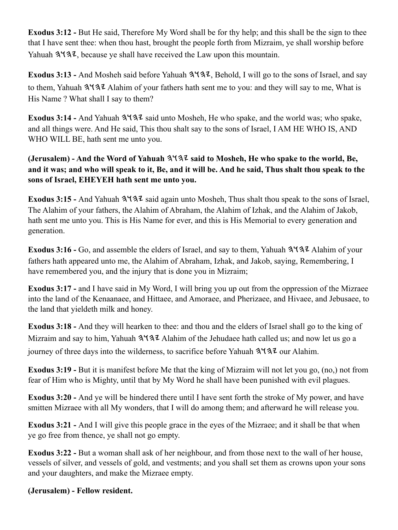**Exodus 3:12 -** But He said, Therefore My Word shall be for thy help; and this shall be the sign to thee that I have sent thee: when thou hast, brought the people forth from Mizraim, ye shall worship before Yahuah  $3137$ , because ye shall have received the Law upon this mountain.

**Exodus 3:13 - And Mosheh said before Yahuah**  $3\frac{4}{3}$ **, Behold, I will go to the sons of Israel, and say** to them, Yahuah 3137 Alahim of your fathers hath sent me to you: and they will say to me, What is His Name ? What shall I say to them?

Exodus 3:14 - And Yahuah  $3\sqrt{3}z$  said unto Mosheh, He who spake, and the world was; who spake, and all things were. And He said, This thou shalt say to the sons of Israel, I AM HE WHO IS, AND WHO WILL BE, hath sent me unto you.

#### **(Jerusalem) - And the Word of Yahuah said to Mosheh, He who spake to the world, Be, and it was; and who will speak to it, Be, and it will be. And he said, Thus shalt thou speak to the sons of Israel, EHEYEH hath sent me unto you.**

Exodus 3:15 - And Yahuah  $3\sqrt{3}z$  said again unto Mosheh, Thus shalt thou speak to the sons of Israel, The Alahim of your fathers, the Alahim of Abraham, the Alahim of Izhak, and the Alahim of Jakob, hath sent me unto you. This is His Name for ever, and this is His Memorial to every generation and generation.

**Exodus 3:16 -** Go, and assemble the elders of Israel, and say to them, Yahuah  $3\frac{4}{34}$  Alahim of your fathers hath appeared unto me, the Alahim of Abraham, Izhak, and Jakob, saying, Remembering, I have remembered you, and the injury that is done you in Mizraim;

**Exodus 3:17 -** and I have said in My Word, I will bring you up out from the oppression of the Mizraee into the land of the Kenaanaee, and Hittaee, and Amoraee, and Pherizaee, and Hivaee, and Jebusaee, to the land that yieldeth milk and honey.

**Exodus 3:18 -** And they will hearken to thee: and thou and the elders of Israel shall go to the king of Mizraim and say to him, Yahuah  $3\frac{4}{3}$  Alahim of the Jehudaee hath called us; and now let us go a journey of three days into the wilderness, to sacrifice before Yahuah  $3\sqrt{3}z$  our Alahim.

**Exodus 3:19 -** But it is manifest before Me that the king of Mizraim will not let you go, (no,) not from fear of Him who is Mighty, until that by My Word he shall have been punished with evil plagues.

**Exodus 3:20 -** And ye will be hindered there until I have sent forth the stroke of My power, and have smitten Mizraee with all My wonders, that I will do among them; and afterward he will release you.

**Exodus 3:21 -** And I will give this people grace in the eyes of the Mizraee; and it shall be that when ye go free from thence, ye shall not go empty.

**Exodus 3:22 -** But a woman shall ask of her neighbour, and from those next to the wall of her house, vessels of silver, and vessels of gold, and vestments; and you shall set them as crowns upon your sons and your daughters, and make the Mizraee empty.

#### **(Jerusalem) - Fellow resident.**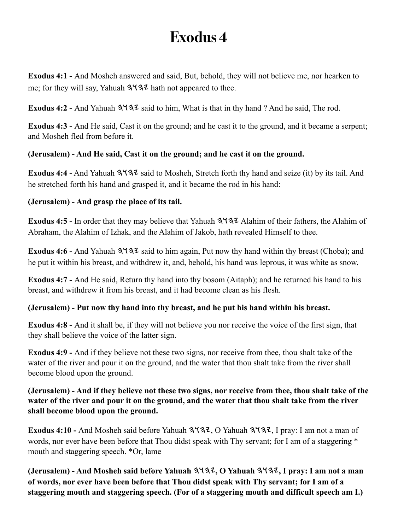<span id="page-10-0"></span>**Exodus 4:1 -** And Mosheh answered and said, But, behold, they will not believe me, nor hearken to me; for they will say, Yahuah  $3\sqrt{3}$  hath not appeared to thee.

**Exodus 4:2 - And Yahuah**  $3137$  **said to him, What is that in thy hand ? And he said, The rod.** 

**Exodus 4:3 -** And He said, Cast it on the ground; and he cast it to the ground, and it became a serpent; and Mosheh fled from before it.

#### **(Jerusalem) - And He said, Cast it on the ground; and he cast it on the ground.**

**Exodus 4:4 -** And Yahuah  $3137$  said to Mosheh, Stretch forth thy hand and seize (it) by its tail. And he stretched forth his hand and grasped it, and it became the rod in his hand:

#### **(Jerusalem) - And grasp the place of its tail.**

**Exodus 4:5 -** In order that they may believe that Yahuah  $3\frac{4}{3}\frac{7}{3}\frac{7}{3}\lambda$  Alahim of their fathers, the Alahim of Abraham, the Alahim of Izhak, and the Alahim of Jakob, hath revealed Himself to thee.

**Exodus 4:6 - And Yahuah 3137** said to him again, Put now thy hand within thy breast (Choba); and he put it within his breast, and withdrew it, and, behold, his hand was leprous, it was white as snow.

**Exodus 4:7 -** And He said, Return thy hand into thy bosom (Aitaph); and he returned his hand to his breast, and withdrew it from his breast, and it had become clean as his flesh.

#### **(Jerusalem) - Put now thy hand into thy breast, and he put his hand within his breast.**

**Exodus 4:8 -** And it shall be, if they will not believe you nor receive the voice of the first sign, that they shall believe the voice of the latter sign.

**Exodus 4:9 -** And if they believe not these two signs, nor receive from thee, thou shalt take of the water of the river and pour it on the ground, and the water that thou shalt take from the river shall become blood upon the ground.

#### **(Jerusalem) - And if they believe not these two signs, nor receive from thee, thou shalt take of the water of the river and pour it on the ground, and the water that thou shalt take from the river shall become blood upon the ground.**

Exodus 4:10 - And Mosheh said before Yahuah  $3\overline{4}3$ , O Yahuah  $3\overline{4}3$ , I pray: I am not a man of words, nor ever have been before that Thou didst speak with Thy servant; for I am of a staggering \* mouth and staggering speech. \*Or, lame

**(Jerusalem) - And Mosheh said before Yahuah , O Yahuah , I pray: I am not a man of words, nor ever have been before that Thou didst speak with Thy servant; for I am of a staggering mouth and staggering speech. (For of a staggering mouth and difficult speech am I.)**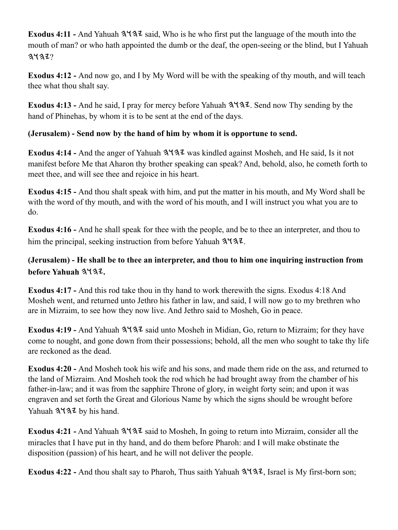Exodus 4:11 - And Yahuah  $3137$  said, Who is he who first put the language of the mouth into the mouth of man? or who hath appointed the dumb or the deaf, the open-seeing or the blind, but I Yahuah  $3137?$ 

**Exodus 4:12 -** And now go, and I by My Word will be with the speaking of thy mouth, and will teach thee what thou shalt say.

Exodus 4:13 - And he said, I pray for mercy before Yahuah  $3\frac{4}{3}$ . Send now Thy sending by the hand of Phinehas, by whom it is to be sent at the end of the days.

#### **(Jerusalem) - Send now by the hand of him by whom it is opportune to send.**

Exodus 4:14 - And the anger of Yahuah  $3\frac{4}{3}$  was kindled against Mosheh, and He said, Is it not manifest before Me that Aharon thy brother speaking can speak? And, behold, also, he cometh forth to meet thee, and will see thee and rejoice in his heart.

**Exodus 4:15 -** And thou shalt speak with him, and put the matter in his mouth, and My Word shall be with the word of thy mouth, and with the word of his mouth, and I will instruct you what you are to do.

**Exodus 4:16 -** And he shall speak for thee with the people, and be to thee an interpreter, and thou to him the principal, seeking instruction from before Yahuah  $3\overline{47}$ .

#### **(Jerusalem) - He shall be to thee an interpreter, and thou to him one inquiring instruction from before Yahuah .**

**Exodus 4:17 -** And this rod take thou in thy hand to work therewith the signs. Exodus 4:18 And Mosheh went, and returned unto Jethro his father in law, and said, I will now go to my brethren who are in Mizraim, to see how they now live. And Jethro said to Mosheh, Go in peace.

**Exodus 4:19 - And Yahuah**  $3\sqrt{32}$  **said unto Mosheh in Midian, Go, return to Mizraim; for they have** come to nought, and gone down from their possessions; behold, all the men who sought to take thy life are reckoned as the dead.

**Exodus 4:20 -** And Mosheh took his wife and his sons, and made them ride on the ass, and returned to the land of Mizraim. And Mosheh took the rod which he had brought away from the chamber of his father-in-law; and it was from the sapphire Throne of glory, in weight forty sein; and upon it was engraven and set forth the Great and Glorious Name by which the signs should be wrought before Yahuah 3137 by his hand.

Exodus 4:21 - And Yahuah  $3\frac{4}{2}$  said to Mosheh, In going to return into Mizraim, consider all the miracles that I have put in thy hand, and do them before Pharoh: and I will make obstinate the disposition (passion) of his heart, and he will not deliver the people.

Exodus 4:22 - And thou shalt say to Pharoh, Thus saith Yahuah  $3\frac{4}{3}\pi$ , Israel is My first-born son;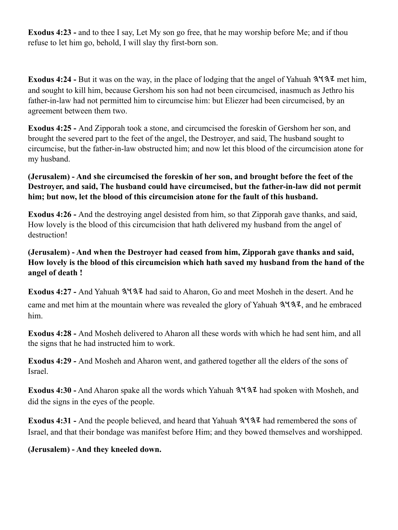**Exodus 4:23 -** and to thee I say, Let My son go free, that he may worship before Me; and if thou refuse to let him go, behold, I will slay thy first-born son.

**Exodus 4:24 -** But it was on the way, in the place of lodging that the angel of Yahuah  $3\frac{4}{3}\frac{7}{3}\$  met him, and sought to kill him, because Gershom his son had not been circumcised, inasmuch as Jethro his father-in-law had not permitted him to circumcise him: but Eliezer had been circumcised, by an agreement between them two.

**Exodus 4:25 -** And Zipporah took a stone, and circumcised the foreskin of Gershom her son, and brought the severed part to the feet of the angel, the Destroyer, and said, The husband sought to circumcise, but the father-in-law obstructed him; and now let this blood of the circumcision atone for my husband.

#### **(Jerusalem) - And she circumcised the foreskin of her son, and brought before the feet of the Destroyer, and said, The husband could have circumcised, but the father-in-law did not permit him; but now, let the blood of this circumcision atone for the fault of this husband.**

**Exodus 4:26 -** And the destroying angel desisted from him, so that Zipporah gave thanks, and said, How lovely is the blood of this circumcision that hath delivered my husband from the angel of destruction!

#### **(Jerusalem) - And when the Destroyer had ceased from him, Zipporah gave thanks and said, How lovely is the blood of this circumcision which hath saved my husband from the hand of the angel of death !**

Exodus 4:27 - And Yahuah  $3\frac{4}{2}$  had said to Aharon, Go and meet Mosheh in the desert. And he came and met him at the mountain where was revealed the glory of Yahuah  $3\sqrt{32}$ , and he embraced him.

**Exodus 4:28 -** And Mosheh delivered to Aharon all these words with which he had sent him, and all the signs that he had instructed him to work.

**Exodus 4:29 -** And Mosheh and Aharon went, and gathered together all the elders of the sons of Israel.

**Exodus 4:30 -** And Aharon spake all the words which Yahuah  $3\frac{4}{3}\frac{7}{3}\lambda$  had spoken with Mosheh, and did the signs in the eyes of the people.

Exodus 4:31 - And the people believed, and heard that Yahuah  $3\frac{4}{3}\frac{7}{4}$  had remembered the sons of Israel, and that their bondage was manifest before Him; and they bowed themselves and worshipped.

#### **(Jerusalem) - And they kneeled down.**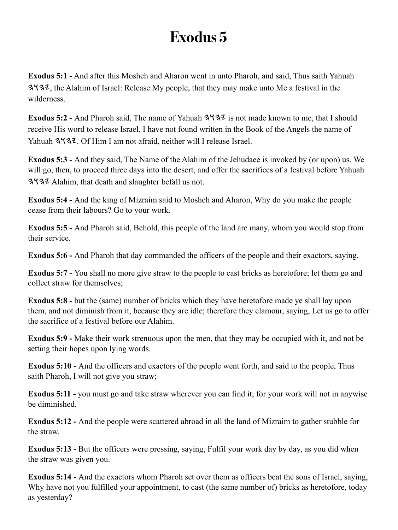<span id="page-13-0"></span>**Exodus 5:1 -** And after this Mosheh and Aharon went in unto Pharoh, and said, Thus saith Yahuah , the Alahim of Israel: Release My people, that they may make unto Me a festival in the wilderness.

Exodus 5:2 - And Pharoh said, The name of Yahuah  $3\frac{1}{3}$  is not made known to me, that I should receive His word to release Israel. I have not found written in the Book of the Angels the name of Yahuah  $3\sqrt{3}$ . Of Him I am not afraid, neither will I release Israel.

**Exodus 5:3 -** And they said, The Name of the Alahim of the Jehudaee is invoked by (or upon) us. We will go, then, to proceed three days into the desert, and offer the sacrifices of a festival before Yahuah 3. Alahim, that death and slaughter befall us not.

**Exodus 5:4 -** And the king of Mizraim said to Mosheh and Aharon, Why do you make the people cease from their labours? Go to your work.

**Exodus 5:5 -** And Pharoh said, Behold, this people of the land are many, whom you would stop from their service.

**Exodus 5:6 -** And Pharoh that day commanded the officers of the people and their exactors, saying,

**Exodus 5:7 -** You shall no more give straw to the people to cast bricks as heretofore; let them go and collect straw for themselves;

**Exodus 5:8 -** but the (same) number of bricks which they have heretofore made ye shall lay upon them, and not diminish from it, because they are idle; therefore they clamour, saying, Let us go to offer the sacrifice of a festival before our Alahim.

**Exodus 5:9 -** Make their work strenuous upon the men, that they may be occupied with it, and not be setting their hopes upon lying words.

**Exodus 5:10 -** And the officers and exactors of the people went forth, and said to the people, Thus saith Pharoh, I will not give you straw;

**Exodus 5:11 -** you must go and take straw wherever you can find it; for your work will not in anywise be diminished.

**Exodus 5:12 -** And the people were scattered abroad in all the land of Mizraim to gather stubble for the straw.

**Exodus 5:13 - But the officers were pressing, saying, Fulfil your work day by day, as you did when** the straw was given you.

**Exodus 5:14 -** And the exactors whom Pharoh set over them as officers beat the sons of Israel, saying, Why have not you fulfilled your appointment, to cast (the same number of) bricks as heretofore, today as yesterday?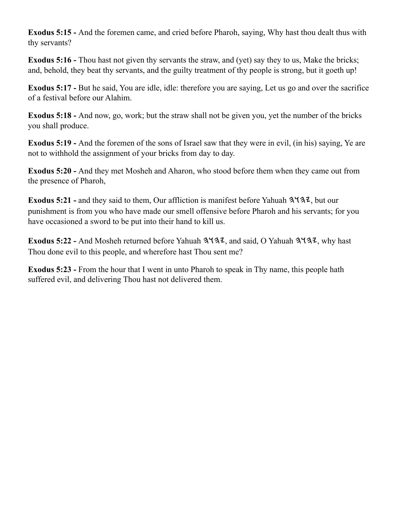**Exodus 5:15 -** And the foremen came, and cried before Pharoh, saying, Why hast thou dealt thus with thy servants?

**Exodus 5:16 -** Thou hast not given thy servants the straw, and (yet) say they to us, Make the bricks; and, behold, they beat thy servants, and the guilty treatment of thy people is strong, but it goeth up!

**Exodus 5:17 -** But he said, You are idle, idle: therefore you are saying, Let us go and over the sacrifice of a festival before our Alahim.

**Exodus 5:18 -** And now, go, work; but the straw shall not be given you, yet the number of the bricks you shall produce.

**Exodus 5:19 -** And the foremen of the sons of Israel saw that they were in evil, (in his) saying, Ye are not to withhold the assignment of your bricks from day to day.

**Exodus 5:20 -** And they met Mosheh and Aharon, who stood before them when they came out from the presence of Pharoh,

**Exodus 5:21 -** and they said to them, Our affliction is manifest before Yahuah  $3\frac{1}{3}\lambda$ , but our punishment is from you who have made our smell offensive before Pharoh and his servants; for you have occasioned a sword to be put into their hand to kill us.

Exodus 5:22 - And Mosheh returned before Yahuah  $3\frac{4}{3}$ , and said, O Yahuah  $3\frac{4}{3}$ , why hast Thou done evil to this people, and wherefore hast Thou sent me?

**Exodus 5:23 -** From the hour that I went in unto Pharoh to speak in Thy name, this people hath suffered evil, and delivering Thou hast not delivered them.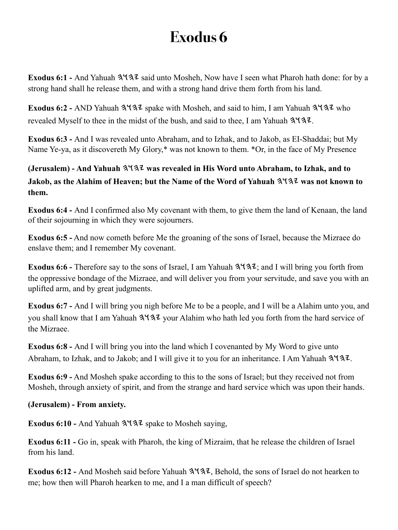<span id="page-15-0"></span>Exodus 6:1 - And Yahuah  $3137$  said unto Mosheh, Now have I seen what Pharoh hath done: for by a strong hand shall he release them, and with a strong hand drive them forth from his land.

**Exodus 6:2 - AND Yahuah 3437 spake with Mosheh, and said to him, I am Yahuah 3437 who** revealed Myself to thee in the midst of the bush, and said to thee, I am Yahuah  $3\frac{1}{3}$ .

**Exodus 6:3 -** And I was revealed unto Abraham, and to Izhak, and to Jakob, as EI-Shaddai; but My Name Ye-ya, as it discovereth My Glory,\* was not known to them. \*Or, in the face of My Presence

**(Jerusalem) - And Yahuah**  $3137$  **was revealed in His Word unto Abraham, to Izhak, and to Jakob, as the Alahim of Heaven; but the Name of the Word of Yahuah**  $3\frac{4}{3}\frac{7}{3}\frac{1}{100}$  **was not known to them.**

**Exodus 6:4 -** And I confirmed also My covenant with them, to give them the land of Kenaan, the land of their sojourning in which they were sojourners.

**Exodus 6:5 -** And now cometh before Me the groaning of the sons of Israel, because the Mizraee do enslave them; and I remember My covenant.

**Exodus 6:6 -** Therefore say to the sons of Israel, I am Yahuah  $3\sqrt{32}$ ; and I will bring you forth from the oppressive bondage of the Mizraee, and will deliver you from your servitude, and save you with an uplifted arm, and by great judgments.

**Exodus 6:7 -** And I will bring you nigh before Me to be a people, and I will be a Alahim unto you, and you shall know that I am Yahuah  $3\frac{1}{3}$  your Alahim who hath led you forth from the hard service of the Mizraee.

**Exodus 6:8 -** And I will bring you into the land which I covenanted by My Word to give unto Abraham, to Izhak, and to Jakob; and I will give it to you for an inheritance. I Am Yahuah  $3\frac{1}{3}$ .

**Exodus 6:9 -** And Mosheh spake according to this to the sons of Israel; but they received not from Mosheh, through anxiety of spirit, and from the strange and hard service which was upon their hands.

#### **(Jerusalem) - From anxiety.**

**Exodus 6:10 - And Yahuah**  $3\frac{4}{3}$  **spake to Mosheh saying,** 

**Exodus 6:11 -** Go in, speak with Pharoh, the king of Mizraim, that he release the children of Israel from his land.

Exodus 6:12 - And Mosheh said before Yahuah  $3\frac{4}{3}$ , Behold, the sons of Israel do not hearken to me; how then will Pharoh hearken to me, and I a man difficult of speech?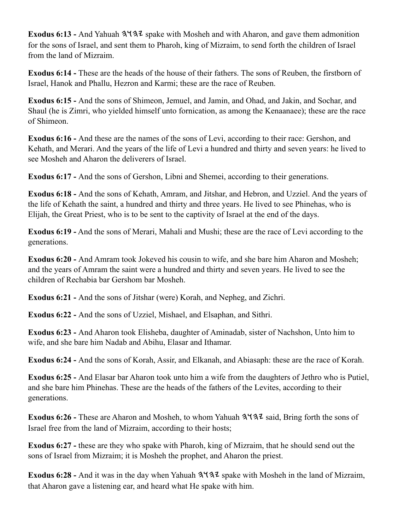**Exodus 6:13 - And Yahuah**  $3\sqrt{3}z$  **spake with Mosheh and with Aharon, and gave them admonition** for the sons of Israel, and sent them to Pharoh, king of Mizraim, to send forth the children of Israel from the land of Mizraim.

**Exodus 6:14 -** These are the heads of the house of their fathers. The sons of Reuben, the firstborn of Israel, Hanok and Phallu, Hezron and Karmi; these are the race of Reuben.

**Exodus 6:15 -** And the sons of Shimeon, Jemuel, and Jamin, and Ohad, and Jakin, and Sochar, and Shaul (he is Zimri, who yielded himself unto fornication, as among the Kenaanaee); these are the race of Shimeon.

**Exodus 6:16 -** And these are the names of the sons of Levi, according to their race: Gershon, and Kehath, and Merari. And the years of the life of Levi a hundred and thirty and seven years: he lived to see Mosheh and Aharon the deliverers of Israel.

**Exodus 6:17 -** And the sons of Gershon, Libni and Shemei, according to their generations.

**Exodus 6:18 -** And the sons of Kehath, Amram, and Jitshar, and Hebron, and Uzziel. And the years of the life of Kehath the saint, a hundred and thirty and three years. He lived to see Phinehas, who is Elijah, the Great Priest, who is to be sent to the captivity of Israel at the end of the days.

**Exodus 6:19 -** And the sons of Merari, Mahali and Mushi; these are the race of Levi according to the generations.

**Exodus 6:20 -** And Amram took Jokeved his cousin to wife, and she bare him Aharon and Mosheh; and the years of Amram the saint were a hundred and thirty and seven years. He lived to see the children of Rechabia bar Gershom bar Mosheh.

**Exodus 6:21 -** And the sons of Jitshar (were) Korah, and Nepheg, and Zichri.

**Exodus 6:22 -** And the sons of Uzziel, Mishael, and Elsaphan, and Sithri.

**Exodus 6:23 -** And Aharon took Elisheba, daughter of Aminadab, sister of Nachshon, Unto him to wife, and she bare him Nadab and Abihu, Elasar and Ithamar.

**Exodus 6:24 -** And the sons of Korah, Assir, and Elkanah, and Abiasaph: these are the race of Korah.

**Exodus 6:25 -** And Elasar bar Aharon took unto him a wife from the daughters of Jethro who is Putiel, and she bare him Phinehas. These are the heads of the fathers of the Levites, according to their generations.

**Exodus 6:26 -** These are Aharon and Mosheh, to whom Yahuah  $3\frac{4}{3}\frac{3}{4}\frac{3}{1}$  said, Bring forth the sons of Israel free from the land of Mizraim, according to their hosts;

**Exodus 6:27 -** these are they who spake with Pharoh, king of Mizraim, that he should send out the sons of Israel from Mizraim; it is Mosheh the prophet, and Aharon the priest.

**Exodus 6:28 - And it was in the day when Yahuah**  $3\frac{4}{3}\frac{7}{3}\frac{2}{3}$  **spake with Mosheh in the land of Mizraim,** that Aharon gave a listening ear, and heard what He spake with him.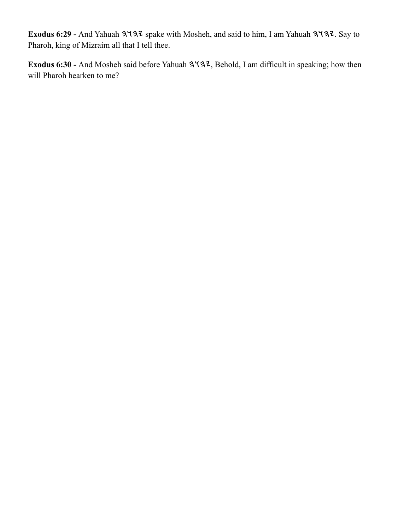Exodus 6:29 - And Yahuah 3137 spake with Mosheh, and said to him, I am Yahuah 3137. Say to Pharoh, king of Mizraim all that I tell thee.

Exodus 6:30 - And Mosheh said before Yahuah  $3\frac{4}{3}$ , Behold, I am difficult in speaking; how then will Pharoh hearken to me?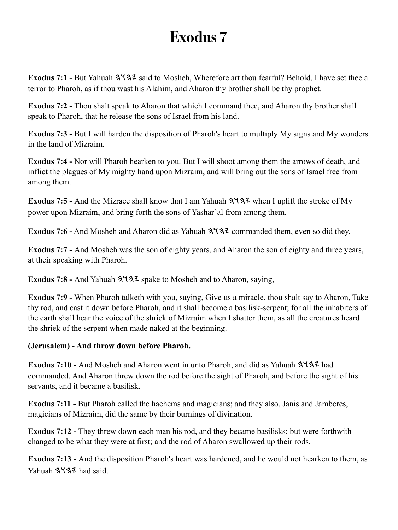<span id="page-18-0"></span>**Exodus 7:1 - But Yahuah**  $3137$  **said to Mosheh, Wherefore art thou fearful? Behold, I have set thee a** terror to Pharoh, as if thou wast his Alahim, and Aharon thy brother shall be thy prophet.

**Exodus 7:2 -** Thou shalt speak to Aharon that which I command thee, and Aharon thy brother shall speak to Pharoh, that he release the sons of Israel from his land.

**Exodus 7:3 -** But I will harden the disposition of Pharoh's heart to multiply My signs and My wonders in the land of Mizraim.

**Exodus 7:4 -** Nor will Pharoh hearken to you. But I will shoot among them the arrows of death, and inflict the plagues of My mighty hand upon Mizraim, and will bring out the sons of Israel free from among them.

Exodus 7:5 - And the Mizraee shall know that I am Yahuah  $3\frac{4}{3}\frac{7}{3}\frac{1}{3}$  when I uplift the stroke of My power upon Mizraim, and bring forth the sons of Yashar'al from among them.

**Exodus 7:6 -** And Mosheh and Aharon did as Yahuah  $3\frac{4}{3}\frac{7}{2}$  commanded them, even so did they.

**Exodus 7:7 -** And Mosheh was the son of eighty years, and Aharon the son of eighty and three years, at their speaking with Pharoh.

**Exodus 7:8 - And Yahuah**  $3137$  **spake to Mosheh and to Aharon, saying,** 

**Exodus 7:9 -** When Pharoh talketh with you, saying, Give us a miracle, thou shalt say to Aharon, Take thy rod, and cast it down before Pharoh, and it shall become a basilisk-serpent; for all the inhabiters of the earth shall hear the voice of the shriek of Mizraim when I shatter them, as all the creatures heard the shriek of the serpent when made naked at the beginning.

#### **(Jerusalem) - And throw down before Pharoh.**

**Exodus 7:10 - And Mosheh and Aharon went in unto Pharoh, and did as Yahuah 3937 had** commanded. And Aharon threw down the rod before the sight of Pharoh, and before the sight of his servants, and it became a basilisk.

**Exodus 7:11 -** But Pharoh called the hachems and magicians; and they also, Janis and Jamberes, magicians of Mizraim, did the same by their burnings of divination.

**Exodus 7:12 -** They threw down each man his rod, and they became basilisks; but were forthwith changed to be what they were at first; and the rod of Aharon swallowed up their rods.

**Exodus 7:13 -** And the disposition Pharoh's heart was hardened, and he would not hearken to them, as Yahuah 3137 had said.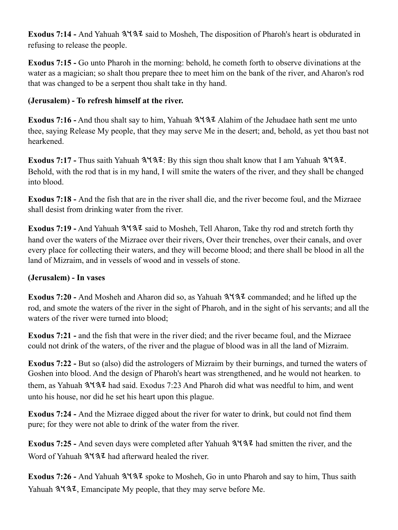Exodus 7:14 - And Yahuah  $3\frac{4}{3}$  said to Mosheh, The disposition of Pharoh's heart is obdurated in refusing to release the people.

**Exodus 7:15 -** Go unto Pharoh in the morning: behold, he cometh forth to observe divinations at the water as a magician; so shalt thou prepare thee to meet him on the bank of the river, and Aharon's rod that was changed to be a serpent thou shalt take in thy hand.

#### **(Jerusalem) - To refresh himself at the river.**

**Exodus 7:16 -** And thou shalt say to him, Yahuah  $3\sqrt{3}$  Alahim of the Jehudaee hath sent me unto thee, saying Release My people, that they may serve Me in the desert; and, behold, as yet thou bast not hearkened.

**Exodus 7:17 -** Thus saith Yahuah  $3\sqrt{3}z$ : By this sign thou shalt know that I am Yahuah  $3\sqrt{3}z$ . Behold, with the rod that is in my hand, I will smite the waters of the river, and they shall be changed into blood.

**Exodus 7:18 -** And the fish that are in the river shall die, and the river become foul, and the Mizraee shall desist from drinking water from the river.

**Exodus 7:19 -** And Yahuah  $3\sqrt{32}$  said to Mosheh, Tell Aharon, Take thy rod and stretch forth thy hand over the waters of the Mizraee over their rivers, Over their trenches, over their canals, and over every place for collecting their waters, and they will become blood; and there shall be blood in all the land of Mizraim, and in vessels of wood and in vessels of stone.

#### **(Jerusalem) - In vases**

Exodus 7:20 - And Mosheh and Aharon did so, as Yahuah 3Y37 commanded; and he lifted up the rod, and smote the waters of the river in the sight of Pharoh, and in the sight of his servants; and all the waters of the river were turned into blood:

**Exodus 7:21 -** and the fish that were in the river died; and the river became foul, and the Mizraee could not drink of the waters, of the river and the plague of blood was in all the land of Mizraim.

**Exodus 7:22 -** But so (also) did the astrologers of Mizraim by their burnings, and turned the waters of Goshen into blood. And the design of Pharoh's heart was strengthened, and he would not hearken. to them, as Yahuah  $3\sqrt{3}$  had said. Exodus 7:23 And Pharoh did what was needful to him, and went unto his house, nor did he set his heart upon this plague.

**Exodus 7:24 -** And the Mizraee digged about the river for water to drink, but could not find them pure; for they were not able to drink of the water from the river.

Exodus 7:25 - And seven days were completed after Yahuah  $3\sqrt{3}$  had smitten the river, and the Word of Yahuah  $3137$  had afterward healed the river.

**Exodus 7:26 - And Yahuah**  $3137$  **spoke to Mosheh, Go in unto Pharoh and say to him, Thus saith** Yahuah  $3137$ , Emancipate My people, that they may serve before Me.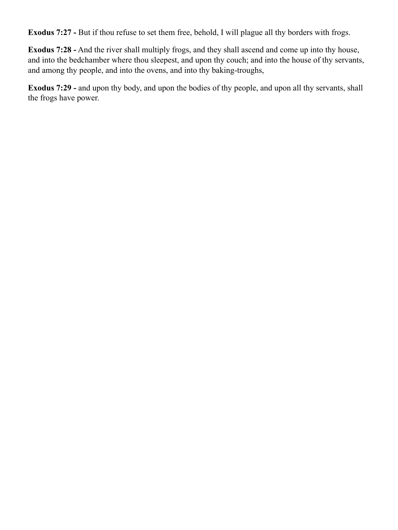**Exodus 7:27 -** But if thou refuse to set them free, behold, I will plague all thy borders with frogs.

**Exodus 7:28 -** And the river shall multiply frogs, and they shall ascend and come up into thy house, and into the bedchamber where thou sleepest, and upon thy couch; and into the house of thy servants, and among thy people, and into the ovens, and into thy baking-troughs,

**Exodus 7:29 -** and upon thy body, and upon the bodies of thy people, and upon all thy servants, shall the frogs have power.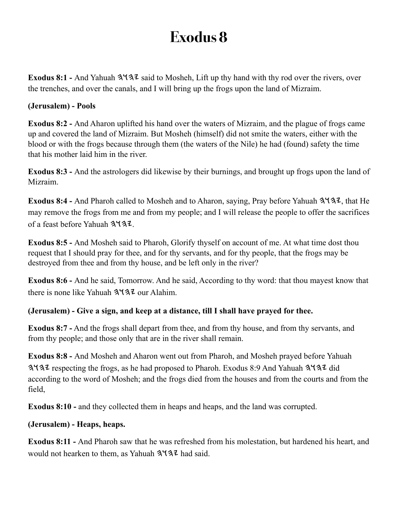<span id="page-21-0"></span>**Exodus 8:1 - And Yahuah 3137** said to Mosheh, Lift up thy hand with thy rod over the rivers, over the trenches, and over the canals, and I will bring up the frogs upon the land of Mizraim.

#### **(Jerusalem) - Pools**

**Exodus 8:2 -** And Aharon uplifted his hand over the waters of Mizraim, and the plague of frogs came up and covered the land of Mizraim. But Mosheh (himself) did not smite the waters, either with the blood or with the frogs because through them (the waters of the Nile) he had (found) safety the time that his mother laid him in the river.

**Exodus 8:3 -** And the astrologers did likewise by their burnings, and brought up frogs upon the land of Mizraim.

Exodus 8:4 - And Pharoh called to Mosheh and to Aharon, saying, Pray before Yahuah  $3\frac{1}{3}$ , that He may remove the frogs from me and from my people; and I will release the people to offer the sacrifices of a feast before Yahuah 3137.

**Exodus 8:5 -** And Mosheh said to Pharoh, Glorify thyself on account of me. At what time dost thou request that I should pray for thee, and for thy servants, and for thy people, that the frogs may be destroyed from thee and from thy house, and be left only in the river?

**Exodus 8:6 -** And he said, Tomorrow. And he said, According to thy word: that thou mayest know that there is none like Yahuah  $3\overline{137}$  our Alahim.

#### **(Jerusalem) - Give a sign, and keep at a distance, till I shall have prayed for thee.**

**Exodus 8:7 -** And the frogs shall depart from thee, and from thy house, and from thy servants, and from thy people; and those only that are in the river shall remain.

**Exodus 8:8 -** And Mosheh and Aharon went out from Pharoh, and Mosheh prayed before Yahuah  $3137$  respecting the frogs, as he had proposed to Pharoh. Exodus 8:9 And Yahuah  $3137$  did according to the word of Mosheh; and the frogs died from the houses and from the courts and from the field,

**Exodus 8:10 - and they collected them in heaps and heaps, and the land was corrupted.** 

#### **(Jerusalem) - Heaps, heaps.**

**Exodus 8:11 -** And Pharoh saw that he was refreshed from his molestation, but hardened his heart, and would not hearken to them, as Yahuah  $3\frac{4}{3}\lambda$  had said.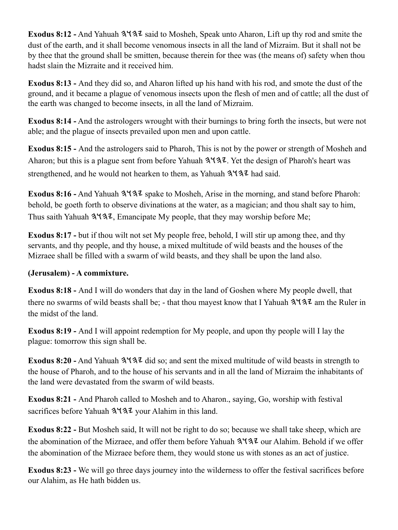**Exodus 8:12 -** And Yahuah  $3\sqrt{32}$  said to Mosheh, Speak unto Aharon, Lift up thy rod and smite the dust of the earth, and it shall become venomous insects in all the land of Mizraim. But it shall not be by thee that the ground shall be smitten, because therein for thee was (the means of) safety when thou hadst slain the Mizraite and it received him.

**Exodus 8:13 -** And they did so, and Aharon lifted up his hand with his rod, and smote the dust of the ground, and it became a plague of venomous insects upon the flesh of men and of cattle; all the dust of the earth was changed to become insects, in all the land of Mizraim.

**Exodus 8:14 -** And the astrologers wrought with their burnings to bring forth the insects, but were not able; and the plague of insects prevailed upon men and upon cattle.

**Exodus 8:15 -** And the astrologers said to Pharoh, This is not by the power or strength of Mosheh and Aharon; but this is a plague sent from before Yahuah  $3\frac{4}{3}$ . Yet the design of Pharoh's heart was strengthened, and he would not hearken to them, as Yahuah  $3\frac{4}{3}\frac{7}{4}$  had said.

Exodus 8:16 - And Yahuah  $3\frac{4}{3}$  spake to Mosheh, Arise in the morning, and stand before Pharoh: behold, be goeth forth to observe divinations at the water, as a magician; and thou shalt say to him, Thus saith Yahuah  $3137$ , Emancipate My people, that they may worship before Me;

**Exodus 8:17 -** but if thou wilt not set My people free, behold, I will stir up among thee, and thy servants, and thy people, and thy house, a mixed multitude of wild beasts and the houses of the Mizraee shall be filled with a swarm of wild beasts, and they shall be upon the land also.

#### **(Jerusalem) - A commixture.**

**Exodus 8:18 -** And I will do wonders that day in the land of Goshen where My people dwell, that there no swarms of wild beasts shall be; - that thou may est know that I Yahuah  $3\frac{1}{3}\frac{1}{3}\frac{1}{3}$  am the Ruler in the midst of the land.

**Exodus 8:19 -** And I will appoint redemption for My people, and upon thy people will I lay the plague: tomorrow this sign shall be.

Exodus 8:20 - And Yahuah  $3\frac{4}{3}$  did so; and sent the mixed multitude of wild beasts in strength to the house of Pharoh, and to the house of his servants and in all the land of Mizraim the inhabitants of the land were devastated from the swarm of wild beasts.

**Exodus 8:21 -** And Pharoh called to Mosheh and to Aharon., saying, Go, worship with festival sacrifices before Yahuah  $3\frac{4}{3}\frac{7}{2}$  your Alahim in this land.

**Exodus 8:22 -** But Mosheh said, It will not be right to do so; because we shall take sheep, which are the abomination of the Mizraee, and offer them before Yahuah  $3\frac{1}{3}$  our Alahim. Behold if we offer the abomination of the Mizraee before them, they would stone us with stones as an act of justice.

**Exodus 8:23 -** We will go three days journey into the wilderness to offer the festival sacrifices before our Alahim, as He hath bidden us.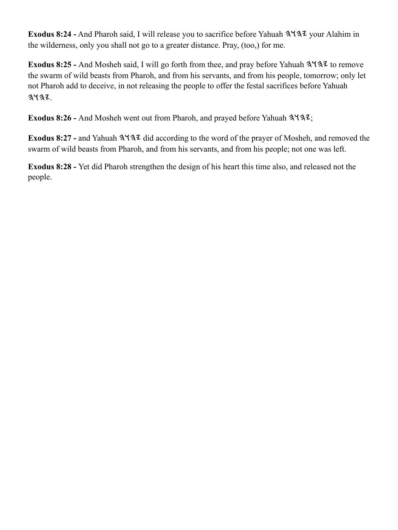**Exodus 8:24 -** And Pharoh said, I will release you to sacrifice before Yahuah  $3\frac{4}{3}\frac{7}{3}\frac{7}{3}$  your Alahim in the wilderness, only you shall not go to a greater distance. Pray, (too,) for me.

Exodus 8:25 - And Mosheh said, I will go forth from thee, and pray before Yahuah  $3\frac{1}{3}$  to remove the swarm of wild beasts from Pharoh, and from his servants, and from his people, tomorrow; only let not Pharoh add to deceive, in not releasing the people to offer the festal sacrifices before Yahuah  $3432.$ 

Exodus 8:26 - And Mosheh went out from Pharoh, and prayed before Yahuah  $3\frac{1}{3}$ ;

Exodus 8:27 - and Yahuah  $3\frac{1}{3}$  did according to the word of the prayer of Mosheh, and removed the swarm of wild beasts from Pharoh, and from his servants, and from his people; not one was left.

**Exodus 8:28 -** Yet did Pharoh strengthen the design of his heart this time also, and released not the people.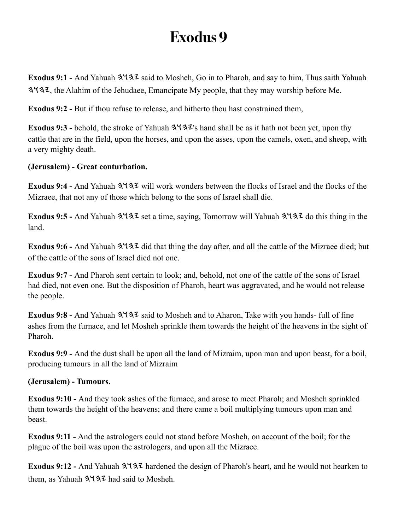<span id="page-24-0"></span>**Exodus 9:1 - And Yahuah**  $3137$  **said to Mosheh, Go in to Pharoh, and say to him, Thus saith Yahuah** , the Alahim of the Jehudaee, Emancipate My people, that they may worship before Me.

**Exodus 9:2 -** But if thou refuse to release, and hitherto thou hast constrained them,

**Exodus 9:3 -** behold, the stroke of Yahuah  $3\frac{4}{3}\frac{7}{3}\$  hand shall be as it hath not been yet, upon thy cattle that are in the field, upon the horses, and upon the asses, upon the camels, oxen, and sheep, with a very mighty death.

#### **(Jerusalem) - Great conturbation.**

**Exodus 9:4 - And Yahuah 3 432** will work wonders between the flocks of Israel and the flocks of the Mizraee, that not any of those which belong to the sons of Israel shall die.

**Exodus 9:5 - And Yahuah 3132** set a time, saying, Tomorrow will Yahuah 3137 do this thing in the land.

Exodus 9:6 - And Yahuah  $3137$  did that thing the day after, and all the cattle of the Mizraee died; but of the cattle of the sons of Israel died not one.

**Exodus 9:7 -** And Pharoh sent certain to look; and, behold, not one of the cattle of the sons of Israel had died, not even one. But the disposition of Pharoh, heart was aggravated, and he would not release the people.

**Exodus 9:8 - And Yahuah 3137 said to Mosheh and to Aharon, Take with you hands- full of fine** ashes from the furnace, and let Mosheh sprinkle them towards the height of the heavens in the sight of Pharoh.

**Exodus 9:9 -** And the dust shall be upon all the land of Mizraim, upon man and upon beast, for a boil, producing tumours in all the land of Mizraim

#### **(Jerusalem) - Tumours.**

**Exodus 9:10 -** And they took ashes of the furnace, and arose to meet Pharoh; and Mosheh sprinkled them towards the height of the heavens; and there came a boil multiplying tumours upon man and beast.

**Exodus 9:11 -** And the astrologers could not stand before Mosheh, on account of the boil; for the plague of the boil was upon the astrologers, and upon all the Mizraee.

Exodus 9:12 - And Yahuah  $3137$  hardened the design of Pharoh's heart, and he would not hearken to them, as Yahuah  $3\sqrt{3}$  had said to Mosheh.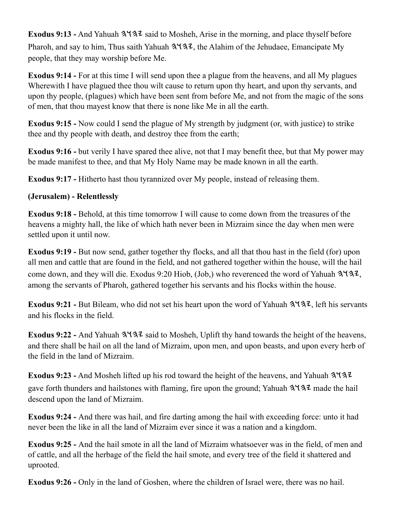**Exodus 9:13 -** And Yahuah  $3\sqrt{32}$  said to Mosheh, Arise in the morning, and place thyself before Pharoh, and say to him, Thus saith Yahuah  $3\sqrt{3}z$ , the Alahim of the Jehudaee, Emancipate My people, that they may worship before Me.

**Exodus 9:14 -** For at this time I will send upon thee a plague from the heavens, and all My plagues Wherewith I have plagued thee thou wilt cause to return upon thy heart, and upon thy servants, and upon thy people, (plagues) which have been sent from before Me, and not from the magic of the sons of men, that thou mayest know that there is none like Me in all the earth.

**Exodus 9:15 -** Now could I send the plague of My strength by judgment (or, with justice) to strike thee and thy people with death, and destroy thee from the earth;

**Exodus 9:16 -** but verily I have spared thee alive, not that I may benefit thee, but that My power may be made manifest to thee, and that My Holy Name may be made known in all the earth.

**Exodus 9:17 -** Hitherto hast thou tyrannized over My people, instead of releasing them.

#### **(Jerusalem) - Relentlessly**

**Exodus 9:18 -** Behold, at this time tomorrow I will cause to come down from the treasures of the heavens a mighty hall, the like of which hath never been in Mizraim since the day when men were settled upon it until now.

**Exodus 9:19 -** But now send, gather together thy flocks, and all that thou hast in the field (for) upon all men and cattle that are found in the field, and not gathered together within the house, will the hail come down, and they will die. Exodus 9:20 Hiob, (Job,) who reverenced the word of Yahuah  $3\frac{1}{3}$ , among the servants of Pharoh, gathered together his servants and his flocks within the house.

**Exodus 9:21 -** But Bileam, who did not set his heart upon the word of Yahuah  $3\frac{4}{3}\cdot\ldots$  left his servants and his flocks in the field.

Exodus 9:22 - And Yahuah  $3\frac{4}{3}$  said to Mosheh, Uplift thy hand towards the height of the heavens, and there shall be hail on all the land of Mizraim, upon men, and upon beasts, and upon every herb of the field in the land of Mizraim.

**Exodus 9:23 -** And Mosheh lifted up his rod toward the height of the heavens, and Yahuah gave forth thunders and hailstones with flaming, fire upon the ground; Yahuah  $3\frac{1}{3}\frac{1}{3}$  made the hail descend upon the land of Mizraim.

**Exodus 9:24 -** And there was hail, and fire darting among the hail with exceeding force: unto it had never been the like in all the land of Mizraim ever since it was a nation and a kingdom.

**Exodus 9:25 -** And the hail smote in all the land of Mizraim whatsoever was in the field, of men and of cattle, and all the herbage of the field the hail smote, and every tree of the field it shattered and uprooted.

**Exodus 9:26 -** Only in the land of Goshen, where the children of Israel were, there was no hail.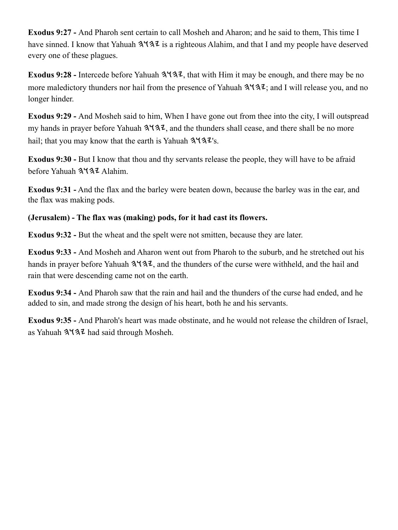**Exodus 9:27 -** And Pharoh sent certain to call Mosheh and Aharon; and he said to them, This time I have sinned. I know that Yahuah  $3\frac{1}{4}$  is a righteous Alahim, and that I and my people have deserved every one of these plagues.

**Exodus 9:28 -** Intercede before Yahuah  $3\frac{4}{3}$ , that with Him it may be enough, and there may be no more maledictory thunders nor hail from the presence of Yahuah  $3\frac{4}{3}\cdot\ldots$ ; and I will release you, and no longer hinder.

**Exodus 9:29 -** And Mosheh said to him, When I have gone out from thee into the city, I will outspread my hands in prayer before Yahuah  $3\sqrt{3}z$ , and the thunders shall cease, and there shall be no more hail; that you may know that the earth is Yahuah  $3\sqrt{3}z$ 's.

**Exodus 9:30 -** But I know that thou and thy servants release the people, they will have to be afraid before Yahuah 3137 Alahim.

**Exodus 9:31 -** And the flax and the barley were beaten down, because the barley was in the ear, and the flax was making pods.

#### **(Jerusalem) - The flax was (making) pods, for it had cast its flowers.**

**Exodus 9:32 -** But the wheat and the spelt were not smitten, because they are later.

**Exodus 9:33 -** And Mosheh and Aharon went out from Pharoh to the suburb, and he stretched out his hands in prayer before Yahuah  $3\frac{4}{3}$ , and the thunders of the curse were withheld, and the hail and rain that were descending came not on the earth.

**Exodus 9:34 -** And Pharoh saw that the rain and hail and the thunders of the curse had ended, and he added to sin, and made strong the design of his heart, both he and his servants.

**Exodus 9:35 -** And Pharoh's heart was made obstinate, and he would not release the children of Israel, as Yahuah  $3137$  had said through Mosheh.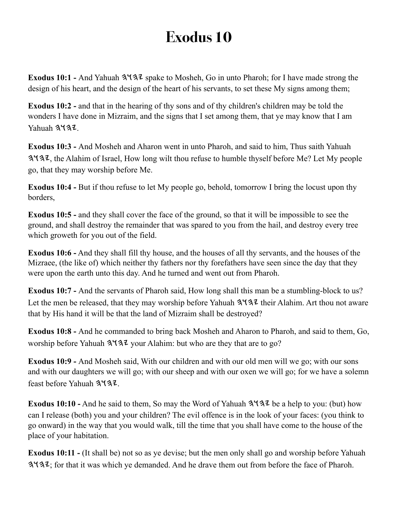<span id="page-27-0"></span>Exodus 10:1 - And Yahuah  $3\frac{4}{3}$  spake to Mosheh, Go in unto Pharoh; for I have made strong the design of his heart, and the design of the heart of his servants, to set these My signs among them;

**Exodus 10:2 -** and that in the hearing of thy sons and of thy children's children may be told the wonders I have done in Mizraim, and the signs that I set among them, that ye may know that I am Yahuah 3437.

**Exodus 10:3 -** And Mosheh and Aharon went in unto Pharoh, and said to him, Thus saith Yahuah 3. The Alahim of Israel, How long wilt thou refuse to humble thyself before Me? Let My people go, that they may worship before Me.

**Exodus 10:4 -** But if thou refuse to let My people go, behold, tomorrow I bring the locust upon thy borders,

**Exodus 10:5 - and they shall cover the face of the ground, so that it will be impossible to see the** ground, and shall destroy the remainder that was spared to you from the hail, and destroy every tree which groweth for you out of the field.

**Exodus 10:6 -** And they shall fill thy house, and the houses of all thy servants, and the houses of the Mizraee, (the like of) which neither thy fathers nor thy forefathers have seen since the day that they were upon the earth unto this day. And he turned and went out from Pharoh.

**Exodus 10:7 -** And the servants of Pharoh said, How long shall this man be a stumbling-block to us? Let the men be released, that they may worship before Yahuah  $3\frac{1}{3}$  their Alahim. Art thou not aware that by His hand it will be that the land of Mizraim shall be destroyed?

**Exodus 10:8 -** And he commanded to bring back Mosheh and Aharon to Pharoh, and said to them, Go, worship before Yahuah  $3\sqrt{3}z$  your Alahim: but who are they that are to go?

**Exodus 10:9 -** And Mosheh said, With our children and with our old men will we go; with our sons and with our daughters we will go; with our sheep and with our oxen we will go; for we have a solemn feast before Yahuah 3437.

**Exodus 10:10 -** And he said to them, So may the Word of Yahuah  $3\frac{4}{3}\frac{7}{3}\$  be a help to you: (but) how can I release (both) you and your children? The evil offence is in the look of your faces: (you think to go onward) in the way that you would walk, till the time that you shall have come to the house of the place of your habitation.

**Exodus 10:11 -** (It shall be) not so as ye devise; but the men only shall go and worship before Yahuah ; for that it was which ye demanded. And he drave them out from before the face of Pharoh.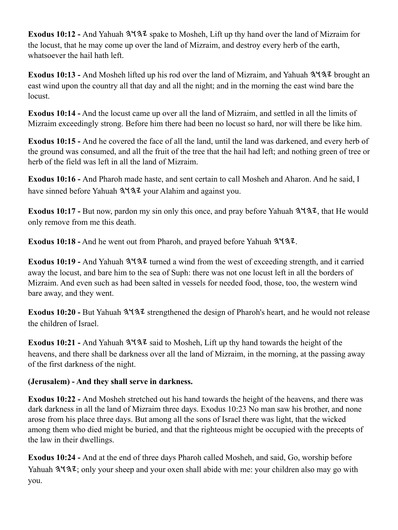Exodus 10:12 - And Yahuah  $3\sqrt{3}z$  spake to Mosheh, Lift up thy hand over the land of Mizraim for the locust, that he may come up over the land of Mizraim, and destroy every herb of the earth, whatsoever the hail hath left.

Exodus 10:13 - And Mosheh lifted up his rod over the land of Mizraim, and Yahuah  $3\frac{1}{3}$  brought an east wind upon the country all that day and all the night; and in the morning the east wind bare the locust.

**Exodus 10:14 -** And the locust came up over all the land of Mizraim, and settled in all the limits of Mizraim exceedingly strong. Before him there had been no locust so hard, nor will there be like him.

**Exodus 10:15 -** And he covered the face of all the land, until the land was darkened, and every herb of the ground was consumed, and all the fruit of the tree that the hail had left; and nothing green of tree or herb of the field was left in all the land of Mizraim.

**Exodus 10:16 -** And Pharoh made haste, and sent certain to call Mosheh and Aharon. And he said, I have sinned before Yahuah  $3\frac{1}{3}$  your Alahim and against you.

**Exodus 10:17 -** But now, pardon my sin only this once, and pray before Yahuah  $3\frac{4}{3}\frac{7}{3}\frac{7}{1}$ , that He would only remove from me this death.

Exodus 10:18 - And he went out from Pharoh, and prayed before Yahuah  $3\frac{4}{3}$ .

Exodus 10:19 - And Yahuah  $3\sqrt{3}$  turned a wind from the west of exceeding strength, and it carried away the locust, and bare him to the sea of Suph: there was not one locust left in all the borders of Mizraim. And even such as had been salted in vessels for needed food, those, too, the western wind bare away, and they went.

Exodus 10:20 - But Yahuah  $3\frac{1}{3}$  strengthened the design of Pharoh's heart, and he would not release the children of Israel.

**Exodus 10:21 - And Yahuah 3137 said to Mosheh, Lift up thy hand towards the height of the** heavens, and there shall be darkness over all the land of Mizraim, in the morning, at the passing away of the first darkness of the night.

#### **(Jerusalem) - And they shall serve in darkness.**

**Exodus 10:22 -** And Mosheh stretched out his hand towards the height of the heavens, and there was dark darkness in all the land of Mizraim three days. Exodus 10:23 No man saw his brother, and none arose from his place three days. But among all the sons of Israel there was light, that the wicked among them who died might be buried, and that the righteous might be occupied with the precepts of the law in their dwellings.

**Exodus 10:24 -** And at the end of three days Pharoh called Mosheh, and said, Go, worship before Yahuah  $3\sqrt{3}$ , only your sheep and your oxen shall abide with me: your children also may go with you.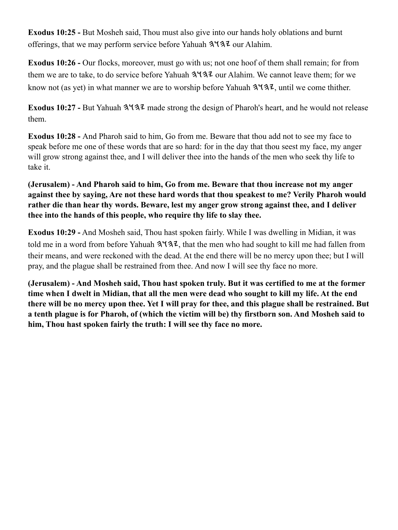**Exodus 10:25 -** But Mosheh said, Thou must also give into our hands holy oblations and burnt offerings, that we may perform service before Yahuah  $3\frac{1}{3}$  our Alahim.

**Exodus 10:26 -** Our flocks, moreover, must go with us; not one hoof of them shall remain; for from them we are to take, to do service before Yahuah  $3\sqrt{3}$  our Alahim. We cannot leave them; for we know not (as yet) in what manner we are to worship before Yahuah  $3\frac{4}{3}\cdot\ldots$  until we come thither.

**Exodus 10:27 -** But Yahuah  $3\sqrt{3}$  made strong the design of Pharoh's heart, and he would not release them.

**Exodus 10:28 -** And Pharoh said to him, Go from me. Beware that thou add not to see my face to speak before me one of these words that are so hard: for in the day that thou seest my face, my anger will grow strong against thee, and I will deliver thee into the hands of the men who seek thy life to take it.

#### **(Jerusalem) - And Pharoh said to him, Go from me. Beware that thou increase not my anger against thee by saying, Are not these hard words that thou speakest to me? Verily Pharoh would rather die than hear thy words. Beware, lest my anger grow strong against thee, and I deliver thee into the hands of this people, who require thy life to slay thee.**

**Exodus 10:29 -** And Mosheh said, Thou hast spoken fairly. While I was dwelling in Midian, it was told me in a word from before Yahuah  $3137$ , that the men who had sought to kill me had fallen from their means, and were reckoned with the dead. At the end there will be no mercy upon thee; but I will pray, and the plague shall be restrained from thee. And now I will see thy face no more.

**(Jerusalem) - And Mosheh said, Thou hast spoken truly. But it was certified to me at the former time when I dwelt in Midian, that all the men were dead who sought to kill my life. At the end there will be no mercy upon thee. Yet I will pray for thee, and this plague shall be restrained. But a tenth plague is for Pharoh, of (which the victim will be) thy firstborn son. And Mosheh said to him, Thou hast spoken fairly the truth: I will see thy face no more.**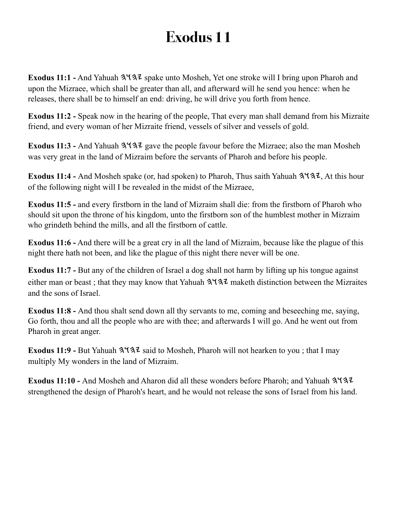<span id="page-30-0"></span>**Exodus 11:1 -** And Yahuah  $3\frac{4}{3}$  spake unto Mosheh, Yet one stroke will I bring upon Pharoh and upon the Mizraee, which shall be greater than all, and afterward will he send you hence: when he releases, there shall be to himself an end: driving, he will drive you forth from hence.

**Exodus 11:2 -** Speak now in the hearing of the people, That every man shall demand from his Mizraite friend, and every woman of her Mizraite friend, vessels of silver and vessels of gold.

Exodus 11:3 - And Yahuah  $3\frac{4}{3}$  gave the people favour before the Mizraee; also the man Mosheh was very great in the land of Mizraim before the servants of Pharoh and before his people.

Exodus 11:4 - And Mosheh spake (or, had spoken) to Pharoh, Thus saith Yahuah  $3\frac{4}{3}\frac{7}{2}$ , At this hour of the following night will I be revealed in the midst of the Mizraee,

**Exodus 11:5 -** and every firstborn in the land of Mizraim shall die: from the firstborn of Pharoh who should sit upon the throne of his kingdom, unto the firstborn son of the humblest mother in Mizraim who grindeth behind the mills, and all the firstborn of cattle.

**Exodus 11:6 -** And there will be a great cry in all the land of Mizraim, because like the plague of this night there hath not been, and like the plague of this night there never will be one.

**Exodus 11:7 -** But any of the children of Israel a dog shall not harm by lifting up his tongue against either man or beast; that they may know that Yahuah  $3\frac{1}{3}$  maketh distinction between the Mizraites and the sons of Israel.

**Exodus 11:8 -** And thou shalt send down all thy servants to me, coming and beseeching me, saying, Go forth, thou and all the people who are with thee; and afterwards I will go. And he went out from Pharoh in great anger.

**Exodus 11:9 - But Yahuah 3 4 3 Z said to Mosheh, Pharoh will not hearken to you ; that I may** multiply My wonders in the land of Mizraim.

**Exodus 11:10 -** And Mosheh and Aharon did all these wonders before Pharoh; and Yahuah strengthened the design of Pharoh's heart, and he would not release the sons of Israel from his land.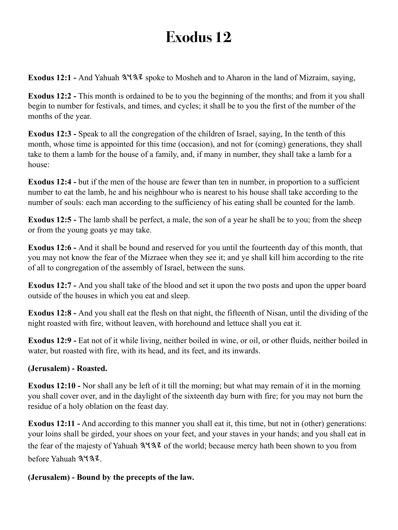<span id="page-31-0"></span>**Exodus 12:1 - And Yahuah**  $3\sqrt{32}$  **spoke to Mosheh and to Aharon in the land of Mizraim, saying,** 

**Exodus 12:2 -** This month is ordained to be to you the beginning of the months; and from it you shall begin to number for festivals, and times, and cycles; it shall be to you the first of the number of the months of the year.

**Exodus 12:3 -** Speak to all the congregation of the children of Israel, saying, In the tenth of this month, whose time is appointed for this time (occasion), and not for (coming) generations, they shall take to them a lamb for the house of a family, and, if many in number, they shall take a lamb for a house:

**Exodus 12:4 -** but if the men of the house are fewer than ten in number, in proportion to a sufficient number to eat the lamb, he and his neighbour who is nearest to his house shall take according to the number of souls: each man according to the sufficiency of his eating shall be counted for the lamb.

**Exodus 12:5 -** The lamb shall be perfect, a male, the son of a year he shall be to you; from the sheep or from the young goats ye may take.

**Exodus 12:6 -** And it shall be bound and reserved for you until the fourteenth day of this month, that you may not know the fear of the Mizraee when they see it; and ye shall kill him according to the rite of all to congregation of the assembly of Israel, between the suns.

**Exodus 12:7 -** And you shall take of the blood and set it upon the two posts and upon the upper board outside of the houses in which you eat and sleep.

**Exodus 12:8 -** And you shall eat the flesh on that night, the fifteenth of Nisan, until the dividing of the night roasted with fire, without leaven, with horehound and lettuce shall you eat it.

**Exodus 12:9 -** Eat not of it while living, neither boiled in wine, or oil, or other fluids, neither boiled in water, but roasted with fire, with its head, and its feet, and its inwards.

#### **(Jerusalem) - Roasted.**

**Exodus 12:10 -** Nor shall any be left of it till the morning; but what may remain of it in the morning you shall cover over, and in the daylight of the sixteenth day burn with fire; for you may not burn the residue of a holy oblation on the feast day.

**Exodus 12:11 -** And according to this manner you shall eat it, this time, but not in (other) generations: your loins shall be girded, your shoes on your feet, and your staves in your hands; and you shall eat in the fear of the majesty of Yahuah  $3\frac{1}{2}$  of the world; because mercy hath been shown to you from before Yahuah 3437.

#### **(Jerusalem) - Bound by the precepts of the law.**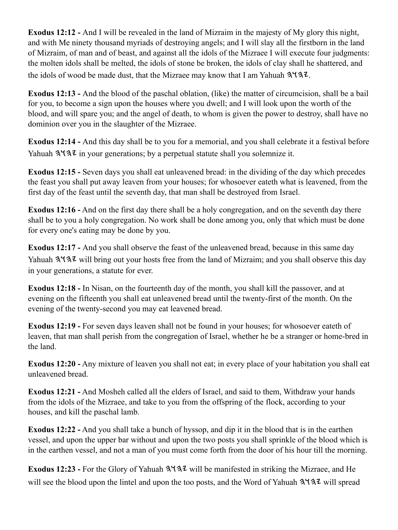**Exodus 12:12 -** And I will be revealed in the land of Mizraim in the majesty of My glory this night, and with Me ninety thousand myriads of destroying angels; and I will slay all the firstborn in the land of Mizraim, of man and of beast, and against all the idols of the Mizraee I will execute four judgments: the molten idols shall be melted, the idols of stone be broken, the idols of clay shall he shattered, and the idols of wood be made dust, that the Mizraee may know that I am Yahuah  $3\frac{1}{3}\ell$ .

**Exodus 12:13 -** And the blood of the paschal oblation, (like) the matter of circumcision, shall be a bail for you, to become a sign upon the houses where you dwell; and I will look upon the worth of the blood, and will spare you; and the angel of death, to whom is given the power to destroy, shall have no dominion over you in the slaughter of the Mizraee.

**Exodus 12:14 -** And this day shall be to you for a memorial, and you shall celebrate it a festival before Yahuah  $3\sqrt{3}$  in your generations; by a perpetual statute shall you solemnize it.

**Exodus 12:15 -** Seven days you shall eat unleavened bread: in the dividing of the day which precedes the feast you shall put away leaven from your houses; for whosoever eateth what is leavened, from the first day of the feast until the seventh day, that man shall be destroyed from Israel.

**Exodus 12:16 -** And on the first day there shall be a holy congregation, and on the seventh day there shall be to you a holy congregation. No work shall be done among you, only that which must be done for every one's eating may be done by you.

**Exodus 12:17 -** And you shall observe the feast of the unleavened bread, because in this same day Yahuah  $3\sqrt{3}$  will bring out your hosts free from the land of Mizraim; and you shall observe this day in your generations, a statute for ever.

**Exodus 12:18 -** In Nisan, on the fourteenth day of the month, you shall kill the passover, and at evening on the fifteenth you shall eat unleavened bread until the twenty-first of the month. On the evening of the twenty-second you may eat leavened bread.

**Exodus 12:19 -** For seven days leaven shall not be found in your houses; for whosoever eateth of leaven, that man shall perish from the congregation of Israel, whether he be a stranger or home-bred in the land.

**Exodus 12:20 -** Any mixture of leaven you shall not eat; in every place of your habitation you shall eat unleavened bread.

**Exodus 12:21 -** And Mosheh called all the elders of Israel, and said to them, Withdraw your hands from the idols of the Mizraee, and take to you from the offspring of the flock, according to your houses, and kill the paschal lamb.

**Exodus 12:22 -** And you shall take a bunch of hyssop, and dip it in the blood that is in the earthen vessel, and upon the upper bar without and upon the two posts you shall sprinkle of the blood which is in the earthen vessel, and not a man of you must come forth from the door of his hour till the morning.

Exodus 12:23 - For the Glory of Yahuah  $3\frac{4}{3}\frac{7}{3}\frac{1}{3}$  will be manifested in striking the Mizraee, and He will see the blood upon the lintel and upon the too posts, and the Word of Yahuah  $3\frac{4}{3}\frac{7}{2}$  will spread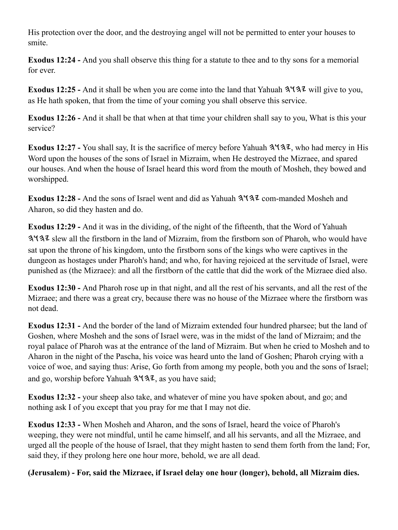His protection over the door, and the destroying angel will not be permitted to enter your houses to smite.

**Exodus 12:24 -** And you shall observe this thing for a statute to thee and to thy sons for a memorial for ever.

**Exodus 12:25 -** And it shall be when you are come into the land that Yahuah  $3\frac{4}{3}\frac{7}{4}$  will give to you, as He hath spoken, that from the time of your coming you shall observe this service.

**Exodus 12:26 -** And it shall be that when at that time your children shall say to you, What is this your service?

**Exodus 12:27 -** You shall say, It is the sacrifice of mercy before Yahuah  $3\frac{1}{3}\sqrt{3}$ , who had mercy in His Word upon the houses of the sons of Israel in Mizraim, when He destroyed the Mizraee, and spared our houses. And when the house of Israel heard this word from the mouth of Mosheh, they bowed and worshipped.

**Exodus 12:28 - And the sons of Israel went and did as Yahuah**  $3\frac{4}{3}\frac{2}{\sqrt{2}}$  **com-manded Mosheh and** Aharon, so did they hasten and do.

**Exodus 12:29 -** And it was in the dividing, of the night of the fifteenth, that the Word of Yahuah slew all the firstborn in the land of Mizraim, from the firstborn son of Pharoh, who would have sat upon the throne of his kingdom, unto the firstborn sons of the kings who were captives in the dungeon as hostages under Pharoh's hand; and who, for having rejoiced at the servitude of Israel, were punished as (the Mizraee): and all the firstborn of the cattle that did the work of the Mizraee died also.

**Exodus 12:30 -** And Pharoh rose up in that night, and all the rest of his servants, and all the rest of the Mizraee; and there was a great cry, because there was no house of the Mizraee where the firstborn was not dead.

**Exodus 12:31 -** And the border of the land of Mizraim extended four hundred pharsee; but the land of Goshen, where Mosheh and the sons of Israel were, was in the midst of the land of Mizraim; and the royal palace of Pharoh was at the entrance of the land of Mizraim. But when he cried to Mosheh and to Aharon in the night of the Pascha, his voice was heard unto the land of Goshen; Pharoh crying with a voice of woe, and saying thus: Arise, Go forth from among my people, both you and the sons of Israel; and go, worship before Yahuah  $3\overline{4}3$ , as you have said;

**Exodus 12:32 -** your sheep also take, and whatever of mine you have spoken about, and go; and nothing ask I of you except that you pray for me that I may not die.

**Exodus 12:33 -** When Mosheh and Aharon, and the sons of Israel, heard the voice of Pharoh's weeping, they were not mindful, until he came himself, and all his servants, and all the Mizraee, and urged all the people of the house of Israel, that they might hasten to send them forth from the land; For, said they, if they prolong here one hour more, behold, we are all dead.

**(Jerusalem) - For, said the Mizraee, if Israel delay one hour (longer), behold, all Mizraim dies.**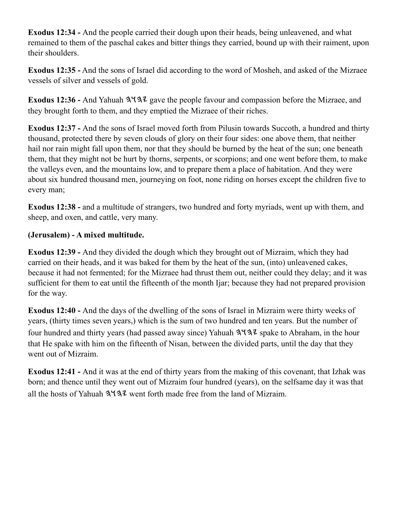**Exodus 12:34 -** And the people carried their dough upon their heads, being unleavened, and what remained to them of the paschal cakes and bitter things they carried, bound up with their raiment, upon their shoulders.

**Exodus 12:35 -** And the sons of Israel did according to the word of Mosheh, and asked of the Mizraee vessels of silver and vessels of gold.

**Exodus 12:36 - And Yahuah**  $3\sqrt{32}$  **gave the people favour and compassion before the Mizraee, and** they brought forth to them, and they emptied the Mizraee of their riches.

**Exodus 12:37 -** And the sons of Israel moved forth from Pilusin towards Succoth, a hundred and thirty thousand, protected there by seven clouds of glory on their four sides: one above them, that neither hail nor rain might fall upon them, nor that they should be burned by the heat of the sun; one beneath them, that they might not be hurt by thorns, serpents, or scorpions; and one went before them, to make the valleys even, and the mountains low, and to prepare them a place of habitation. And they were about six hundred thousand men, journeying on foot, none riding on horses except the children five to every man;

**Exodus 12:38 -** and a multitude of strangers, two hundred and forty myriads, went up with them, and sheep, and oxen, and cattle, very many.

#### **(Jerusalem) - A mixed multitude.**

**Exodus 12:39 -** And they divided the dough which they brought out of Mizraim, which they had carried on their heads, and it was baked for them by the heat of the sun, (into) unleavened cakes, because it had not fermented; for the Mizraee had thrust them out, neither could they delay; and it was sufficient for them to eat until the fifteenth of the month Ijar; because they had not prepared provision for the way.

**Exodus 12:40 -** And the days of the dwelling of the sons of Israel in Mizraim were thirty weeks of years, (thirty times seven years,) which is the sum of two hundred and ten years. But the number of four hundred and thirty years (had passed away since) Yahuah  $3\sqrt{3}z$  spake to Abraham, in the hour that He spake with him on the fifteenth of Nisan, between the divided parts, until the day that they went out of Mizraim.

**Exodus 12:41 -** And it was at the end of thirty years from the making of this covenant, that Izhak was born; and thence until they went out of Mizraim four hundred (years), on the selfsame day it was that all the hosts of Yahuah  $3\sqrt{3}z$  went forth made free from the land of Mizraim.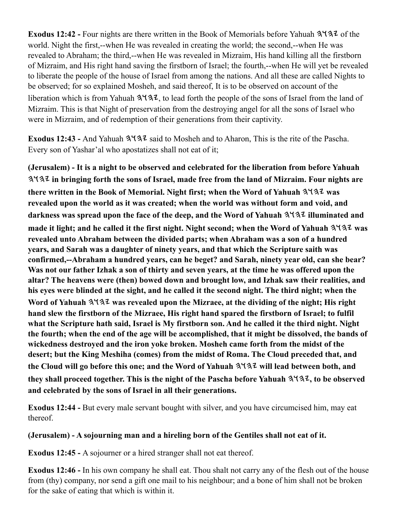**Exodus 12:42 - Four nights are there written in the Book of Memorials before Yahuah 3137 of the** world. Night the first,--when He was revealed in creating the world; the second,--when He was revealed to Abraham; the third,--when He was revealed in Mizraim, His hand killing all the firstborn of Mizraim, and His right hand saving the firstborn of Israel; the fourth,--when He will yet be revealed to liberate the people of the house of Israel from among the nations. And all these are called Nights to be observed; for so explained Mosheh, and said thereof, It is to be observed on account of the liberation which is from Yahuah  $3137$ , to lead forth the people of the sons of Israel from the land of Mizraim. This is that Night of preservation from the destroying angel for all the sons of Israel who were in Mizraim, and of redemption of their generations from their captivity.

Exodus 12:43 - And Yahuah  $3\sqrt{3}z$  said to Mosheh and to Aharon, This is the rite of the Pascha. Every son of Yashar'al who apostatizes shall not eat of it;

**(Jerusalem) - It is a night to be observed and celebrated for the liberation from before Yahuah in bringing forth the sons of Israel, made free from the land of Mizraim. Four nights are** there written in the Book of Memorial. Night first; when the Word of Yahuah  $3\frac{1}{3}$  was **revealed upon the world as it was created; when the world was without form and void, and**  darkness was spread upon the face of the deep, and the Word of Yahuah  $3\frac{1}{3}$  illuminated and made it light; and he called it the first night. Night second; when the Word of Yahuah  $3\frac{1}{3}$  was **revealed unto Abraham between the divided parts; when Abraham was a son of a hundred years, and Sarah was a daughter of ninety years, and that which the Scripture saith was confirmed,--Abraham a hundred years, can he beget? and Sarah, ninety year old, can she bear? Was not our father Izhak a son of thirty and seven years, at the time he was offered upon the altar? The heavens were (then) bowed down and brought low, and Izhak saw their realities, and his eyes were blinded at the sight, and he called it the second night. The third night; when the**  Word of Yahuah  $3137$  was revealed upon the Mizraee, at the dividing of the night; His right **hand slew the firstborn of the Mizraee, His right hand spared the firstborn of Israel; to fulfil what the Scripture hath said, Israel is My firstborn son. And he called it the third night. Night the fourth; when the end of the age will be accomplished, that it might be dissolved, the bands of wickedness destroyed and the iron yoke broken. Mosheh came forth from the midst of the desert; but the King Meshiha (comes) from the midst of Roma. The Cloud preceded that, and**  the Cloud will go before this one; and the Word of Yahuah  $3\sqrt{3}$  will lead between both, and they shall proceed together. This is the night of the Pascha before Yahuah  $3\frac{1}{3}$ , to be observed **and celebrated by the sons of Israel in all their generations.**

**Exodus 12:44 -** But every male servant bought with silver, and you have circumcised him, may eat thereof.

#### **(Jerusalem) - A sojourning man and a hireling born of the Gentiles shall not eat of it.**

**Exodus 12:45 -** A sojourner or a hired stranger shall not eat thereof.

**Exodus 12:46 -** In his own company he shall eat. Thou shalt not carry any of the flesh out of the house from (thy) company, nor send a gift one mail to his neighbour; and a bone of him shall not be broken for the sake of eating that which is within it.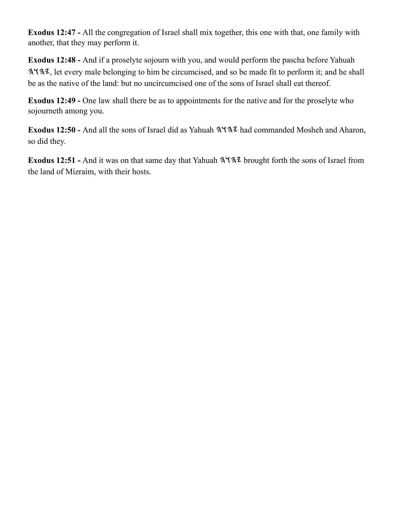**Exodus 12:47 -** All the congregation of Israel shall mix together, this one with that, one family with another, that they may perform it.

**Exodus 12:48 -** And if a proselyte sojourn with you, and would perform the pascha before Yahuah , let every male belonging to him be circumcised, and so be made fit to perform it; and he shall be as the native of the land: but no uncircumcised one of the sons of Israel shall eat thereof.

**Exodus 12:49 -** One law shall there be as to appointments for the native and for the proselyte who sojourneth among you.

Exodus 12:50 - And all the sons of Israel did as Yahuah  $3\frac{4}{3}$  had commanded Mosheh and Aharon, so did they.

Exodus 12:51 - And it was on that same day that Yahuah  $3\frac{4}{3}\frac{7}{2}$  brought forth the sons of Israel from the land of Mizraim, with their hosts.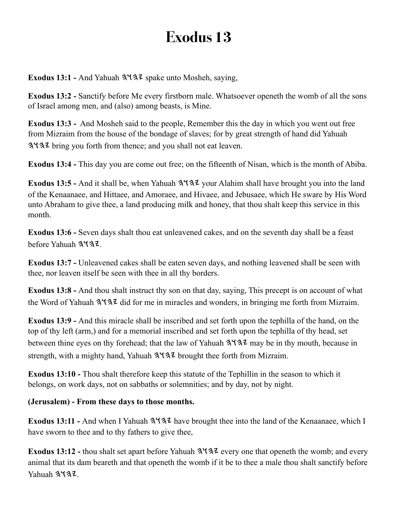Exodus 13:1 - And Yahuah  $3\frac{4}{3}$  spake unto Mosheh, saying,

**Exodus 13:2 -** Sanctify before Me every firstborn male. Whatsoever openeth the womb of all the sons of Israel among men, and (also) among beasts, is Mine.

**Exodus 13:3 -** And Mosheh said to the people, Remember this the day in which you went out free from Mizraim from the house of the bondage of slaves; for by great strength of hand did Yahuah bring you forth from thence; and you shall not eat leaven.

**Exodus 13:4 -** This day you are come out free; on the fifteenth of Nisan, which is the month of Abiba.

**Exodus 13:5 -** And it shall be, when Yahuah  $3\frac{4}{3}\sqrt{3}$  your Alahim shall have brought you into the land of the Kenaanaee, and Hittaee, and Amoraee, and Hivaee, and Jebusaee, which He sware by His Word unto Abraham to give thee, a land producing milk and honey, that thou shalt keep this service in this month.

**Exodus 13:6 -** Seven days shalt thou eat unleavened cakes, and on the seventh day shall be a feast before Yahuah 3437

**Exodus 13:7 -** Unleavened cakes shall be eaten seven days, and nothing leavened shall be seen with thee, nor leaven itself be seen with thee in all thy borders.

**Exodus 13:8 -** And thou shalt instruct thy son on that day, saying, This precept is on account of what the Word of Yahuah  $3137$  did for me in miracles and wonders, in bringing me forth from Mizraim.

**Exodus 13:9 -** And this miracle shall be inscribed and set forth upon the tephilla of the hand, on the top of thy left (arm,) and for a memorial inscribed and set forth upon the tephilla of thy head, set between thine eyes on thy forehead; that the law of Yahuah  $3\frac{1}{3}$  may be in thy mouth, because in strength, with a mighty hand, Yahuah  $3\sqrt{3}$  brought thee forth from Mizraim.

**Exodus 13:10 -** Thou shalt therefore keep this statute of the Tephillin in the season to which it belongs, on work days, not on sabbaths or solemnities; and by day, not by night.

### **(Jerusalem) - From these days to those months.**

Exodus 13:11 - And when I Yahuah  $3\frac{4}{3}$  have brought thee into the land of the Kenaanaee, which I have sworn to thee and to thy fathers to give thee,

**Exodus 13:12 - thou shalt set apart before Yahuah**  $3\frac{4}{3}\frac{7}{3}\frac{2}{3}$  **every one that openeth the womb; and every** animal that its dam beareth and that openeth the womb if it be to thee a male thou shalt sanctify before Yahuah 3437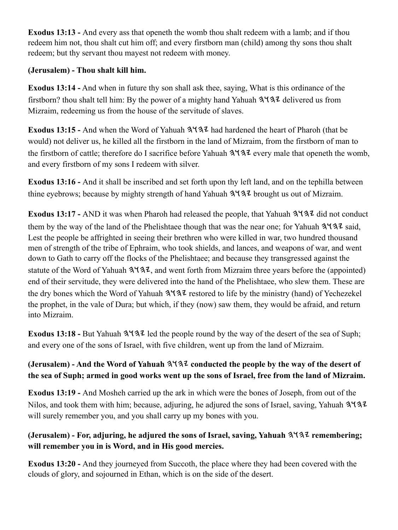**Exodus 13:13 -** And every ass that openeth the womb thou shalt redeem with a lamb; and if thou redeem him not, thou shalt cut him off; and every firstborn man (child) among thy sons thou shalt redeem; but thy servant thou mayest not redeem with money.

## **(Jerusalem) - Thou shalt kill him.**

**Exodus 13:14 -** And when in future thy son shall ask thee, saying, What is this ordinance of the firstborn? thou shalt tell him: By the power of a mighty hand Yahuah  $3\sqrt{3}$  delivered us from Mizraim, redeeming us from the house of the servitude of slaves.

**Exodus 13:15 - And when the Word of Yahuah**  $3\frac{4}{3}$  **had hardened the heart of Pharoh (that be** would) not deliver us, he killed all the firstborn in the land of Mizraim, from the firstborn of man to the firstborn of cattle; therefore do I sacrifice before Yahuah  $3\sqrt{3}z$  every male that openeth the womb, and every firstborn of my sons I redeem with silver.

**Exodus 13:16 -** And it shall be inscribed and set forth upon thy left land, and on the tephilla between thine eyebrows; because by mighty strength of hand Yahuah  $3\overline{4}3\overline{2}$  brought us out of Mizraim.

**Exodus 13:17 - AND** it was when Pharoh had released the people, that Yahuah  $3\frac{4}{3}\frac{4}{\sqrt{2}}$  did not conduct them by the way of the land of the Phelishtaee though that was the near one; for Yahuah  $3\sqrt{3}z$  said, Lest the people be affrighted in seeing their brethren who were killed in war, two hundred thousand men of strength of the tribe of Ephraim, who took shields, and lances, and weapons of war, and went down to Gath to carry off the flocks of the Phelishtaee; and because they transgressed against the statute of the Word of Yahuah  $3\frac{1}{3}$ , and went forth from Mizraim three years before the (appointed) end of their servitude, they were delivered into the hand of the Phelishtaee, who slew them. These are the dry bones which the Word of Yahuah  $3\frac{4}{3}$  restored to life by the ministry (hand) of Yechezekel the prophet, in the vale of Dura; but which, if they (now) saw them, they would be afraid, and return into Mizraim.

**Exodus 13:18 - But Yahuah**  $3\frac{4}{3}$  **led the people round by the way of the desert of the sea of Suph;** and every one of the sons of Israel, with five children, went up from the land of Mizraim.

## **(Jerusalem) - And the Word of Yahuah**  $3\frac{4}{3}$  **conducted the people by the way of the desert of the sea of Suph; armed in good works went up the sons of Israel, free from the land of Mizraim.**

**Exodus 13:19 -** And Mosheh carried up the ark in which were the bones of Joseph, from out of the Nilos, and took them with him; because, adjuring, he adjured the sons of Israel, saving, Yahuah 3. will surely remember you, and you shall carry up my bones with you.

## **(Jerusalem)** - For, adjuring, he adjured the sons of Israel, saving, Yahuah  $3\sqrt{3}$  remembering; **will remember you in is Word, and in His good mercies.**

**Exodus 13:20 -** And they journeyed from Succoth, the place where they had been covered with the clouds of glory, and sojourned in Ethan, which is on the side of the desert.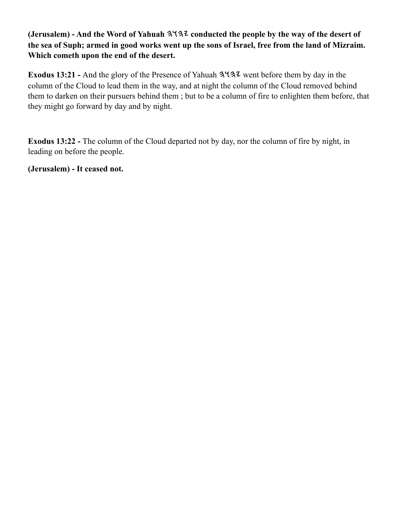### **(Jerusalem) - And the Word of Yahuah**  $3437$  **conducted the people by the way of the desert of the sea of Suph; armed in good works went up the sons of Israel, free from the land of Mizraim. Which cometh upon the end of the desert.**

Exodus 13:21 - And the glory of the Presence of Yahuah  $3\frac{4}{3}\frac{7}{4}$  went before them by day in the column of the Cloud to lead them in the way, and at night the column of the Cloud removed behind them to darken on their pursuers behind them ; but to be a column of fire to enlighten them before, that they might go forward by day and by night.

**Exodus 13:22 -** The column of the Cloud departed not by day, nor the column of fire by night, in leading on before the people.

**(Jerusalem) - It ceased not.**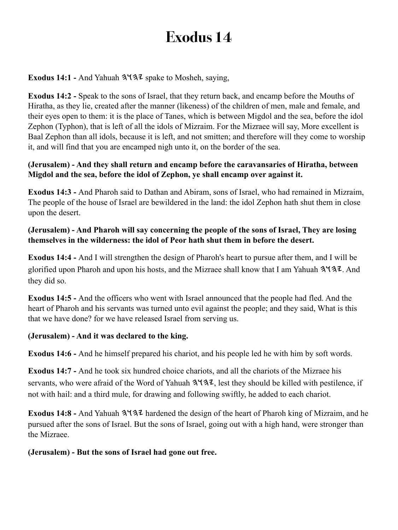**Exodus 14:1 - And Yahuah**  $3\sqrt{32}$  **spake to Mosheh, saying,** 

**Exodus 14:2 -** Speak to the sons of Israel, that they return back, and encamp before the Mouths of Hiratha, as they lie, created after the manner (likeness) of the children of men, male and female, and their eyes open to them: it is the place of Tanes, which is between Migdol and the sea, before the idol Zephon (Typhon), that is left of all the idols of Mizraim. For the Mizraee will say, More excellent is Baal Zephon than all idols, because it is left, and not smitten; and therefore will they come to worship it, and will find that you are encamped nigh unto it, on the border of the sea.

#### **(Jerusalem) - And they shall return and encamp before the caravansaries of Hiratha, between Migdol and the sea, before the idol of Zephon, ye shall encamp over against it.**

**Exodus 14:3 -** And Pharoh said to Dathan and Abiram, sons of Israel, who had remained in Mizraim, The people of the house of Israel are bewildered in the land: the idol Zephon hath shut them in close upon the desert.

#### **(Jerusalem) - And Pharoh will say concerning the people of the sons of Israel, They are losing themselves in the wilderness: the idol of Peor hath shut them in before the desert.**

**Exodus 14:4 -** And I will strengthen the design of Pharoh's heart to pursue after them, and I will be glorified upon Pharoh and upon his hosts, and the Mizraee shall know that I am Yahuah  $3\frac{4}{3}\cdot\ldots$  And they did so.

**Exodus 14:5 -** And the officers who went with Israel announced that the people had fled. And the heart of Pharoh and his servants was turned unto evil against the people; and they said, What is this that we have done? for we have released Israel from serving us.

### **(Jerusalem) - And it was declared to the king.**

**Exodus 14:6 -** And he himself prepared his chariot, and his people led he with him by soft words.

**Exodus 14:7 -** And he took six hundred choice chariots, and all the chariots of the Mizraee his servants, who were afraid of the Word of Yahuah  $3\frac{4}{3}$ , lest they should be killed with pestilence, if not with hail: and a third mule, for drawing and following swiftly, he added to each chariot.

Exodus 14:8 - And Yahuah  $3\frac{4}{3}$  hardened the design of the heart of Pharoh king of Mizraim, and he pursued after the sons of Israel. But the sons of Israel, going out with a high hand, were stronger than the Mizraee.

#### **(Jerusalem) - But the sons of Israel had gone out free.**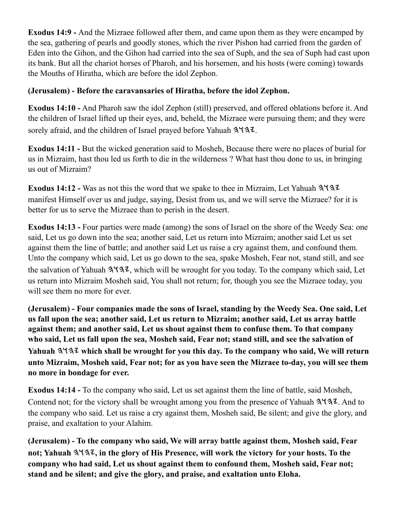**Exodus 14:9 -** And the Mizraee followed after them, and came upon them as they were encamped by the sea, gathering of pearls and goodly stones, which the river Pishon had carried from the garden of Eden into the Gihon, and the Gihon had carried into the sea of Suph, and the sea of Suph had cast upon its bank. But all the chariot horses of Pharoh, and his horsemen, and his hosts (were coming) towards the Mouths of Hiratha, which are before the idol Zephon.

### **(Jerusalem) - Before the caravansaries of Hiratha, before the idol Zephon.**

**Exodus 14:10 -** And Pharoh saw the idol Zephon (still) preserved, and offered oblations before it. And the children of Israel lifted up their eyes, and, beheld, the Mizraee were pursuing them; and they were sorely afraid, and the children of Israel prayed before Yahuah  $3\sqrt{37}$ .

**Exodus 14:11 -** But the wicked generation said to Mosheh, Because there were no places of burial for us in Mizraim, hast thou led us forth to die in the wilderness ? What hast thou done to us, in bringing us out of Mizraim?

**Exodus 14:12 -** Was as not this the word that we spake to thee in Mizraim, Let Yahuah manifest Himself over us and judge, saying, Desist from us, and we will serve the Mizraee? for it is better for us to serve the Mizraee than to perish in the desert.

**Exodus 14:13 - Four parties were made (among) the sons of Israel on the shore of the Weedy Sea: one** said, Let us go down into the sea; another said, Let us return into Mizraim; another said Let us set against them the line of battle; and another said Let us raise a cry against them, and confound them. Unto the company which said, Let us go down to the sea, spake Mosheh, Fear not, stand still, and see the salvation of Yahuah  $3137$ , which will be wrought for you today. To the company which said, Let us return into Mizraim Mosheh said, You shall not return; for, though you see the Mizraee today, you will see them no more for ever.

**(Jerusalem) - Four companies made the sons of Israel, standing by the Weedy Sea. One said, Let us fall upon the sea; another said, Let us return to Mizraim; another said, Let us array battle against them; and another said, Let us shout against them to confuse them. To that company who said, Let us fall upon the sea, Mosheh said, Fear not; stand still, and see the salvation of**  Yahuah  $3137$  which shall be wrought for you this day. To the company who said, We will return **unto Mizraim, Mosheh said, Fear not; for as you have seen the Mizraee to-day, you will see them no more in bondage for ever.**

**Exodus 14:14 -** To the company who said, Let us set against them the line of battle, said Mosheh, Contend not; for the victory shall be wrought among you from the presence of Yahuah  $3\frac{1}{3}$ . And to the company who said. Let us raise a cry against them, Mosheh said, Be silent; and give the glory, and praise, and exaltation to your Alahim.

**(Jerusalem) - To the company who said, We will array battle against them, Mosheh said, Fear**  not; Yahuah  $3137$ , in the glory of His Presence, will work the victory for your hosts. To the **company who had said, Let us shout against them to confound them, Mosheh said, Fear not; stand and be silent; and give the glory, and praise, and exaltation unto Eloha.**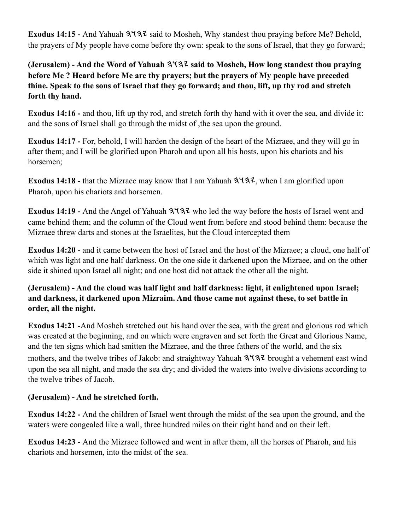**Exodus 14:15 - And Yahuah**  $3\sqrt{3}z$  **said to Mosheh, Why standest thou praying before Me? Behold,** the prayers of My people have come before thy own: speak to the sons of Israel, that they go forward;

**(Jerusalem)** - And the Word of Yahuah  $3\frac{4}{3}$  said to Mosheh, How long standest thou praying **before Me ? Heard before Me are thy prayers; but the prayers of My people have preceded thine. Speak to the sons of Israel that they go forward; and thou, lift, up thy rod and stretch forth thy hand.**

**Exodus 14:16 - and thou, lift up thy rod, and stretch forth thy hand with it over the sea, and divide it:** and the sons of Israel shall go through the midst of ,the sea upon the ground.

**Exodus 14:17 -** For, behold, I will harden the design of the heart of the Mizraee, and they will go in after them; and I will be glorified upon Pharoh and upon all his hosts, upon his chariots and his horsemen;

**Exodus 14:18 - that the Mizraee may know that I am Yahuah**  $3\sqrt{32}$ **, when I am glorified upon** Pharoh, upon his chariots and horsemen.

Exodus 14:19 - And the Angel of Yahuah  $3\frac{4}{3}$  who led the way before the hosts of Israel went and came behind them; and the column of the Cloud went from before and stood behind them: because the Mizraee threw darts and stones at the Israelites, but the Cloud intercepted them

**Exodus 14:20 -** and it came between the host of Israel and the host of the Mizraee; a cloud, one half of which was light and one half darkness. On the one side it darkened upon the Mizraee, and on the other side it shined upon Israel all night; and one host did not attack the other all the night.

**(Jerusalem) - And the cloud was half light and half darkness: light, it enlightened upon Israel; and darkness, it darkened upon Mizraim. And those came not against these, to set battle in order, all the night.**

**Exodus 14:21 -**And Mosheh stretched out his hand over the sea, with the great and glorious rod which was created at the beginning, and on which were engraven and set forth the Great and Glorious Name, and the ten signs which had smitten the Mizraee, and the three fathers of the world, and the six mothers, and the twelve tribes of Jakob: and straightway Yahuah  $3\overline{4}3\overline{2}$  brought a vehement east wind upon the sea all night, and made the sea dry; and divided the waters into twelve divisions according to the twelve tribes of Jacob.

#### **(Jerusalem) - And he stretched forth.**

**Exodus 14:22 -** And the children of Israel went through the midst of the sea upon the ground, and the waters were congealed like a wall, three hundred miles on their right hand and on their left.

**Exodus 14:23 -** And the Mizraee followed and went in after them, all the horses of Pharoh, and his chariots and horsemen, into the midst of the sea.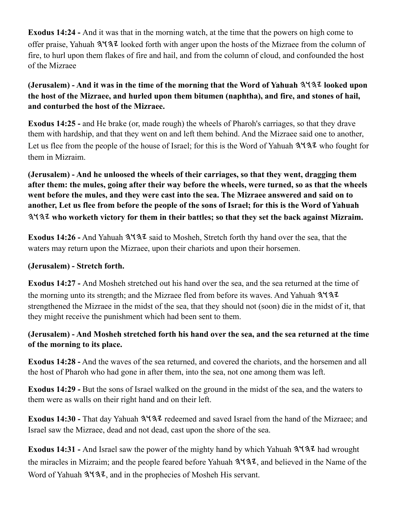**Exodus 14:24 -** And it was that in the morning watch, at the time that the powers on high come to offer praise. Yahuah 3137 looked forth with anger upon the hosts of the Mizraee from the column of fire, to hurl upon them flakes of fire and hail, and from the column of cloud, and confounded the host of the Mizraee

### **(Jerusalem)** - And it was in the time of the morning that the Word of Yahuah  $3\frac{1}{3}$  looked upon **the host of the Mizraee, and hurled upon them bitumen (naphtha), and fire, and stones of hail, and conturbed the host of the Mizraee.**

**Exodus 14:25 -** and He brake (or, made rough) the wheels of Pharoh's carriages, so that they drave them with hardship, and that they went on and left them behind. And the Mizraee said one to another, Let us flee from the people of the house of Israel; for this is the Word of Yahuah  $3\frac{4}{3}\frac{7}{2}$  who fought for them in Mizraim.

**(Jerusalem) - And he unloosed the wheels of their carriages, so that they went, dragging them after them: the mules, going after their way before the wheels, were turned, so as that the wheels went before the mules, and they were cast into the sea. The Mizraee answered and said on to another, Let us flee from before the people of the sons of Israel; for this is the Word of Yahuah who worketh victory for them in their battles; so that they set the back against Mizraim.**

**Exodus 14:26 -** And Yahuah  $3\sqrt{3}z$  said to Mosheh, Stretch forth thy hand over the sea, that the waters may return upon the Mizraee, upon their chariots and upon their horsemen.

#### **(Jerusalem) - Stretch forth.**

**Exodus 14:27 -** And Mosheh stretched out his hand over the sea, and the sea returned at the time of the morning unto its strength; and the Mizraee fled from before its waves. And Yahuah 3137 strengthened the Mizraee in the midst of the sea, that they should not (soon) die in the midst of it, that they might receive the punishment which had been sent to them.

### **(Jerusalem) - And Mosheh stretched forth his hand over the sea, and the sea returned at the time of the morning to its place.**

**Exodus 14:28 -** And the waves of the sea returned, and covered the chariots, and the horsemen and all the host of Pharoh who had gone in after them, into the sea, not one among them was left.

**Exodus 14:29 -** But the sons of Israel walked on the ground in the midst of the sea, and the waters to them were as walls on their right hand and on their left.

**Exodus 14:30 - That day Yahuah**  $3\frac{4}{3}$  **redeemed and saved Israel from the hand of the Mizraee; and** Israel saw the Mizraee, dead and not dead, cast upon the shore of the sea.

**Exodus 14:31 - And Israel saw the power of the mighty hand by which Yahuah**  $3\frac{4}{34}$  **had wrought** the miracles in Mizraim; and the people feared before Yahuah  $3\sqrt{3}z$ , and believed in the Name of the Word of Yahuah  $3137$ , and in the prophecies of Mosheh His servant.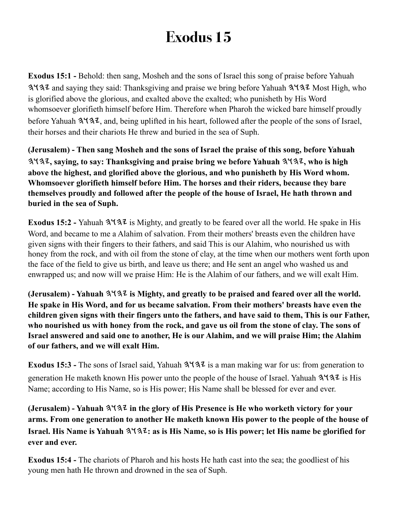**Exodus 15:1 -** Behold: then sang, Mosheh and the sons of Israel this song of praise before Yahuah  $3\frac{1}{4}$  and saying they said: Thanksgiving and praise we bring before Yahuah  $3\frac{1}{4}$  Most High, who is glorified above the glorious, and exalted above the exalted; who punisheth by His Word whomsoever glorifieth himself before Him. Therefore when Pharoh the wicked bare himself proudly before Yahuah  $3\sqrt{3}z$ , and, being uplifted in his heart, followed after the people of the sons of Israel, their horses and their chariots He threw and buried in the sea of Suph.

**(Jerusalem) - Then sang Mosheh and the sons of Israel the praise of this song, before Yahuah , saying, to say: Thanksgiving and praise bring we before Yahuah , who is high above the highest, and glorified above the glorious, and who punisheth by His Word whom. Whomsoever glorifieth himself before Him. The horses and their riders, because they bare themselves proudly and followed after the people of the house of Israel, He hath thrown and buried in the sea of Suph.**

Exodus 15:2 - Yahuah  $3\sqrt{3}z$  is Mighty, and greatly to be feared over all the world. He spake in His Word, and became to me a Alahim of salvation. From their mothers' breasts even the children have given signs with their fingers to their fathers, and said This is our Alahim, who nourished us with honey from the rock, and with oil from the stone of clay, at the time when our mothers went forth upon the face of the field to give us birth, and leave us there; and He sent an angel who washed us and enwrapped us; and now will we praise Him: He is the Alahim of our fathers, and we will exalt Him.

**(Jerusalem)** - Yahuah  $3\sqrt{32}$  is Mighty, and greatly to be praised and feared over all the world. **He spake in His Word, and for us became salvation. From their mothers' breasts have even the children given signs with their fingers unto the fathers, and have said to them, This is our Father, who nourished us with honey from the rock, and gave us oil from the stone of clay. The sons of Israel answered and said one to another, He is our Alahim, and we will praise Him; the Alahim of our fathers, and we will exalt Him.**

**Exodus 15:3 -** The sons of Israel said, Yahuah  $3\sqrt{32}$  is a man making war for us: from generation to generation He maketh known His power unto the people of the house of Israel. Yahuah  $3\frac{1}{3}$  is His Name; according to His Name, so is His power; His Name shall be blessed for ever and ever.

**(Jerusalem) - Yahuah**  $3137$  **in the glory of His Presence is He who worketh victory for your arms. From one generation to another He maketh known His power to the people of the house of Israel. His Name is Yahuah**  $3\sqrt{32}$ **: as is His Name, so is His power; let His name be glorified for ever and ever.**

**Exodus 15:4 -** The chariots of Pharoh and his hosts He hath cast into the sea; the goodliest of his young men hath He thrown and drowned in the sea of Suph.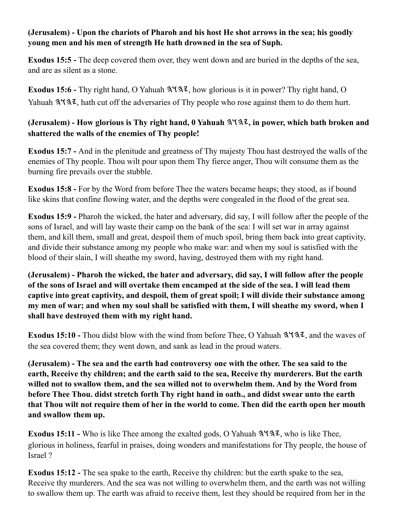#### **(Jerusalem) - Upon the chariots of Pharoh and his host He shot arrows in the sea; his goodly young men and his men of strength He hath drowned in the sea of Suph.**

**Exodus 15:5 -** The deep covered them over, they went down and are buried in the depths of the sea, and are as silent as a stone.

**Exodus 15:6 -** Thy right hand, O Yahuah  $3\sqrt{32}$ , how glorious is it in power? Thy right hand, O Yahuah  $3\sqrt{32}$ , hath cut off the adversaries of Thy people who rose against them to do them hurt.

### **(Jerusalem) - How glorious is Thy right hand, 0 Yahuah , in power, which bath broken and shattered the walls of the enemies of Thy people!**

**Exodus 15:7 -** And in the plenitude and greatness of Thy majesty Thou hast destroyed the walls of the enemies of Thy people. Thou wilt pour upon them Thy fierce anger, Thou wilt consume them as the burning fire prevails over the stubble.

**Exodus 15:8 -** For by the Word from before Thee the waters became heaps; they stood, as if bound like skins that confine flowing water, and the depths were congealed in the flood of the great sea.

**Exodus 15:9 -** Pharoh the wicked, the hater and adversary, did say, I will follow after the people of the sons of Israel, and will lay waste their camp on the bank of the sea: I will set war in array against them, and kill them, small and great, despoil them of much spoil, bring them back into great captivity, and divide their substance among my people who make war: and when my soul is satisfied with the blood of their slain, I will sheathe my sword, having, destroyed them with my right hand.

**(Jerusalem) - Pharoh the wicked, the hater and adversary, did say, I will follow after the people of the sons of Israel and will overtake them encamped at the side of the sea. I will lead them captive into great captivity, and despoil, them of great spoil; I will divide their substance among my men of war; and when my soul shall be satisfied with them, I will sheathe my sword, when I shall have destroyed them with my right hand.**

**Exodus 15:10 -** Thou didst blow with the wind from before Thee, O Yahuah  $3\frac{4}{3}\cdot\ldots$  and the waves of the sea covered them; they went down, and sank as lead in the proud waters.

**(Jerusalem) - The sea and the earth had controversy one with the other. The sea said to the earth, Receive thy children; and the earth said to the sea, Receive thy murderers. But the earth willed not to swallow them, and the sea willed not to overwhelm them. And by the Word from before Thee Thou. didst stretch forth Thy right hand in oath., and didst swear unto the earth that Thou wilt not require them of her in the world to come. Then did the earth open her mouth and swallow them up.**

**Exodus 15:11 -** Who is like Thee among the exalted gods, O Yahuah  $3\sqrt{32}$ , who is like Thee, glorious in holiness, fearful in praises, doing wonders and manifestations for Thy people, the house of Israel ?

**Exodus 15:12 -** The sea spake to the earth, Receive thy children: but the earth spake to the sea, Receive thy murderers. And the sea was not willing to overwhelm them, and the earth was not willing to swallow them up. The earth was afraid to receive them, lest they should be required from her in the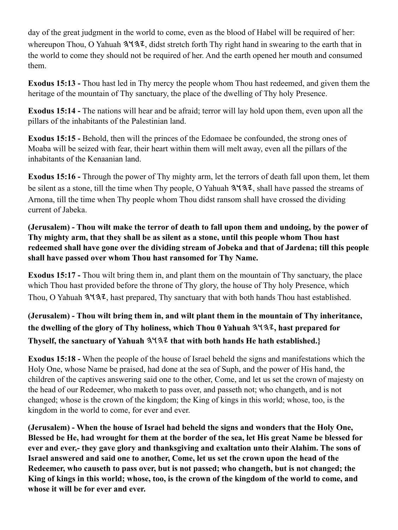day of the great judgment in the world to come, even as the blood of Habel will be required of her: whereupon Thou, O Yahuah  $3\sqrt{3}z$ , didst stretch forth Thy right hand in swearing to the earth that in the world to come they should not be required of her. And the earth opened her mouth and consumed them.

**Exodus 15:13 -** Thou hast led in Thy mercy the people whom Thou hast redeemed, and given them the heritage of the mountain of Thy sanctuary, the place of the dwelling of Thy holy Presence.

**Exodus 15:14 -** The nations will hear and be afraid; terror will lay hold upon them, even upon all the pillars of the inhabitants of the Palestinian land.

**Exodus 15:15 -** Behold, then will the princes of the Edomaee be confounded, the strong ones of Moaba will be seized with fear, their heart within them will melt away, even all the pillars of the inhabitants of the Kenaanian land.

**Exodus 15:16 -** Through the power of Thy mighty arm, let the terrors of death fall upon them, let them be silent as a stone, till the time when Thy people, O Yahuah  $3\frac{4}{3}\cdot\ldots$ , shall have passed the streams of Arnona, till the time when Thy people whom Thou didst ransom shall have crossed the dividing current of Jabeka.

### **(Jerusalem) - Thou wilt make the terror of death to fall upon them and undoing, by the power of Thy mighty arm, that they shall be as silent as a stone, until this people whom Thou hast redeemed shall have gone over the dividing stream of Jobeka and that of Jardena; till this people shall have passed over whom Thou hast ransomed for Thy Name.**

**Exodus 15:17 -** Thou wilt bring them in, and plant them on the mountain of Thy sanctuary, the place which Thou hast provided before the throne of Thy glory, the house of Thy holy Presence, which Thou, O Yahuah  $3\sqrt{3}z$ , hast prepared, Thy sanctuary that with both hands Thou hast established.

## **(Jerusalem) - Thou wilt bring them in, and wilt plant them in the mountain of Thy inheritance,**  the dwelling of the glory of Thy holiness, which Thou 0 Yahuah  $3\frac{4}{3}$ , hast prepared for Thyself, the sanctuary of Yahuah  $3\sqrt{3}$  that with both hands He hath established.}

**Exodus 15:18 -** When the people of the house of Israel beheld the signs and manifestations which the Holy One, whose Name be praised, had done at the sea of Suph, and the power of His hand, the children of the captives answering said one to the other, Come, and let us set the crown of majesty on the head of our Redeemer, who maketh to pass over, and passeth not; who changeth, and is not changed; whose is the crown of the kingdom; the King of kings in this world; whose, too, is the kingdom in the world to come, for ever and ever.

**(Jerusalem) - When the house of Israel had beheld the signs and wonders that the Holy One, Blessed be He, had wrought for them at the border of the sea, let His great Name be blessed for ever and ever,- they gave glory and thanksgiving and exaltation unto their Alahim. The sons of Israel answered and said one to another, Come, let us set the crown upon the head of the Redeemer, who causeth to pass over, but is not passed; who changeth, but is not changed; the King of kings in this world; whose, too, is the crown of the kingdom of the world to come, and whose it will be for ever and ever.**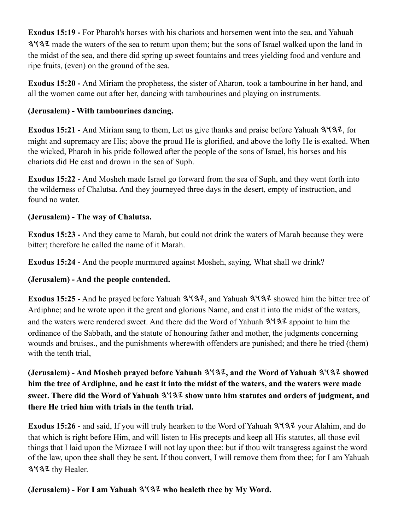**Exodus 15:19 -** For Pharoh's horses with his chariots and horsemen went into the sea, and Yahuah made the waters of the sea to return upon them; but the sons of Israel walked upon the land in the midst of the sea, and there did spring up sweet fountains and trees yielding food and verdure and ripe fruits, (even) on the ground of the sea.

**Exodus 15:20 -** And Miriam the prophetess, the sister of Aharon, took a tambourine in her hand, and all the women came out after her, dancing with tambourines and playing on instruments.

## **(Jerusalem) - With tambourines dancing.**

**Exodus 15:21 - And Miriam sang to them, Let us give thanks and praise before Yahuah 3932, for** might and supremacy are His; above the proud He is glorified, and above the lofty He is exalted. When the wicked, Pharoh in his pride followed after the people of the sons of Israel, his horses and his chariots did He cast and drown in the sea of Suph.

**Exodus 15:22 -** And Mosheh made Israel go forward from the sea of Suph, and they went forth into the wilderness of Chalutsa. And they journeyed three days in the desert, empty of instruction, and found no water.

### **(Jerusalem) - The way of Chalutsa.**

**Exodus 15:23 -** And they came to Marah, but could not drink the waters of Marah because they were bitter; therefore he called the name of it Marah.

**Exodus 15:24 -** And the people murmured against Mosheh, saying, What shall we drink?

## **(Jerusalem) - And the people contended.**

**Exodus 15:25 -** And he prayed before Yahuah  $3\frac{4}{3}$ , and Yahuah  $3\frac{4}{3}$  showed him the bitter tree of Ardiphne; and he wrote upon it the great and glorious Name, and cast it into the midst of the waters, and the waters were rendered sweet. And there did the Word of Yahuah  $3\frac{1}{3}$  appoint to him the ordinance of the Sabbath, and the statute of honouring father and mother, the judgments concerning wounds and bruises., and the punishments wherewith offenders are punished; and there he tried (them) with the tenth trial,

**(Jerusalem) - And Mosheh prayed before Yahuah , and the Word of Yahuah showed him the tree of Ardiphne, and he cast it into the midst of the waters, and the waters were made sweet. There did the Word of Yahuah**  $3137$  **show unto him statutes and orders of judgment, and there He tried him with trials in the tenth trial.**

**Exodus 15:26 - and said, If you will truly hearken to the Word of Yahuah**  $3\frac{4}{3}\frac{7}{3}\frac{7}{3}$  **your Alahim, and do** that which is right before Him, and will listen to His precepts and keep all His statutes, all those evil things that I laid upon the Mizraee I will not lay upon thee: but if thou wilt transgress against the word of the law, upon thee shall they be sent. If thou convert, I will remove them from thee; for I am Yahuah 3437 thy Healer.

## **(Jerusalem) - For I am Yahuah**  $3\frac{4}{3}$  **who healeth thee by My Word.**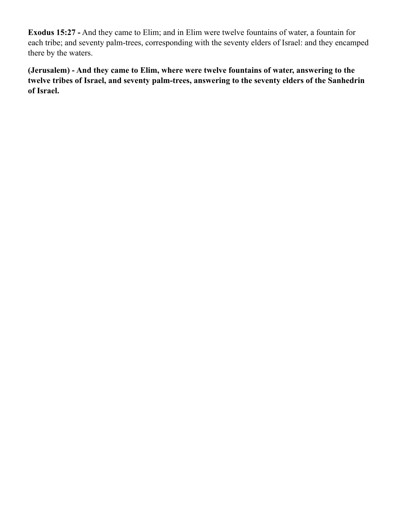**Exodus 15:27 -** And they came to Elim; and in Elim were twelve fountains of water, a fountain for each tribe; and seventy palm-trees, corresponding with the seventy elders of Israel: and they encamped there by the waters.

**(Jerusalem) - And they came to Elim, where were twelve fountains of water, answering to the twelve tribes of Israel, and seventy palm-trees, answering to the seventy elders of the Sanhedrin of Israel.**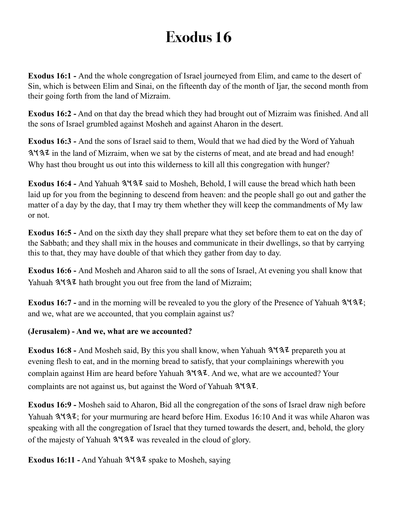**Exodus 16:1 -** And the whole congregation of Israel journeyed from Elim, and came to the desert of Sin, which is between Elim and Sinai, on the fifteenth day of the month of Ijar, the second month from their going forth from the land of Mizraim.

**Exodus 16:2 -** And on that day the bread which they had brought out of Mizraim was finished. And all the sons of Israel grumbled against Mosheh and against Aharon in the desert.

**Exodus 16:3 -** And the sons of Israel said to them, Would that we had died by the Word of Yahuah in the land of Mizraim, when we sat by the cisterns of meat, and ate bread and had enough! Why hast thou brought us out into this wilderness to kill all this congregation with hunger?

**Exodus 16:4 - And Yahuah**  $3\sqrt{32}$  **said to Mosheh, Behold, I will cause the bread which hath been** laid up for you from the beginning to descend from heaven: and the people shall go out and gather the matter of a day by the day, that I may try them whether they will keep the commandments of My law or not.

**Exodus 16:5 -** And on the sixth day they shall prepare what they set before them to eat on the day of the Sabbath; and they shall mix in the houses and communicate in their dwellings, so that by carrying this to that, they may have double of that which they gather from day to day.

**Exodus 16:6 -** And Mosheh and Aharon said to all the sons of Israel, At evening you shall know that Yahuah  $3\sqrt{3}$  hath brought you out free from the land of Mizraim;

**Exodus 16:7 - and in the morning will be revealed to you the glory of the Presence of Yahuah**  $3\frac{4}{3}\cdot\ldots$ **;** and we, what are we accounted, that you complain against us?

### **(Jerusalem) - And we, what are we accounted?**

**Exodus 16:8 - And Mosheh said, By this you shall know, when Yahuah**  $3\frac{4}{3}\frac{7}{2}$  **prepareth you at** evening flesh to eat, and in the morning bread to satisfy, that your complainings wherewith you complain against Him are heard before Yahuah  $3\frac{4}{3}$ . And we, what are we accounted? Your complaints are not against us, but against the Word of Yahuah  $3\sqrt{3}z$ .

**Exodus 16:9 -** Mosheh said to Aharon, Bid all the congregation of the sons of Israel draw nigh before Yahuah  $3\sqrt{3}$ ; for your murmuring are heard before Him. Exodus 16:10 And it was while Aharon was speaking with all the congregation of Israel that they turned towards the desert, and, behold, the glory of the majesty of Yahuah  $3137$  was revealed in the cloud of glory.

**Exodus 16:11 -** And Yahuah  $3\sqrt{3}z$  spake to Mosheh, saying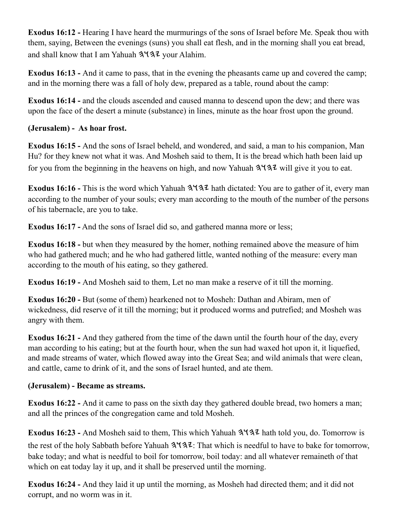**Exodus 16:12 -** Hearing I have heard the murmurings of the sons of Israel before Me. Speak thou with them, saying, Between the evenings (suns) you shall eat flesh, and in the morning shall you eat bread, and shall know that I am Yahuah  $3\frac{4}{3}\frac{7}{2}$  your Alahim.

**Exodus 16:13 -** And it came to pass, that in the evening the pheasants came up and covered the camp; and in the morning there was a fall of holy dew, prepared as a table, round about the camp:

**Exodus 16:14 -** and the clouds ascended and caused manna to descend upon the dew; and there was upon the face of the desert a minute (substance) in lines, minute as the hoar frost upon the ground.

### **(Jerusalem) - As hoar frost.**

**Exodus 16:15 -** And the sons of Israel beheld, and wondered, and said, a man to his companion, Man Hu? for they knew not what it was. And Mosheh said to them, It is the bread which hath been laid up for you from the beginning in the heavens on high, and now Yahuah  $3\sqrt{3}z$  will give it you to eat.

Exodus 16:16 - This is the word which Yahuah  $3\frac{4}{3}$  hath dictated: You are to gather of it, every man according to the number of your souls; every man according to the mouth of the number of the persons of his tabernacle, are you to take.

**Exodus 16:17 -** And the sons of Israel did so, and gathered manna more or less;

**Exodus 16:18 -** but when they measured by the homer, nothing remained above the measure of him who had gathered much; and he who had gathered little, wanted nothing of the measure: every man according to the mouth of his eating, so they gathered.

**Exodus 16:19 -** And Mosheh said to them, Let no man make a reserve of it till the morning.

**Exodus 16:20 -** But (some of them) hearkened not to Mosheh: Dathan and Abiram, men of wickedness, did reserve of it till the morning; but it produced worms and putrefied; and Mosheh was angry with them.

**Exodus 16:21 -** And they gathered from the time of the dawn until the fourth hour of the day, every man according to his eating; but at the fourth hour, when the sun had waxed hot upon it, it liquefied, and made streams of water, which flowed away into the Great Sea; and wild animals that were clean, and cattle, came to drink of it, and the sons of Israel hunted, and ate them.

### **(Jerusalem) - Became as streams.**

**Exodus 16:22 -** And it came to pass on the sixth day they gathered double bread, two homers a man; and all the princes of the congregation came and told Mosheh.

**Exodus 16:23 - And Mosheh said to them, This which Yahuah**  $3\sqrt{32}$  **hath told you, do. Tomorrow is** the rest of the holy Sabbath before Yahuah  $3\overline{137}$ . That which is needful to have to bake for tomorrow, bake today; and what is needful to boil for tomorrow, boil today: and all whatever remaineth of that which on eat today lay it up, and it shall be preserved until the morning.

**Exodus 16:24 -** And they laid it up until the morning, as Mosheh had directed them; and it did not corrupt, and no worm was in it.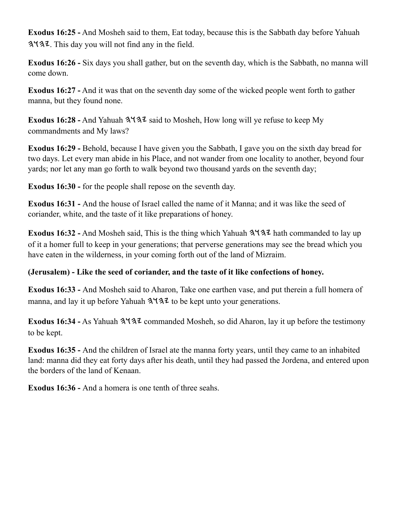**Exodus 16:25 -** And Mosheh said to them, Eat today, because this is the Sabbath day before Yahuah . This day you will not find any in the field.

**Exodus 16:26 -** Six days you shall gather, but on the seventh day, which is the Sabbath, no manna will come down.

**Exodus 16:27 -** And it was that on the seventh day some of the wicked people went forth to gather manna, but they found none.

Exodus 16:28 - And Yahuah  $3\sqrt{3}z$  said to Mosheh, How long will ye refuse to keep My commandments and My laws?

**Exodus 16:29 -** Behold, because I have given you the Sabbath, I gave you on the sixth day bread for two days. Let every man abide in his Place, and not wander from one locality to another, beyond four yards; nor let any man go forth to walk beyond two thousand yards on the seventh day;

**Exodus 16:30 -** for the people shall repose on the seventh day.

**Exodus 16:31 -** And the house of Israel called the name of it Manna; and it was like the seed of coriander, white, and the taste of it like preparations of honey.

**Exodus 16:32 -** And Mosheh said, This is the thing which Yahuah  $3\frac{4}{3}$  hath commanded to lay up of it a homer full to keep in your generations; that perverse generations may see the bread which you have eaten in the wilderness, in your coming forth out of the land of Mizraim.

### **(Jerusalem) - Like the seed of coriander, and the taste of it like confections of honey.**

**Exodus 16:33 -** And Mosheh said to Aharon, Take one earthen vase, and put therein a full homera of manna, and lay it up before Yahuah  $3\sqrt{3}$  to be kept unto your generations.

**Exodus 16:34 -** As Yahuah  $3\sqrt{32}$  commanded Mosheh, so did Aharon, lay it up before the testimony to be kept.

**Exodus 16:35 -** And the children of Israel ate the manna forty years, until they came to an inhabited land: manna did they eat forty days after his death, until they had passed the Jordena, and entered upon the borders of the land of Kenaan.

**Exodus 16:36 -** And a homera is one tenth of three seahs.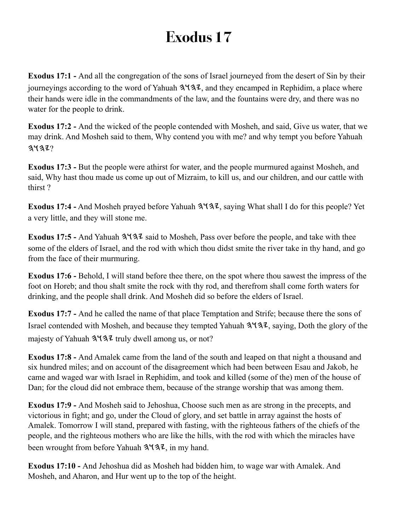**Exodus 17:1 -** And all the congregation of the sons of Israel journeyed from the desert of Sin by their journeyings according to the word of Yahuah  $3\frac{1}{3}$ , and they encamped in Rephidim, a place where their hands were idle in the commandments of the law, and the fountains were dry, and there was no water for the people to drink.

**Exodus 17:2 -** And the wicked of the people contended with Mosheh, and said, Give us water, that we may drink. And Mosheh said to them, Why contend you with me? and why tempt you before Yahuah  $31372$ 

**Exodus 17:3 -** But the people were athirst for water, and the people murmured against Mosheh, and said, Why hast thou made us come up out of Mizraim, to kill us, and our children, and our cattle with thirst ?

**Exodus 17:4 -** And Mosheh prayed before Yahuah  $3\frac{4}{3}\cdot\ldots$  saying What shall I do for this people? Yet a very little, and they will stone me.

Exodus 17:5 - And Yahuah  $3\frac{4}{3}$  said to Mosheh, Pass over before the people, and take with thee some of the elders of Israel, and the rod with which thou didst smite the river take in thy hand, and go from the face of their murmuring.

**Exodus 17:6 -** Behold, I will stand before thee there, on the spot where thou sawest the impress of the foot on Horeb; and thou shalt smite the rock with thy rod, and therefrom shall come forth waters for drinking, and the people shall drink. And Mosheh did so before the elders of Israel.

**Exodus 17:7 -** And he called the name of that place Temptation and Strife; because there the sons of Israel contended with Mosheh, and because they tempted Yahuah  $3\frac{4}{3}$ , saying, Doth the glory of the majesty of Yahuah  $3\frac{4}{3}$  truly dwell among us, or not?

**Exodus 17:8 -** And Amalek came from the land of the south and leaped on that night a thousand and six hundred miles; and on account of the disagreement which had been between Esau and Jakob, he came and waged war with Israel in Rephidim, and took and killed (some of the) men of the house of Dan; for the cloud did not embrace them, because of the strange worship that was among them.

**Exodus 17:9 -** And Mosheh said to Jehoshua, Choose such men as are strong in the precepts, and victorious in fight; and go, under the Cloud of glory, and set battle in array against the hosts of Amalek. Tomorrow I will stand, prepared with fasting, with the righteous fathers of the chiefs of the people, and the righteous mothers who are like the hills, with the rod with which the miracles have been wrought from before Yahuah  $3\sqrt{3}z$ , in my hand.

**Exodus 17:10 -** And Jehoshua did as Mosheh had bidden him, to wage war with Amalek. And Mosheh, and Aharon, and Hur went up to the top of the height.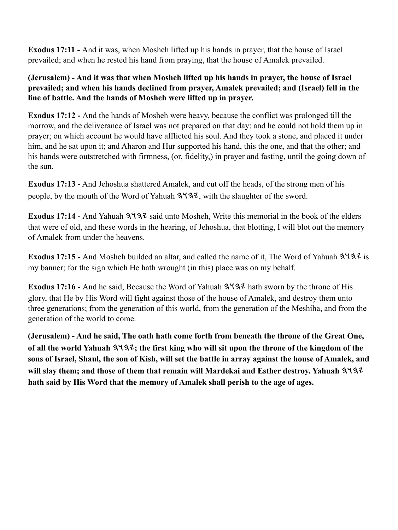**Exodus 17:11 -** And it was, when Mosheh lifted up his hands in prayer, that the house of Israel prevailed; and when he rested his hand from praying, that the house of Amalek prevailed.

**(Jerusalem) - And it was that when Mosheh lifted up his hands in prayer, the house of Israel prevailed; and when his hands declined from prayer, Amalek prevailed; and (Israel) fell in the line of battle. And the hands of Mosheh were lifted up in prayer.**

**Exodus 17:12 -** And the hands of Mosheh were heavy, because the conflict was prolonged till the morrow, and the deliverance of Israel was not prepared on that day; and he could not hold them up in prayer; on which account he would have afflicted his soul. And they took a stone, and placed it under him, and he sat upon it; and Aharon and Hur supported his hand, this the one, and that the other; and his hands were outstretched with firmness, (or, fidelity,) in prayer and fasting, until the going down of the sun.

**Exodus 17:13 -** And Jehoshua shattered Amalek, and cut off the heads, of the strong men of his people, by the mouth of the Word of Yahuah  $3\overline{4}3\overline{2}$ , with the slaughter of the sword.

Exodus 17:14 - And Yahuah  $3\sqrt{3}z$  said unto Mosheh, Write this memorial in the book of the elders that were of old, and these words in the hearing, of Jehoshua, that blotting, I will blot out the memory of Amalek from under the heavens.

**Exodus 17:15 - And Mosheh builded an altar, and called the name of it, The Word of Yahuah 3 437 is** my banner; for the sign which He hath wrought (in this) place was on my behalf.

**Exodus 17:16 - And he said, Because the Word of Yahuah**  $3\frac{1}{3}$  **hath sworn by the throne of His** glory, that He by His Word will fight against those of the house of Amalek, and destroy them unto three generations; from the generation of this world, from the generation of the Meshiha, and from the generation of the world to come.

**(Jerusalem) - And he said, The oath hath come forth from beneath the throne of the Great One, of all the world Yahuah ; the first king who will sit upon the throne of the kingdom of the sons of Israel, Shaul, the son of Kish, will set the battle in array against the house of Amalek, and will slay them; and those of them that remain will Mardekai and Esther destroy. Yahuah hath said by His Word that the memory of Amalek shall perish to the age of ages.**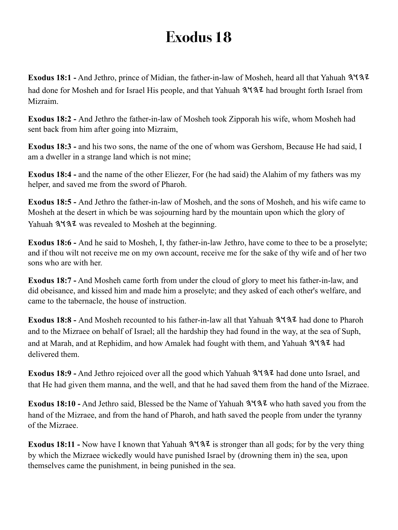**Exodus 18:1 -** And Jethro, prince of Midian, the father-in-law of Mosheh, heard all that Yahuah had done for Mosheh and for Israel His people, and that Yahuah  $3\frac{4}{3}\frac{7}{4}$  had brought forth Israel from Mizraim.

**Exodus 18:2 -** And Jethro the father-in-law of Mosheh took Zipporah his wife, whom Mosheh had sent back from him after going into Mizraim,

**Exodus 18:3 -** and his two sons, the name of the one of whom was Gershom, Because He had said, I am a dweller in a strange land which is not mine;

**Exodus 18:4 -** and the name of the other Eliezer, For (he had said) the Alahim of my fathers was my helper, and saved me from the sword of Pharoh.

**Exodus 18:5 -** And Jethro the father-in-law of Mosheh, and the sons of Mosheh, and his wife came to Mosheh at the desert in which be was sojourning hard by the mountain upon which the glory of Yahuah  $3\sqrt{3}$  was revealed to Mosheh at the beginning.

**Exodus 18:6 -** And he said to Mosheh, I, thy father-in-law Jethro, have come to thee to be a proselyte; and if thou wilt not receive me on my own account, receive me for the sake of thy wife and of her two sons who are with her.

**Exodus 18:7 -** And Mosheh came forth from under the cloud of glory to meet his father-in-law, and did obeisance, and kissed him and made him a proselyte; and they asked of each other's welfare, and came to the tabernacle, the house of instruction.

Exodus 18:8 - And Mosheh recounted to his father-in-law all that Yahuah  $3\sqrt{3}z$  had done to Pharoh and to the Mizraee on behalf of Israel; all the hardship they had found in the way, at the sea of Suph, and at Marah, and at Rephidim, and how Amalek had fought with them, and Yahuah  $3\frac{1}{3}$  had delivered them.

**Exodus 18:9 -** And Jethro rejoiced over all the good which Yahuah  $3\frac{4}{3}\frac{7}{3}\lambda$  had done unto Israel, and that He had given them manna, and the well, and that he had saved them from the hand of the Mizraee.

**Exodus 18:10 -** And Jethro said, Blessed be the Name of Yahuah  $3\frac{4}{3}\frac{7}{3}\frac{1}{1}$  who hath saved you from the hand of the Mizraee, and from the hand of Pharoh, and hath saved the people from under the tyranny of the Mizraee.

**Exodus 18:11 -** Now have I known that Yahuah  $3\sqrt{32}$  is stronger than all gods; for by the very thing by which the Mizraee wickedly would have punished Israel by (drowning them in) the sea, upon themselves came the punishment, in being punished in the sea.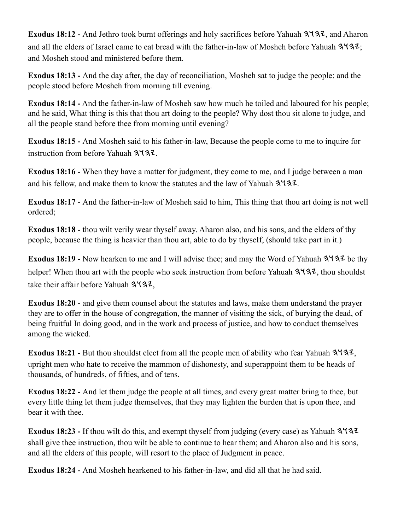**Exodus 18:12 - And Jethro took burnt offerings and holy sacrifices before Yahuah**  $3\frac{1}{3}\lambda$ **, and Aharon** and all the elders of Israel came to eat bread with the father-in-law of Mosheh before Yahuah  $3\frac{1}{3}\frac{1}{2}$ ; and Mosheh stood and ministered before them.

**Exodus 18:13 -** And the day after, the day of reconciliation, Mosheh sat to judge the people: and the people stood before Mosheh from morning till evening.

**Exodus 18:14 -** And the father-in-law of Mosheh saw how much he toiled and laboured for his people; and he said, What thing is this that thou art doing to the people? Why dost thou sit alone to judge, and all the people stand before thee from morning until evening?

**Exodus 18:15 -** And Mosheh said to his father-in-law, Because the people come to me to inquire for instruction from before Yahuah  $3\sqrt{32}$ .

**Exodus 18:16 -** When they have a matter for judgment, they come to me, and I judge between a man and his fellow, and make them to know the statutes and the law of Yahuah  $3\frac{1}{3}$ .

**Exodus 18:17 -** And the father-in-law of Mosheh said to him, This thing that thou art doing is not well ordered;

**Exodus 18:18 -** thou wilt verily wear thyself away. Aharon also, and his sons, and the elders of thy people, because the thing is heavier than thou art, able to do by thyseIf, (should take part in it.)

**Exodus 18:19 -** Now hearken to me and I will advise thee; and may the Word of Yahuah  $3\sqrt{32}$  be thy helper! When thou art with the people who seek instruction from before Yahuah  $3\frac{1}{3}\lambda$ , thou shouldst take their affair before Yahuah  $3\sqrt{32}$ ,

**Exodus 18:20 - and give them counsel about the statutes and laws, make them understand the prayer** they are to offer in the house of congregation, the manner of visiting the sick, of burying the dead, of being fruitful In doing good, and in the work and process of justice, and how to conduct themselves among the wicked.

**Exodus 18:21 - But thou shouldst elect from all the people men of ability who fear Yahuah**  $3\frac{4}{3}\ell$ **,** upright men who hate to receive the mammon of dishonesty, and superappoint them to be heads of thousands, of hundreds, of fifties, and of tens.

**Exodus 18:22 -** And let them judge the people at all times, and every great matter bring to thee, but every little thing let them judge themselves, that they may lighten the burden that is upon thee, and bear it with thee.

**Exodus 18:23 -** If thou wilt do this, and exempt thyself from judging (every case) as Yahuah shall give thee instruction, thou wilt be able to continue to hear them; and Aharon also and his sons, and all the elders of this people, will resort to the place of Judgment in peace.

**Exodus 18:24 -** And Mosheh hearkened to his father-in-law, and did all that he had said.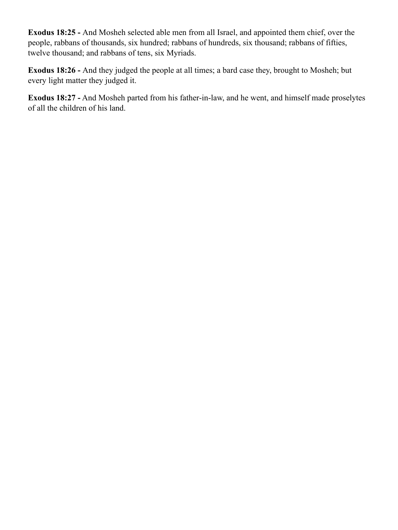**Exodus 18:25 -** And Mosheh selected able men from all Israel, and appointed them chief, over the people, rabbans of thousands, six hundred; rabbans of hundreds, six thousand; rabbans of fifties, twelve thousand; and rabbans of tens, six Myriads.

**Exodus 18:26 -** And they judged the people at all times; a bard case they, brought to Mosheh; but every light matter they judged it.

**Exodus 18:27 -** And Mosheh parted from his father-in-law, and he went, and himself made proselytes of all the children of his land.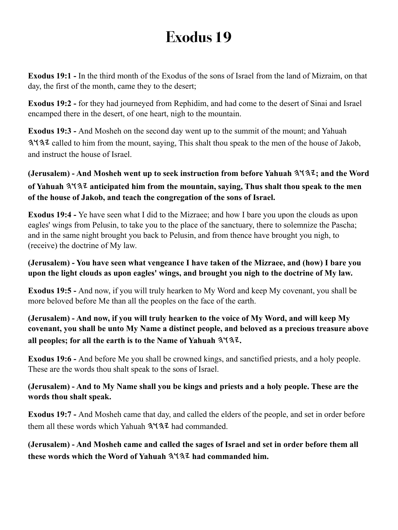**Exodus 19:1 -** In the third month of the Exodus of the sons of Israel from the land of Mizraim, on that day, the first of the month, came they to the desert;

**Exodus 19:2 -** for they had journeyed from Rephidim, and had come to the desert of Sinai and Israel encamped there in the desert, of one heart, nigh to the mountain.

**Exodus 19:3 -** And Mosheh on the second day went up to the summit of the mount; and Yahuah called to him from the mount, saying, This shalt thou speak to the men of the house of Jakob, and instruct the house of Israel.

## **(Jerusalem) - And Mosheh went up to seek instruction from before Yahuah ; and the Word of Yahuah anticipated him from the mountain, saying, Thus shalt thou speak to the men of the house of Jakob, and teach the congregation of the sons of Israel.**

**Exodus 19:4 -** Ye have seen what I did to the Mizraee; and how I bare you upon the clouds as upon eagles' wings from Pelusin, to take you to the place of the sanctuary, there to solemnize the Pascha; and in the same night brought you back to Pelusin, and from thence have brought you nigh, to (receive) the doctrine of My law.

#### **(Jerusalem) - You have seen what vengeance I have taken of the Mizraee, and (how) I bare you upon the light clouds as upon eagles' wings, and brought you nigh to the doctrine of My law.**

**Exodus 19:5 -** And now, if you will truly hearken to My Word and keep My covenant, you shall be more beloved before Me than all the peoples on the face of the earth.

## **(Jerusalem) - And now, if you will truly hearken to the voice of My Word, and will keep My covenant, you shall be unto My Name a distinct people, and beloved as a precious treasure above all peoples; for all the earth is to the Name of Yahuah .**

**Exodus 19:6 -** And before Me you shall be crowned kings, and sanctified priests, and a holy people. These are the words thou shalt speak to the sons of Israel.

### **(Jerusalem) - And to My Name shall you be kings and priests and a holy people. These are the words thou shalt speak.**

**Exodus 19:7 -** And Mosheh came that day, and called the elders of the people, and set in order before them all these words which Yahuah  $3\sqrt{3}$  had commanded.

**(Jerusalem) - And Mosheh came and called the sages of Israel and set in order before them all**  these words which the Word of Yahuah  $3\sqrt{3}$  had commanded him.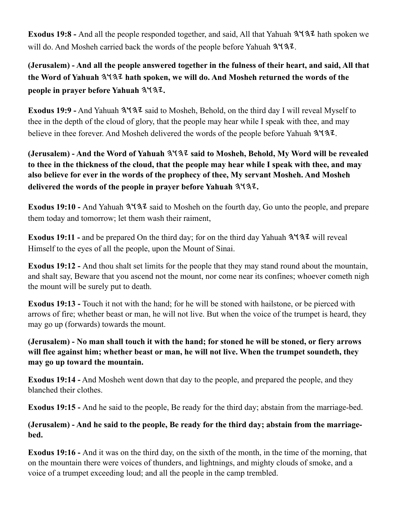**Exodus 19:8 -** And all the people responded together, and said, All that Yahuah  $3\sqrt{32}$  hath spoken we will do. And Mosheh carried back the words of the people before Yahuah  $3\frac{1}{3}$ .

**(Jerusalem) - And all the people answered together in the fulness of their heart, and said, All that**  the Word of Yahuah  $3437$  hath spoken, we will do. And Mosheh returned the words of the **people in prayer before Yahuah .**

**Exodus 19:9 -** And Yahuah  $3137$  said to Mosheh, Behold, on the third day I will reveal Myself to thee in the depth of the cloud of glory, that the people may hear while I speak with thee, and may believe in thee forever. And Mosheh delivered the words of the people before Yahuah  $3\frac{1}{3}$ .

**(Jerusalem) - And the Word of Yahuah**  $3\sqrt{3}$  **said to Mosheh, Behold, My Word will be revealed to thee in the thickness of the cloud, that the people may hear while I speak with thee, and may also believe for ever in the words of the prophecy of thee, My servant Mosheh. And Mosheh delivered the words of the people in prayer before Yahuah .**

Exodus 19:10 - And Yahuah  $3\frac{4}{3}$  said to Mosheh on the fourth day, Go unto the people, and prepare them today and tomorrow; let them wash their raiment,

**Exodus 19:11 - and be prepared On the third day; for on the third day Yahuah**  $3\frac{1}{3}\frac{1}{2}$  **will reveal** Himself to the eyes of all the people, upon the Mount of Sinai.

**Exodus 19:12 -** And thou shalt set limits for the people that they may stand round about the mountain, and shalt say, Beware that you ascend not the mount, nor come near its confines; whoever cometh nigh the mount will be surely put to death.

**Exodus 19:13 -** Touch it not with the hand; for he will be stoned with hailstone, or be pierced with arrows of fire; whether beast or man, he will not live. But when the voice of the trumpet is heard, they may go up (forwards) towards the mount.

**(Jerusalem) - No man shall touch it with the hand; for stoned he will be stoned, or fiery arrows will flee against him; whether beast or man, he will not live. When the trumpet soundeth, they may go up toward the mountain.**

**Exodus 19:14 -** And Mosheh went down that day to the people, and prepared the people, and they blanched their clothes.

**Exodus 19:15 -** And he said to the people, Be ready for the third day; abstain from the marriage-bed.

**(Jerusalem) - And he said to the people, Be ready for the third day; abstain from the marriagebed.**

**Exodus 19:16 -** And it was on the third day, on the sixth of the month, in the time of the morning, that on the mountain there were voices of thunders, and lightnings, and mighty clouds of smoke, and a voice of a trumpet exceeding loud; and all the people in the camp trembled.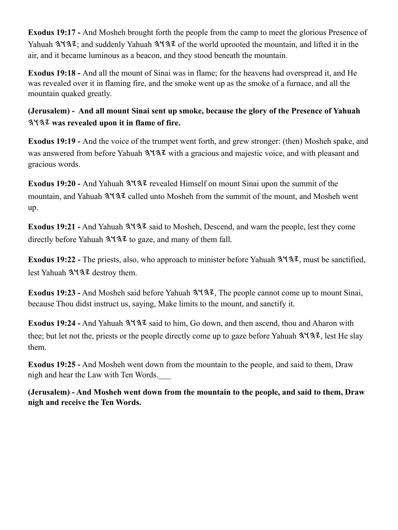**Exodus 19:17 -** And Mosheh brought forth the people from the camp to meet the glorious Presence of Yahuah  $3\sqrt{3}z$ ; and suddenly Yahuah  $3\sqrt{3}z$  of the world uprooted the mountain, and lifted it in the air, and it became luminous as a beacon, and they stood beneath the mountain.

**Exodus 19:18 -** And all the mount of Sinai was in flame; for the heavens had overspread it, and He was revealed over it in flaming fire, and the smoke went up as the smoke of a furnace, and all the mountain quaked greatly.

**(Jerusalem) - And all mount Sinai sent up smoke, because the glory of the Presence of Yahuah was revealed upon it in flame of fire.**

**Exodus 19:19 -** And the voice of the trumpet went forth, and grew stronger: (then) Mosheh spake, and was answered from before Yahuah  $3\frac{4}{3}$  with a gracious and majestic voice, and with pleasant and gracious words.

Exodus 19:20 - And Yahuah  $3\frac{4}{3}$  revealed Himself on mount Sinai upon the summit of the mountain, and Yahuah  $3137$  called unto Mosheh from the summit of the mount, and Mosheh went up.

**Exodus 19:21 -** And Yahuah  $3\sqrt{3}z$  said to Mosheh, Descend, and warn the people, lest they come directly before Yahuah  $3\sqrt{3}z$  to gaze, and many of them fall.

**Exodus 19:22 -** The priests, also, who approach to minister before Yahuah  $3\sqrt{32}$ , must be sanctified, lest Yahuah 3137 destroy them.

**Exodus 19:23 -** And Mosheh said before Yahuah  $3\frac{4}{3}$ , The people cannot come up to mount Sinai, because Thou didst instruct us, saying, Make limits to the mount, and sanctify it.

**Exodus 19:24 -** And Yahuah  $3\sqrt{3}z$  said to him, Go down, and then ascend, thou and Aharon with thee; but let not the, priests or the people directly come up to gaze before Yahuah  $3\sqrt{32}$ , lest He slay them.

**Exodus 19:25 -** And Mosheh went down from the mountain to the people, and said to them, Draw nigh and hear the Law with Ten Words.\_\_\_

**(Jerusalem) - And Mosheh went down from the mountain to the people, and said to them, Draw nigh and receive the Ten Words.**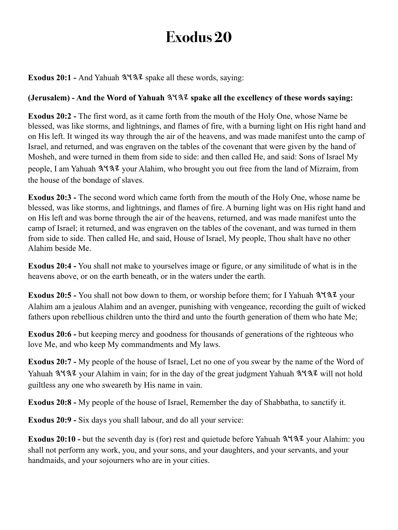**Exodus 20:1 - And Yahuah**  $3\sqrt{32}$  **spake all these words, saying:** 

### **(Jerusalem) - And the Word of Yahuah spake all the excellency of these words saying:**

**Exodus 20:2 -** The first word, as it came forth from the mouth of the Holy One, whose Name be blessed, was like storms, and lightnings, and flames of fire, with a burning light on His right hand and on His left. It winged its way through the air of the heavens, and was made manifest unto the camp of Israel, and returned, and was engraven on the tables of the covenant that were given by the hand of Mosheh, and were turned in them from side to side: and then called He, and said: Sons of Israel My people, I am Yahuah 3137 your Alahim, who brought you out free from the land of Mizraim, from the house of the bondage of slaves.

**Exodus 20:3 -** The second word which came forth from the mouth of the Holy One, whose name be blessed, was like storms, and lightnings, and flames of fire. A burning light was on His right hand and on His left and was borne through the air of the heavens, returned, and was made manifest unto the camp of Israel; it returned, and was engraven on the tables of the covenant, and was turned in them from side to side. Then called He, and said, House of Israel, My people, Thou shalt have no other Alahim beside Me.

**Exodus 20:4 -** You shall not make to yourselves image or figure, or any similitude of what is in the heavens above, or on the earth beneath, or in the waters under the earth.

**Exodus 20:5 -** You shall not bow down to them, or worship before them; for I Yahuah  $3\frac{4}{3}\frac{7}{2}$  your Alahim am a jealous Alahim and an avenger, punishing with vengeance, recording the guilt of wicked fathers upon rebellious children unto the third and unto the fourth generation of them who hate Me;

**Exodus 20:6 -** but keeping mercy and goodness for thousands of generations of the righteous who love Me, and who keep My commandments and My laws.

**Exodus 20:7 -** My people of the house of Israel, Let no one of you swear by the name of the Word of Yahuah 3137 your Alahim in vain; for in the day of the great judgment Yahuah 3137 will not hold guiltless any one who sweareth by His name in vain.

**Exodus 20:8 -** My people of the house of Israel, Remember the day of Shabbatha, to sanctify it.

**Exodus 20:9 -** Six days you shall labour, and do all your service:

**Exodus 20:10 -** but the seventh day is (for) rest and quietude before Yahuah  $3\frac{4}{3}\frac{7}{3}\frac{7}{3}$  your Alahim: you shall not perform any work, you, and your sons, and your daughters, and your servants, and your handmaids, and your sojourners who are in your cities.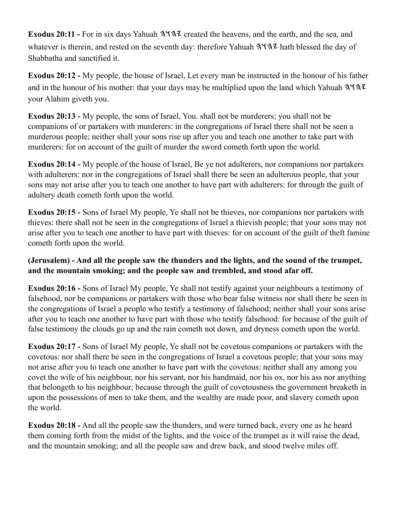**Exodus 20:11 -** For in six days Yahuah  $3\frac{4}{3}$  created the heavens, and the earth, and the sea, and whatever is therein, and rested on the seventh day: therefore Yahuah  $3\overline{4}3\overline{2}$  hath blessed the day of Shabbatha and sanctified it.

**Exodus 20:12 -** My people, the house of Israel, Let every man be instructed in the honour of his father and in the honour of his mother: that your days may be multiplied upon the land which Yahuah  $3\sqrt{3}z$ your Alahim giveth you.

**Exodus 20:13 -** My people, the sons of Israel, You. shall not be murderers; you shall not be companions of or partakers with murderers: in the congregations of Israel there shall not be seen a murderous people; neither shall your sons rise up after you and teach one another to take part with murderers: for on account of the guilt of murder the sword cometh forth upon the world.

**Exodus 20:14 -** My people of the house of Israel, Be ye not adulterers, nor companions nor partakers with adulterers: nor in the congregations of Israel shall there be seen an adulterous people, that your sons may not arise after you to teach one another to have part with adulterers: for through the guilt of adultery death cometh forth upon the world.

**Exodus 20:15 -** Sons of Israel My people, Ye shall not be thieves, nor companions nor partakers with thieves: there shall not be seen in the congregations of Israel a thievish people; that your sons may not arise after you to teach one another to have part with thieves: for on account of the guilt of theft famine cometh forth upon the world.

### **(Jerusalem) - And all the people saw the thunders and the lights, and the sound of the trumpet, and the mountain smoking; and the people saw and trembled, and stood afar off.**

**Exodus 20:16 -** Sons of Israel My people, Ye shall not testify against your neighbours a testimony of falsehood, nor be companions or partakers with those who bear false witness nor shall there be seen in the congregations of Israel a people who testify a testimony of falsehood; neither shall your sons arise after you to teach one another to have part with those who testify falsehood: for because of the guilt of false testimony the clouds go up and the rain cometh not down, and dryness cometh upon the world.

**Exodus 20:17 -** Sons of Israel My people, Ye shall not be covetous companions or partakers with the covetous: nor shall there be seen in the congregations of Israel a covetous people; that your sons may not arise after you to teach one another to have part with the covetous: neither shall any among you covet the wife of his neighbour, nor his servant, nor his handmaid, nor his ox, nor his ass nor anything that belongeth to his neighbour; because through the guilt of covetousness the government breaketh in upon the possessions of men to take them, and the wealthy are made poor, and slavery cometh upon the world.

**Exodus 20:18 -** And all the people saw the thunders, and were turned back, every one as he heard them coming forth from the midst of the lights, and the voice of the trumpet as it will raise the dead, and the mountain smoking; and all the people saw and drew back, and stood twelve miles off.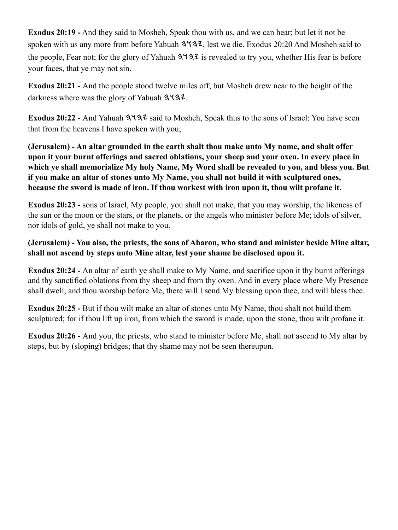**Exodus 20:19 -** And they said to Mosheh, Speak thou with us, and we can hear; but let it not be spoken with us any more from before Yahuah  $3\frac{4}{3}$ . lest we die. Exodus 20:20 And Mosheh said to the people, Fear not; for the glory of Yahuah  $3\frac{1}{3}$  is revealed to try you, whether His fear is before your faces, that ye may not sin.

**Exodus 20:21 -** And the people stood twelve miles off; but Mosheh drew near to the height of the darkness where was the glory of Yahuah  $3\frac{4}{3}$ .

Exodus 20:22 - And Yahuah 3 43<sup>7</sup> said to Mosheh, Speak thus to the sons of Israel: You have seen that from the heavens I have spoken with you;

**(Jerusalem) - An altar grounded in the earth shalt thou make unto My name, and shalt offer upon it your burnt offerings and sacred oblations, your sheep and your oxen. In every place in which ye shall memorialize My holy Name, My Word shall be revealed to you, and bless you. But if you make an altar of stones unto My Name, you shall not build it with sculptured ones, because the sword is made of iron. If thou workest with iron upon it, thou wilt profane it.**

**Exodus 20:23 -** sons of Israel, My people, you shall not make, that you may worship, the likeness of the sun or the moon or the stars, or the planets, or the angels who minister before Me; idols of silver, nor idols of gold, ye shall not make to you.

**(Jerusalem) - You also, the priests, the sons of Aharon, who stand and minister beside Mine altar, shall not ascend by steps unto Mine altar, lest your shame be disclosed upon it.**

**Exodus 20:24 -** An altar of earth ye shall make to My Name, and sacrifice upon it thy burnt offerings and thy sanctified oblations from thy sheep and from thy oxen. And in every place where My Presence shall dwell, and thou worship before Me, there will I send My blessing upon thee, and will bless thee.

**Exodus 20:25 -** But if thou wilt make an altar of stones unto My Name, thou shalt not build them sculptured; for if thou lift up iron, from which the sword is made, upon the stone, thou wilt profane it.

**Exodus 20:26 -** And you, the priests, who stand to minister before Me, shall not ascend to My altar by steps, but by (sloping) bridges; that thy shame may not be seen thereupon.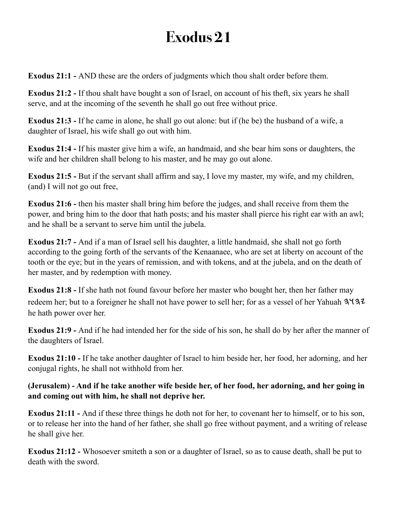**Exodus 21:1 -** AND these are the orders of judgments which thou shalt order before them.

**Exodus 21:2 -** If thou shalt have bought a son of Israel, on account of his theft, six years he shall serve, and at the incoming of the seventh he shall go out free without price.

**Exodus 21:3 -** If he came in alone, he shall go out alone: but if (he be) the husband of a wife, a daughter of Israel, his wife shall go out with him.

**Exodus 21:4 -** If his master give him a wife, an handmaid, and she bear him sons or daughters, the wife and her children shall belong to his master, and he may go out alone.

**Exodus 21:5 -** But if the servant shall affirm and say, I love my master, my wife, and my children, (and) I will not go out free,

**Exodus 21:6 -** then his master shall bring him before the judges, and shall receive from them the power, and bring him to the door that hath posts; and his master shall pierce his right ear with an awl; and he shall be a servant to serve him until the jubela.

**Exodus 21:7 -** And if a man of Israel sell his daughter, a little handmaid, she shall not go forth according to the going forth of the servants of the Kenaanaee, who are set at liberty on account of the tooth or the eye; but in the years of remission, and with tokens, and at the jubela, and on the death of her master, and by redemption with money.

**Exodus 21:8 -** If she hath not found favour before her master who bought her, then her father may redeem her; but to a foreigner he shall not have power to sell her; for as a vessel of her Yahuah 3. he hath power over her.

**Exodus 21:9 -** And if he had intended her for the side of his son, he shall do by her after the manner of the daughters of Israel.

**Exodus 21:10 -** If he take another daughter of Israel to him beside her, her food, her adorning, and her conjugal rights, he shall not withhold from her.

#### **(Jerusalem) - And if he take another wife beside her, of her food, her adorning, and her going in and coming out with him, he shall not deprive her.**

**Exodus 21:11 -** And if these three things he doth not for her, to covenant her to himself, or to his son, or to release her into the hand of her father, she shall go free without payment, and a writing of release he shall give her.

**Exodus 21:12 -** Whosoever smiteth a son or a daughter of Israel, so as to cause death, shall be put to death with the sword.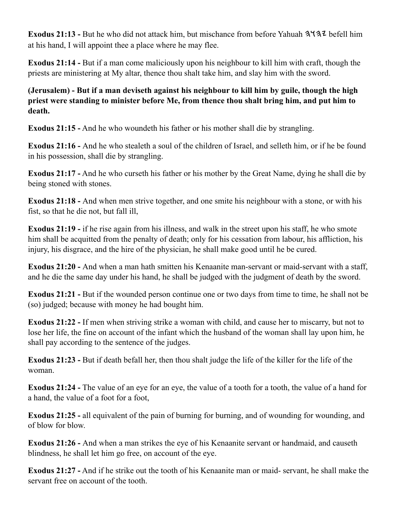Exodus 21:13 - But he who did not attack him, but mischance from before Yahuah 3137 befell him at his hand, I will appoint thee a place where he may flee.

**Exodus 21:14 -** But if a man come maliciously upon his neighbour to kill him with craft, though the priests are ministering at My altar, thence thou shalt take him, and slay him with the sword.

### **(Jerusalem) - But if a man deviseth against his neighbour to kill him by guile, though the high priest were standing to minister before Me, from thence thou shalt bring him, and put him to death.**

**Exodus 21:15 -** And he who woundeth his father or his mother shall die by strangling.

**Exodus 21:16 -** And he who stealeth a soul of the children of Israel, and selleth him, or if he be found in his possession, shall die by strangling.

**Exodus 21:17 -** And he who curseth his father or his mother by the Great Name, dying he shall die by being stoned with stones.

**Exodus 21:18 -** And when men strive together, and one smite his neighbour with a stone, or with his fist, so that he die not, but fall ill,

**Exodus 21:19** - if he rise again from his illness, and walk in the street upon his staff, he who smote him shall be acquitted from the penalty of death; only for his cessation from labour, his affliction, his injury, his disgrace, and the hire of the physician, he shall make good until he be cured.

**Exodus 21:20 -** And when a man hath smitten his Kenaanite man-servant or maid-servant with a staff, and he die the same day under his hand, he shall be judged with the judgment of death by the sword.

**Exodus 21:21 -** But if the wounded person continue one or two days from time to time, he shall not be (so) judged; because with money he had bought him.

**Exodus 21:22 -** If men when striving strike a woman with child, and cause her to miscarry, but not to lose her life, the fine on account of the infant which the husband of the woman shall lay upon him, he shall pay according to the sentence of the judges.

**Exodus 21:23 -** But if death befall her, then thou shalt judge the life of the killer for the life of the woman.

**Exodus 21:24 -** The value of an eye for an eye, the value of a tooth for a tooth, the value of a hand for a hand, the value of a foot for a foot,

**Exodus 21:25 -** all equivalent of the pain of burning for burning, and of wounding for wounding, and of blow for blow.

**Exodus 21:26 -** And when a man strikes the eye of his Kenaanite servant or handmaid, and causeth blindness, he shall let him go free, on account of the eye.

**Exodus 21:27 -** And if he strike out the tooth of his Kenaanite man or maid- servant, he shall make the servant free on account of the tooth.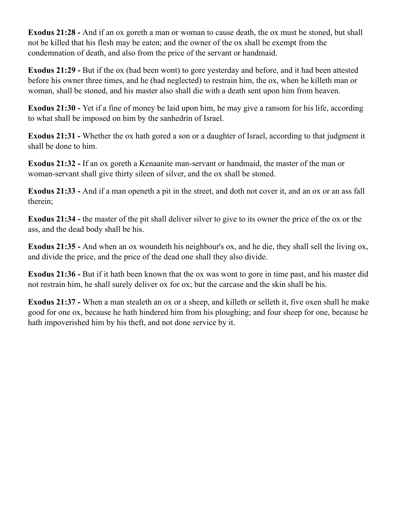**Exodus 21:28 -** And if an ox goreth a man or woman to cause death, the ox must be stoned, but shall not be killed that his flesh may be eaten; and the owner of the ox shall be exempt from the condemnation of death, and also from the price of the servant or handmaid.

**Exodus 21:29 -** But if the ox (had been wont) to gore yesterday and before, and it had been attested before his owner three times, and he (had neglected) to restrain him, the ox, when he killeth man or woman, shall be stoned, and his master also shall die with a death sent upon him from heaven.

**Exodus 21:30 -** Yet if a fine of money be laid upon him, he may give a ransom for his life, according to what shall be imposed on him by the sanhedrin of Israel.

**Exodus 21:31 -** Whether the ox hath gored a son or a daughter of Israel, according to that judgment it shall be done to him.

**Exodus 21:32 -** If an ox goreth a Kenaanite man-servant or handmaid, the master of the man or woman-servant shall give thirty sileen of silver, and the ox shall be stoned.

**Exodus 21:33 -** And if a man openeth a pit in the street, and doth not cover it, and an ox or an ass fall therein;

**Exodus 21:34 -** the master of the pit shall deliver silver to give to its owner the price of the ox or the ass, and the dead body shall be his.

**Exodus 21:35 -** And when an ox woundeth his neighbour's ox, and he die, they shall sell the living ox, and divide the price, and the price of the dead one shall they also divide.

**Exodus 21:36 -** But if it hath been known that the ox was wont to gore in time past, and his master did not restrain him, he shall surely deliver ox for ox; but the carcase and the skin shall be his.

**Exodus 21:37 -** When a man stealeth an ox or a sheep, and killeth or selleth it, five oxen shall he make good for one ox, because he hath hindered him from his ploughing; and four sheep for one, because he hath impoverished him by his theft, and not done service by it.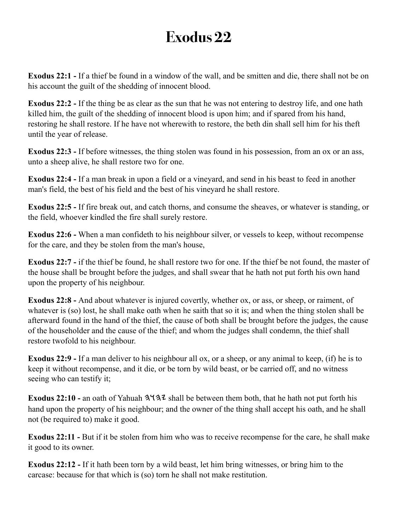**Exodus 22:1 -** If a thief be found in a window of the wall, and be smitten and die, there shall not be on his account the guilt of the shedding of innocent blood.

**Exodus 22:2 -** If the thing be as clear as the sun that he was not entering to destroy life, and one hath killed him, the guilt of the shedding of innocent blood is upon him; and if spared from his hand, restoring he shall restore. If he have not wherewith to restore, the beth din shall sell him for his theft until the year of release.

**Exodus 22:3 -** If before witnesses, the thing stolen was found in his possession, from an ox or an ass, unto a sheep alive, he shall restore two for one.

**Exodus 22:4 -** If a man break in upon a field or a vineyard, and send in his beast to feed in another man's field, the best of his field and the best of his vineyard he shall restore.

**Exodus 22:5 -** If fire break out, and catch thorns, and consume the sheaves, or whatever is standing, or the field, whoever kindled the fire shall surely restore.

**Exodus 22:6 -** When a man confideth to his neighbour silver, or vessels to keep, without recompense for the care, and they be stolen from the man's house,

**Exodus 22:7 -** if the thief be found, he shall restore two for one. If the thief be not found, the master of the house shall be brought before the judges, and shall swear that he hath not put forth his own hand upon the property of his neighbour.

**Exodus 22:8 -** And about whatever is injured covertly, whether ox, or ass, or sheep, or raiment, of whatever is (so) lost, he shall make oath when he saith that so it is; and when the thing stolen shall be afterward found in the hand of the thief, the cause of both shall be brought before the judges, the cause of the householder and the cause of the thief; and whom the judges shall condemn, the thief shall restore twofold to his neighbour.

**Exodus 22:9 -** If a man deliver to his neighbour all ox, or a sheep, or any animal to keep, (if) he is to keep it without recompense, and it die, or be torn by wild beast, or be carried off, and no witness seeing who can testify it;

**Exodus 22:10 - an oath of Yahuah**  $3\frac{4}{3}$  **shall be between them both, that he hath not put forth his** hand upon the property of his neighbour; and the owner of the thing shall accept his oath, and he shall not (be required to) make it good.

**Exodus 22:11 -** But if it be stolen from him who was to receive recompense for the care, he shall make it good to its owner.

**Exodus 22:12 -** If it hath been torn by a wild beast, let him bring witnesses, or bring him to the carcase: because for that which is (so) torn he shall not make restitution.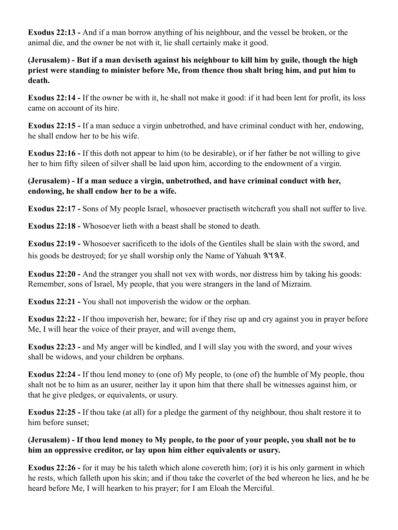**Exodus 22:13 -** And if a man borrow anything of his neighbour, and the vessel be broken, or the animal die, and the owner be not with it, lie shall certainly make it good.

**(Jerusalem) - But if a man deviseth against his neighbour to kill him by guile, though the high priest were standing to minister before Me, from thence thou shalt bring him, and put him to death.**

**Exodus 22:14 -** If the owner be with it, he shall not make it good: if it had been lent for profit, its loss came on account of its hire.

**Exodus 22:15 -** If a man seduce a virgin unbetrothed, and have criminal conduct with her, endowing, he shall endow her to be his wife.

**Exodus 22:16 -** If this doth not appear to him (to be desirable), or if her father be not willing to give her to him fifty sileen of silver shall be laid upon him, according to the endowment of a virgin.

#### **(Jerusalem) - If a man seduce a virgin, unbetrothed, and have criminal conduct with her, endowing, he shall endow her to be a wife.**

**Exodus 22:17 -** Sons of My people Israel, whosoever practiseth witchcraft you shall not suffer to live.

**Exodus 22:18 -** Whosoever lieth with a beast shall be stoned to death.

**Exodus 22:19 -** Whosoever sacrificeth to the idols of the Gentiles shall be slain with the sword, and his goods be destroyed; for ye shall worship only the Name of Yahuah  $3\overline{44.2}$ .

**Exodus 22:20 -** And the stranger you shall not vex with words, nor distress him by taking his goods: Remember, sons of Israel, My people, that you were strangers in the land of Mizraim.

**Exodus 22:21 -** You shall not impoverish the widow or the orphan.

**Exodus 22:22 -** If thou impoverish her, beware; for if they rise up and cry against you in prayer before Me, I will hear the voice of their prayer, and will avenge them,

**Exodus 22:23 -** and My anger will be kindled, and I will slay you with the sword, and your wives shall be widows, and your children be orphans.

**Exodus 22:24 -** If thou lend money to (one of) My people, to (one of) the humble of My people, thou shalt not be to him as an usurer, neither lay it upon him that there shall be witnesses against him, or that he give pledges, or equivalents, or usury.

**Exodus 22:25 -** If thou take (at all) for a pledge the garment of thy neighbour, thou shalt restore it to him before sunset;

#### **(Jerusalem) - If thou lend money to My people, to the poor of your people, you shall not be to him an oppressive creditor, or lay upon him either equivalents or usury.**

**Exodus 22:26 -** for it may be his taleth which alone covereth him; (or) it is his only garment in which he rests, which falleth upon his skin; and if thou take the coverlet of the bed whereon he lies, and he be heard before Me, I will hearken to his prayer; for I am Eloah the Merciful.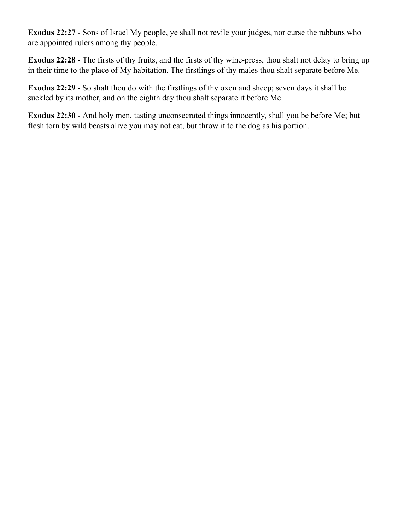**Exodus 22:27 -** Sons of Israel My people, ye shall not revile your judges, nor curse the rabbans who are appointed rulers among thy people.

**Exodus 22:28 -** The firsts of thy fruits, and the firsts of thy wine-press, thou shalt not delay to bring up in their time to the place of My habitation. The firstlings of thy males thou shalt separate before Me.

**Exodus 22:29 -** So shalt thou do with the firstlings of thy oxen and sheep; seven days it shall be suckled by its mother, and on the eighth day thou shalt separate it before Me.

**Exodus 22:30 -** And holy men, tasting unconsecrated things innocently, shall you be before Me; but flesh torn by wild beasts alive you may not eat, but throw it to the dog as his portion.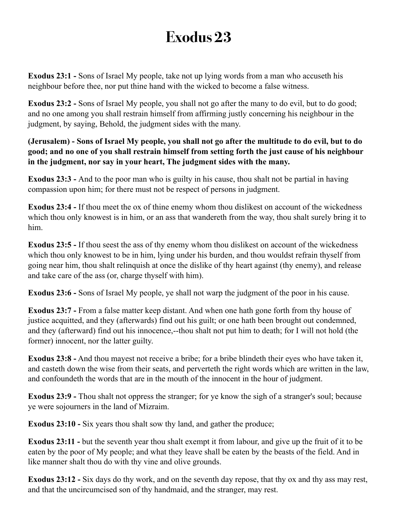**Exodus 23:1 -** Sons of Israel My people, take not up lying words from a man who accuseth his neighbour before thee, nor put thine hand with the wicked to become a false witness.

**Exodus 23:2 -** Sons of Israel My people, you shall not go after the many to do evil, but to do good; and no one among you shall restrain himself from affirming justly concerning his neighbour in the judgment, by saying, Behold, the judgment sides with the many.

**(Jerusalem) - Sons of Israel My people, you shall not go after the multitude to do evil, but to do good; and no one of you shall restrain himself from setting forth the just cause of his neighbour in the judgment, nor say in your heart, The judgment sides with the many.**

**Exodus 23:3 -** And to the poor man who is guilty in his cause, thou shalt not be partial in having compassion upon him; for there must not be respect of persons in judgment.

**Exodus 23:4 -** If thou meet the ox of thine enemy whom thou dislikest on account of the wickedness which thou only knowest is in him, or an ass that wandereth from the way, thou shalt surely bring it to him.

**Exodus 23:5 -** If thou seest the ass of thy enemy whom thou dislikest on account of the wickedness which thou only knowest to be in him, lying under his burden, and thou wouldst refrain thyself from going near him, thou shalt relinquish at once the dislike of thy heart against (thy enemy), and release and take care of the ass (or, charge thyself with him).

**Exodus 23:6 -** Sons of Israel My people, ye shall not warp the judgment of the poor in his cause.

**Exodus 23:7 -** From a false matter keep distant. And when one hath gone forth from thy house of justice acquitted, and they (afterwards) find out his guilt; or one hath been brought out condemned, and they (afterward) find out his innocence,--thou shalt not put him to death; for I will not hold (the former) innocent, nor the latter guilty.

**Exodus 23:8 -** And thou mayest not receive a bribe; for a bribe blindeth their eyes who have taken it, and casteth down the wise from their seats, and perverteth the right words which are written in the law, and confoundeth the words that are in the mouth of the innocent in the hour of judgment.

**Exodus 23:9 -** Thou shalt not oppress the stranger; for ye know the sigh of a stranger's soul; because ye were sojourners in the land of Mizraim.

**Exodus 23:10 -** Six years thou shalt sow thy land, and gather the produce;

**Exodus 23:11 -** but the seventh year thou shalt exempt it from labour, and give up the fruit of it to be eaten by the poor of My people; and what they leave shall be eaten by the beasts of the field. And in like manner shalt thou do with thy vine and olive grounds.

**Exodus 23:12 -** Six days do thy work, and on the seventh day repose, that thy ox and thy ass may rest, and that the uncircumcised son of thy handmaid, and the stranger, may rest.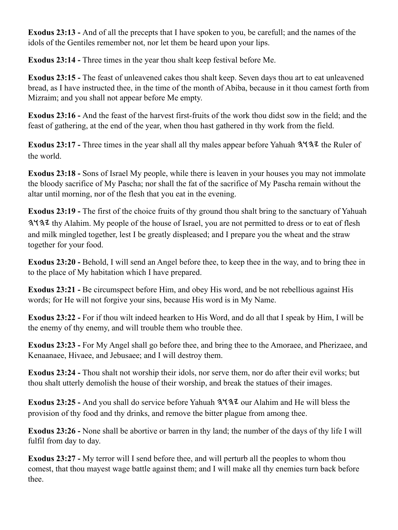**Exodus 23:13 -** And of all the precepts that I have spoken to you, be carefull; and the names of the idols of the Gentiles remember not, nor let them be heard upon your lips.

**Exodus 23:14 -** Three times in the year thou shalt keep festival before Me.

**Exodus 23:15 -** The feast of unleavened cakes thou shalt keep. Seven days thou art to eat unleavened bread, as I have instructed thee, in the time of the month of Abiba, because in it thou camest forth from Mizraim; and you shall not appear before Me empty.

**Exodus 23:16 -** And the feast of the harvest first-fruits of the work thou didst sow in the field; and the feast of gathering, at the end of the year, when thou hast gathered in thy work from the field.

**Exodus 23:17 - Three times in the year shall all thy males appear before Yahuah**  $3\frac{4}{3}\frac{7}{4}$  **the Ruler of** the world.

**Exodus 23:18 -** Sons of Israel My people, while there is leaven in your houses you may not immolate the bloody sacrifice of My Pascha; nor shall the fat of the sacrifice of My Pascha remain without the altar until morning, nor of the flesh that you eat in the evening.

**Exodus 23:19 -** The first of the choice fruits of thy ground thou shalt bring to the sanctuary of Yahuah 3. 3. At a thy Alahim. My people of the house of Israel, you are not permitted to dress or to eat of flesh and milk mingled together, lest I be greatly displeased; and I prepare you the wheat and the straw together for your food.

**Exodus 23:20 -** Behold, I will send an Angel before thee, to keep thee in the way, and to bring thee in to the place of My habitation which I have prepared.

**Exodus 23:21 -** Be circumspect before Him, and obey His word, and be not rebellious against His words; for He will not forgive your sins, because His word is in My Name.

**Exodus 23:22 -** For if thou wilt indeed hearken to His Word, and do all that I speak by Him, I will be the enemy of thy enemy, and will trouble them who trouble thee.

**Exodus 23:23 -** For My Angel shall go before thee, and bring thee to the Amoraee, and Pherizaee, and Kenaanaee, Hivaee, and Jebusaee; and I will destroy them.

**Exodus 23:24 -** Thou shalt not worship their idols, nor serve them, nor do after their evil works; but thou shalt utterly demolish the house of their worship, and break the statues of their images.

Exodus 23:25 - And you shall do service before Yahuah  $3\frac{4}{3}\frac{7}{3}\frac{1}{2}$  our Alahim and He will bless the provision of thy food and thy drinks, and remove the bitter plague from among thee.

**Exodus 23:26 -** None shall be abortive or barren in thy land; the number of the days of thy life I will fulfil from day to day.

**Exodus 23:27 -** My terror will I send before thee, and will perturb all the peoples to whom thou comest, that thou mayest wage battle against them; and I will make all thy enemies turn back before thee.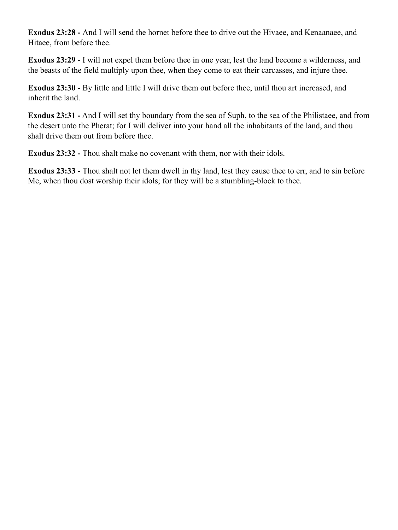**Exodus 23:28 -** And I will send the hornet before thee to drive out the Hivaee, and Kenaanaee, and Hitaee, from before thee.

**Exodus 23:29 -** I will not expel them before thee in one year, lest the land become a wilderness, and the beasts of the field multiply upon thee, when they come to eat their carcasses, and injure thee.

**Exodus 23:30 -** By little and little I will drive them out before thee, until thou art increased, and inherit the land.

**Exodus 23:31 -** And I will set thy boundary from the sea of Suph, to the sea of the Philistaee, and from the desert unto the Pherat; for I will deliver into your hand all the inhabitants of the land, and thou shalt drive them out from before thee.

**Exodus 23:32 -** Thou shalt make no covenant with them, nor with their idols.

**Exodus 23:33 -** Thou shalt not let them dwell in thy land, lest they cause thee to err, and to sin before Me, when thou dost worship their idols; for they will be a stumbling-block to thee.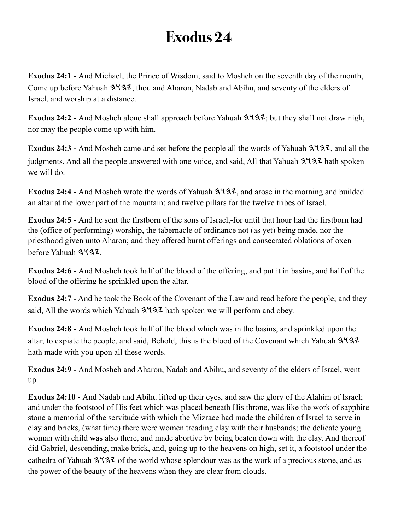**Exodus 24:1 -** And Michael, the Prince of Wisdom, said to Mosheh on the seventh day of the month, Come up before Yahuah  $3\frac{4}{3}$ , thou and Aharon, Nadab and Abihu, and seventy of the elders of Israel, and worship at a distance.

Exodus 24:2 - And Mosheh alone shall approach before Yahuah  $3\frac{4}{3}\cdot\pi$ ; but they shall not draw nigh, nor may the people come up with him.

Exodus 24:3 - And Mosheh came and set before the people all the words of Yahuah  $3\frac{4}{3}\frac{7}{2}$ , and all the judgments. And all the people answered with one voice, and said, All that Yahuah  $3\frac{4}{3}$  hath spoken we will do.

Exodus 24:4 - And Mosheh wrote the words of Yahuah  $3\frac{4}{3}$ , and arose in the morning and builded an altar at the lower part of the mountain; and twelve pillars for the twelve tribes of Israel.

**Exodus 24:5 -** And he sent the firstborn of the sons of Israel,-for until that hour had the firstborn had the (office of performing) worship, the tabernacle of ordinance not (as yet) being made, nor the priesthood given unto Aharon; and they offered burnt offerings and consecrated oblations of oxen before Yahuah 3437

**Exodus 24:6 -** And Mosheh took half of the blood of the offering, and put it in basins, and half of the blood of the offering he sprinkled upon the altar.

**Exodus 24:7 -** And he took the Book of the Covenant of the Law and read before the people; and they said, All the words which Yahuah  $3\frac{4}{3}$  hath spoken we will perform and obey.

**Exodus 24:8 -** And Mosheh took half of the blood which was in the basins, and sprinkled upon the altar, to expiate the people, and said, Behold, this is the blood of the Covenant which Yahuah hath made with you upon all these words.

**Exodus 24:9 -** And Mosheh and Aharon, Nadab and Abihu, and seventy of the elders of Israel, went up.

**Exodus 24:10 -** And Nadab and Abihu lifted up their eyes, and saw the glory of the Alahim of Israel; and under the footstool of His feet which was placed beneath His throne, was like the work of sapphire stone a memorial of the servitude with which the Mizraee had made the children of Israel to serve in clay and bricks, (what time) there were women treading clay with their husbands; the delicate young woman with child was also there, and made abortive by being beaten down with the clay. And thereof did Gabriel, descending, make brick, and, going up to the heavens on high, set it, a footstool under the cathedra of Yahuah  $3\frac{1}{3}$  of the world whose splendour was as the work of a precious stone, and as the power of the beauty of the heavens when they are clear from clouds.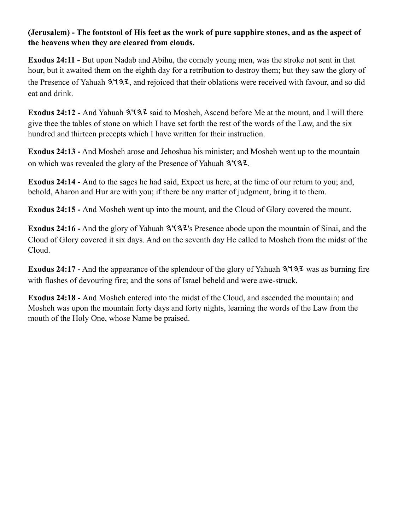#### **(Jerusalem) - The footstool of His feet as the work of pure sapphire stones, and as the aspect of the heavens when they are cleared from clouds.**

**Exodus 24:11 -** But upon Nadab and Abihu, the comely young men, was the stroke not sent in that hour, but it awaited them on the eighth day for a retribution to destroy them; but they saw the glory of the Presence of Yahuah  $3137$ , and rejoiced that their oblations were received with favour, and so did eat and drink.

Exodus 24:12 - And Yahuah  $3\sqrt{3}z$  said to Mosheh, Ascend before Me at the mount, and I will there give thee the tables of stone on which I have set forth the rest of the words of the Law, and the six hundred and thirteen precepts which I have written for their instruction.

**Exodus 24:13 -** And Mosheh arose and Jehoshua his minister; and Mosheh went up to the mountain on which was revealed the glory of the Presence of Yahuah  $3\sqrt{3}z$ .

**Exodus 24:14 -** And to the sages he had said, Expect us here, at the time of our return to you; and, behold, Aharon and Hur are with you; if there be any matter of judgment, bring it to them.

**Exodus 24:15 -** And Mosheh went up into the mount, and the Cloud of Glory covered the mount.

**Exodus 24:16 -** And the glory of Yahuah  $3\frac{4}{3}\frac{7}{3}\$  Presence abode upon the mountain of Sinai, and the Cloud of Glory covered it six days. And on the seventh day He called to Mosheh from the midst of the Cloud.

**Exodus 24:17 -** And the appearance of the splendour of the glory of Yahuah  $3\frac{4}{3\sqrt{2}}$  was as burning fire with flashes of devouring fire; and the sons of Israel beheld and were awe-struck.

**Exodus 24:18 -** And Mosheh entered into the midst of the Cloud, and ascended the mountain; and Mosheh was upon the mountain forty days and forty nights, learning the words of the Law from the mouth of the Holy One, whose Name be praised.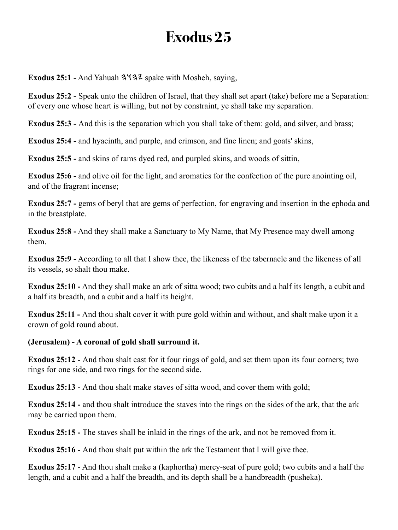**Exodus 25:1 -** And Yahuah  $3\sqrt{32}$  spake with Mosheh, saying,

**Exodus 25:2 -** Speak unto the children of Israel, that they shall set apart (take) before me a Separation: of every one whose heart is willing, but not by constraint, ye shall take my separation.

**Exodus 25:3 -** And this is the separation which you shall take of them: gold, and silver, and brass;

**Exodus 25:4 -** and hyacinth, and purple, and crimson, and fine linen; and goats' skins,

**Exodus 25:5 -** and skins of rams dyed red, and purpled skins, and woods of sittin,

**Exodus 25:6 - and olive oil for the light, and aromatics for the confection of the pure anointing oil,** and of the fragrant incense;

**Exodus 25:7 - gems of beryl that are gems of perfection, for engraving and insertion in the ephoda and** in the breastplate.

**Exodus 25:8 -** And they shall make a Sanctuary to My Name, that My Presence may dwell among them.

**Exodus 25:9 -** According to all that I show thee, the likeness of the tabernacle and the likeness of all its vessels, so shalt thou make.

**Exodus 25:10 -** And they shall make an ark of sitta wood; two cubits and a half its length, a cubit and a half its breadth, and a cubit and a half its height.

**Exodus 25:11 -** And thou shalt cover it with pure gold within and without, and shalt make upon it a crown of gold round about.

**(Jerusalem) - A coronal of gold shall surround it.**

**Exodus 25:12 -** And thou shalt cast for it four rings of gold, and set them upon its four corners; two rings for one side, and two rings for the second side.

**Exodus 25:13 -** And thou shalt make staves of sitta wood, and cover them with gold;

**Exodus 25:14 -** and thou shalt introduce the staves into the rings on the sides of the ark, that the ark may be carried upon them.

**Exodus 25:15 -** The staves shall be inlaid in the rings of the ark, and not be removed from it.

**Exodus 25:16 -** And thou shalt put within the ark the Testament that I will give thee.

**Exodus 25:17 -** And thou shalt make a (kaphortha) mercy-seat of pure gold; two cubits and a half the length, and a cubit and a half the breadth, and its depth shall be a handbreadth (pusheka).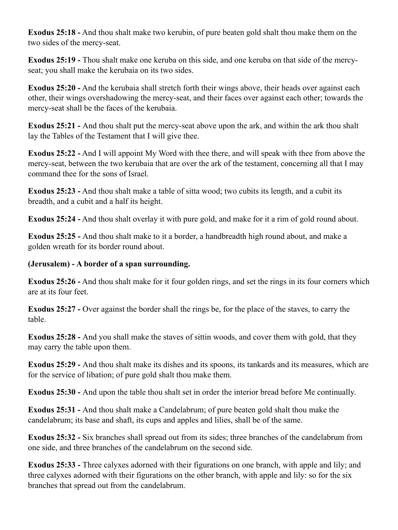**Exodus 25:18 -** And thou shalt make two kerubin, of pure beaten gold shalt thou make them on the two sides of the mercy-seat.

**Exodus 25:19 -** Thou shalt make one keruba on this side, and one keruba on that side of the mercyseat; you shall make the kerubaia on its two sides.

**Exodus 25:20 -** And the kerubaia shall stretch forth their wings above, their heads over against each other, their wings overshadowing the mercy-seat, and their faces over against each other; towards the mercy-seat shall be the faces of the kerubaia.

**Exodus 25:21 -** And thou shalt put the mercy-seat above upon the ark, and within the ark thou shalt lay the Tables of the Testament that I will give thee.

**Exodus 25:22 -** And I will appoint My Word with thee there, and will speak with thee from above the mercy-seat, between the two kerubaia that are over the ark of the testament, concerning all that I may command thee for the sons of Israel.

**Exodus 25:23 -** And thou shalt make a table of sitta wood; two cubits its length, and a cubit its breadth, and a cubit and a half its height.

**Exodus 25:24 -** And thou shalt overlay it with pure gold, and make for it a rim of gold round about.

**Exodus 25:25 -** And thou shalt make to it a border, a handbreadth high round about, and make a golden wreath for its border round about.

#### **(Jerusalem) - A border of a span surrounding.**

**Exodus 25:26 -** And thou shalt make for it four golden rings, and set the rings in its four corners which are at its four feet.

**Exodus 25:27 -** Over against the border shall the rings be, for the place of the staves, to carry the table.

**Exodus 25:28 -** And you shall make the staves of sittin woods, and cover them with gold, that they may carry the table upon them.

**Exodus 25:29 -** And thou shalt make its dishes and its spoons, its tankards and its measures, which are for the service of libation; of pure gold shalt thou make them.

**Exodus 25:30 -** And upon the table thou shalt set in order the interior bread before Me continually.

**Exodus 25:31 -** And thou shalt make a Candelabrum; of pure beaten gold shalt thou make the candelabrum; its base and shaft, its cups and apples and lilies, shall be of the same.

**Exodus 25:32 -** Six branches shall spread out from its sides; three branches of the candelabrum from one side, and three branches of the candelabrum on the second side.

**Exodus 25:33 -** Three calyxes adorned with their figurations on one branch, with apple and lily; and three calyxes adorned with their figurations on the other branch, with apple and lily: so for the six branches that spread out from the candelabrum.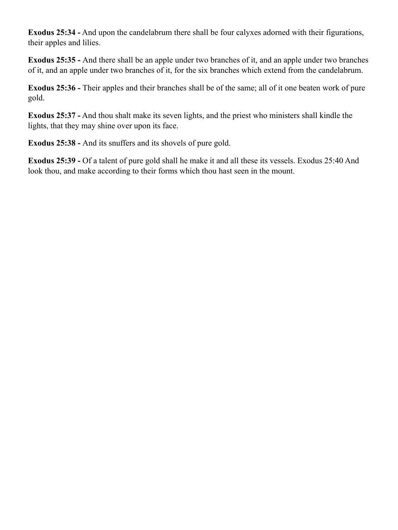**Exodus 25:34 -** And upon the candelabrum there shall be four calyxes adorned with their figurations, their apples and lilies.

**Exodus 25:35 -** And there shall be an apple under two branches of it, and an apple under two branches of it, and an apple under two branches of it, for the six branches which extend from the candelabrum.

**Exodus 25:36 -** Their apples and their branches shall be of the same; all of it one beaten work of pure gold.

**Exodus 25:37 -** And thou shalt make its seven lights, and the priest who ministers shall kindle the lights, that they may shine over upon its face.

**Exodus 25:38 -** And its snuffers and its shovels of pure gold.

**Exodus 25:39 -** Of a talent of pure gold shall he make it and all these its vessels. Exodus 25:40 And look thou, and make according to their forms which thou hast seen in the mount.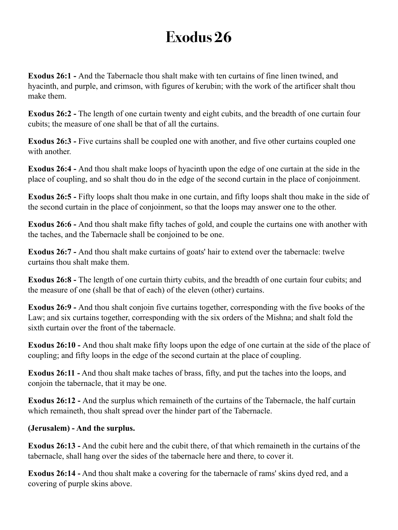**Exodus 26:1 -** And the Tabernacle thou shalt make with ten curtains of fine linen twined, and hyacinth, and purple, and crimson, with figures of kerubin; with the work of the artificer shalt thou make them.

**Exodus 26:2 -** The length of one curtain twenty and eight cubits, and the breadth of one curtain four cubits; the measure of one shall be that of all the curtains.

**Exodus 26:3 -** Five curtains shall be coupled one with another, and five other curtains coupled one with another.

**Exodus 26:4 -** And thou shalt make loops of hyacinth upon the edge of one curtain at the side in the place of coupling, and so shalt thou do in the edge of the second curtain in the place of conjoinment.

**Exodus 26:5 -** Fifty loops shalt thou make in one curtain, and fifty loops shalt thou make in the side of the second curtain in the place of conjoinment, so that the loops may answer one to the other.

**Exodus 26:6 -** And thou shalt make fifty taches of gold, and couple the curtains one with another with the taches, and the Tabernacle shall be conjoined to be one.

**Exodus 26:7 -** And thou shalt make curtains of goats' hair to extend over the tabernacle: twelve curtains thou shalt make them.

**Exodus 26:8 -** The length of one curtain thirty cubits, and the breadth of one curtain four cubits; and the measure of one (shall be that of each) of the eleven (other) curtains.

**Exodus 26:9 -** And thou shalt conjoin five curtains together, corresponding with the five books of the Law; and six curtains together, corresponding with the six orders of the Mishna; and shalt fold the sixth curtain over the front of the tabernacle.

**Exodus 26:10 -** And thou shalt make fifty loops upon the edge of one curtain at the side of the place of coupling; and fifty loops in the edge of the second curtain at the place of coupling.

**Exodus 26:11 -** And thou shalt make taches of brass, fifty, and put the taches into the loops, and conjoin the tabernacle, that it may be one.

**Exodus 26:12 -** And the surplus which remaineth of the curtains of the Tabernacle, the half curtain which remaineth, thou shalt spread over the hinder part of the Tabernacle.

#### **(Jerusalem) - And the surplus.**

**Exodus 26:13 -** And the cubit here and the cubit there, of that which remaineth in the curtains of the tabernacle, shall hang over the sides of the tabernacle here and there, to cover it.

**Exodus 26:14 -** And thou shalt make a covering for the tabernacle of rams' skins dyed red, and a covering of purple skins above.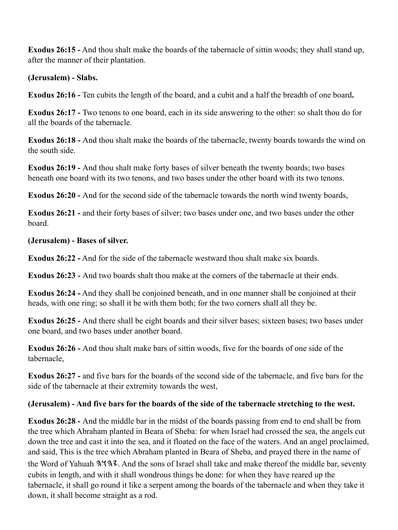**Exodus 26:15 -** And thou shalt make the boards of the tabernacle of sittin woods; they shall stand up, after the manner of their plantation.

**(Jerusalem) - Slabs.**

**Exodus 26:16 -** Ten cubits the length of the board, and a cubit and a half the breadth of one board**.**

**Exodus 26:17 -** Two tenons to one board, each in its side answering to the other: so shalt thou do for all the boards of the tabernacle.

**Exodus 26:18 -** And thou shalt make the boards of the tabernacle, twenty boards towards the wind on the south side.

**Exodus 26:19 -** And thou shalt make forty bases of silver beneath the twenty boards; two bases beneath one board with its two tenons, and two bases under the other board with its two tenons.

**Exodus 26:20 -** And for the second side of the tabernacle towards the north wind twenty boards,

**Exodus 26:21 -** and their forty bases of silver; two bases under one, and two bases under the other board.

**(Jerusalem) - Bases of silver.**

**Exodus 26:22 -** And for the side of the tabernacle westward thou shalt make six boards.

**Exodus 26:23 -** And two boards shalt thou make at the corners of the tabernacle at their ends.

**Exodus 26:24 -** And they shall be conjoined beneath, and in one manner shall be conjoined at their heads, with one ring; so shall it be with them both; for the two corners shall all they be.

**Exodus 26:25 -** And there shall be eight boards and their silver bases; sixteen bases; two bases under one board, and two bases under another board.

**Exodus 26:26 -** And thou shalt make bars of sittin woods, five for the boards of one side of the tabernacle,

**Exodus 26:27 -** and five bars for the boards of the second side of the tabernacle, and five bars for the side of the tabernacle at their extremity towards the west,

### **(Jerusalem) - And five bars for the boards of the side of the tabernacle stretching to the west.**

**Exodus 26:28 -** And the middle bar in the midst of the boards passing from end to end shall be from the tree which Abraham planted in Beara of Sheba: for when Israel had crossed the sea, the angels cut down the tree and cast it into the sea, and it floated on the face of the waters. And an angel proclaimed, and said, This is the tree which Abraham planted in Beara of Sheba, and prayed there in the name of the Word of Yahuah  $3137$ . And the sons of Israel shall take and make thereof the middle bar, seventy cubits in length, and with it shall wondrous things be done: for when they have reared up the tabernacle, it shall go round it like a serpent among the boards of the tabernacle and when they take it down, it shall become straight as a rod.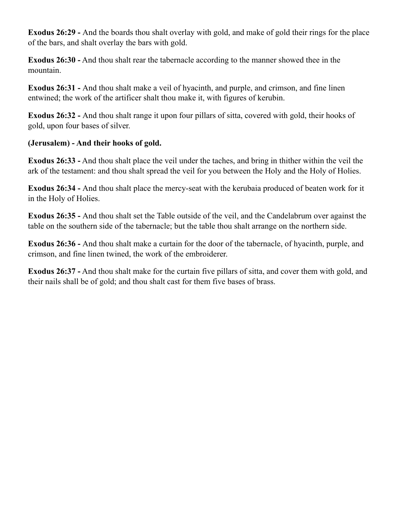**Exodus 26:29 -** And the boards thou shalt overlay with gold, and make of gold their rings for the place of the bars, and shalt overlay the bars with gold.

**Exodus 26:30 -** And thou shalt rear the tabernacle according to the manner showed thee in the mountain.

**Exodus 26:31 -** And thou shalt make a veil of hyacinth, and purple, and crimson, and fine linen entwined; the work of the artificer shalt thou make it, with figures of kerubin.

**Exodus 26:32 -** And thou shalt range it upon four pillars of sitta, covered with gold, their hooks of gold, upon four bases of silver.

### **(Jerusalem) - And their hooks of gold.**

**Exodus 26:33 -** And thou shalt place the veil under the taches, and bring in thither within the veil the ark of the testament: and thou shalt spread the veil for you between the Holy and the Holy of Holies.

**Exodus 26:34 -** And thou shalt place the mercy-seat with the kerubaia produced of beaten work for it in the Holy of Holies.

**Exodus 26:35 -** And thou shalt set the Table outside of the veil, and the Candelabrum over against the table on the southern side of the tabernacle; but the table thou shalt arrange on the northern side.

**Exodus 26:36 -** And thou shalt make a curtain for the door of the tabernacle, of hyacinth, purple, and crimson, and fine linen twined, the work of the embroiderer.

**Exodus 26:37 -** And thou shalt make for the curtain five pillars of sitta, and cover them with gold, and their nails shall be of gold; and thou shalt cast for them five bases of brass.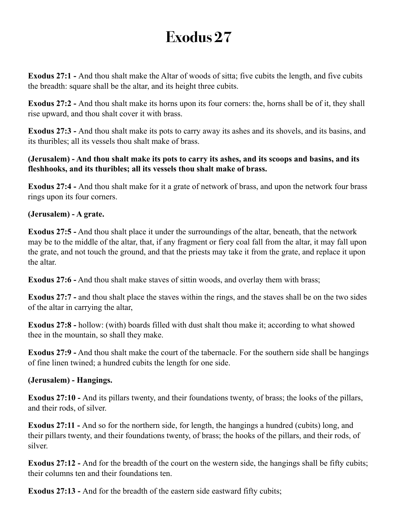**Exodus 27:1 -** And thou shalt make the Altar of woods of sitta; five cubits the length, and five cubits the breadth: square shall be the altar, and its height three cubits.

**Exodus 27:2 -** And thou shalt make its horns upon its four corners: the, horns shall be of it, they shall rise upward, and thou shalt cover it with brass.

**Exodus 27:3 -** And thou shalt make its pots to carry away its ashes and its shovels, and its basins, and its thuribles; all its vessels thou shalt make of brass.

### **(Jerusalem) - And thou shalt make its pots to carry its ashes, and its scoops and basins, and its fleshhooks, and its thuribles; all its vessels thou shalt make of brass.**

**Exodus 27:4 -** And thou shalt make for it a grate of network of brass, and upon the network four brass rings upon its four corners.

### **(Jerusalem) - A grate.**

**Exodus 27:5 -** And thou shalt place it under the surroundings of the altar, beneath, that the network may be to the middle of the altar, that, if any fragment or fiery coal fall from the altar, it may fall upon the grate, and not touch the ground, and that the priests may take it from the grate, and replace it upon the altar.

**Exodus 27:6 -** And thou shalt make staves of sittin woods, and overlay them with brass;

**Exodus 27:7 -** and thou shalt place the staves within the rings, and the staves shall be on the two sides of the altar in carrying the altar,

**Exodus 27:8 -** hollow: (with) boards filled with dust shalt thou make it; according to what showed thee in the mountain, so shall they make.

**Exodus 27:9 -** And thou shalt make the court of the tabernacle. For the southern side shall be hangings of fine linen twined; a hundred cubits the length for one side.

#### **(Jerusalem) - Hangings.**

**Exodus 27:10 -** And its pillars twenty, and their foundations twenty, of brass; the looks of the pillars, and their rods, of silver.

**Exodus 27:11 -** And so for the northern side, for length, the hangings a hundred (cubits) long, and their pillars twenty, and their foundations twenty, of brass; the hooks of the pillars, and their rods, of silver.

**Exodus 27:12 -** And for the breadth of the court on the western side, the hangings shall be fifty cubits; their columns ten and their foundations ten.

**Exodus 27:13 - And for the breadth of the eastern side eastward fifty cubits;**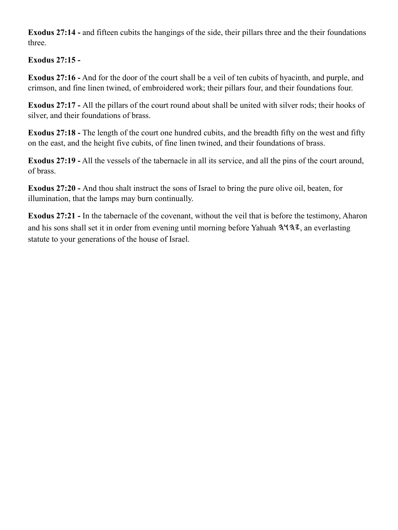**Exodus 27:14 -** and fifteen cubits the hangings of the side, their pillars three and the their foundations three.

## **Exodus 27:15 -**

**Exodus 27:16 -** And for the door of the court shall be a veil of ten cubits of hyacinth, and purple, and crimson, and fine linen twined, of embroidered work; their pillars four, and their foundations four.

**Exodus 27:17 -** All the pillars of the court round about shall be united with silver rods; their hooks of silver, and their foundations of brass.

**Exodus 27:18 -** The length of the court one hundred cubits, and the breadth fifty on the west and fifty on the east, and the height five cubits, of fine linen twined, and their foundations of brass.

**Exodus 27:19 -** All the vessels of the tabernacle in all its service, and all the pins of the court around, of brass.

**Exodus 27:20 -** And thou shalt instruct the sons of Israel to bring the pure olive oil, beaten, for illumination, that the lamps may burn continually.

**Exodus 27:21 -** In the tabernacle of the covenant, without the veil that is before the testimony, Aharon and his sons shall set it in order from evening until morning before Yahuah  $3\sqrt{3}z$ , an everlasting statute to your generations of the house of Israel.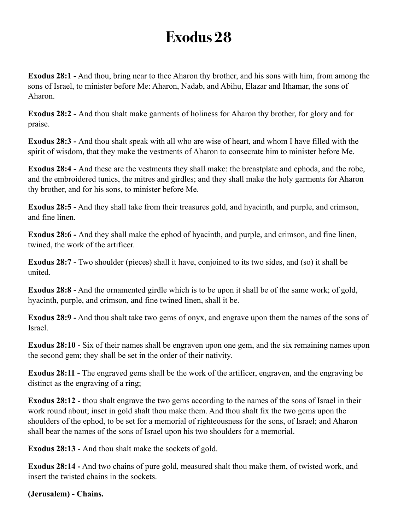**Exodus 28:1 -** And thou, bring near to thee Aharon thy brother, and his sons with him, from among the sons of Israel, to minister before Me: Aharon, Nadab, and Abihu, Elazar and Ithamar, the sons of Aharon.

**Exodus 28:2 -** And thou shalt make garments of holiness for Aharon thy brother, for glory and for praise.

**Exodus 28:3 -** And thou shalt speak with all who are wise of heart, and whom I have filled with the spirit of wisdom, that they make the vestments of Aharon to consecrate him to minister before Me.

**Exodus 28:4 -** And these are the vestments they shall make: the breastplate and ephoda, and the robe, and the embroidered tunics, the mitres and girdles; and they shall make the holy garments for Aharon thy brother, and for his sons, to minister before Me.

**Exodus 28:5 -** And they shall take from their treasures gold, and hyacinth, and purple, and crimson, and fine linen.

**Exodus 28:6 -** And they shall make the ephod of hyacinth, and purple, and crimson, and fine linen, twined, the work of the artificer.

**Exodus 28:7 -** Two shoulder (pieces) shall it have, conjoined to its two sides, and (so) it shall be united.

**Exodus 28:8 -** And the ornamented girdle which is to be upon it shall be of the same work; of gold, hyacinth, purple, and crimson, and fine twined linen, shall it be.

**Exodus 28:9 -** And thou shalt take two gems of onyx, and engrave upon them the names of the sons of Israel.

**Exodus 28:10 -** Six of their names shall be engraven upon one gem, and the six remaining names upon the second gem; they shall be set in the order of their nativity.

**Exodus 28:11 -** The engraved gems shall be the work of the artificer, engraven, and the engraving be distinct as the engraving of a ring;

**Exodus 28:12 -** thou shalt engrave the two gems according to the names of the sons of Israel in their work round about; inset in gold shalt thou make them. And thou shalt fix the two gems upon the shoulders of the ephod, to be set for a memorial of righteousness for the sons, of Israel; and Aharon shall bear the names of the sons of Israel upon his two shoulders for a memorial.

**Exodus 28:13 -** And thou shalt make the sockets of gold.

**Exodus 28:14 -** And two chains of pure gold, measured shalt thou make them, of twisted work, and insert the twisted chains in the sockets.

**(Jerusalem) - Chains.**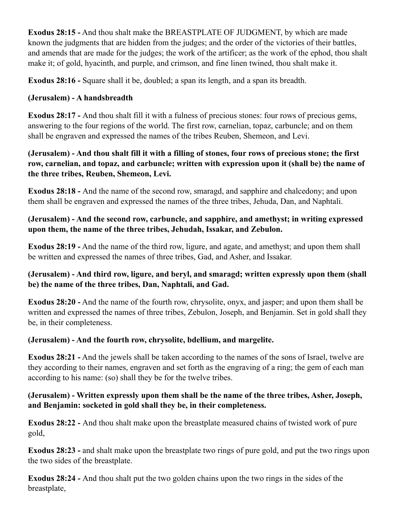**Exodus 28:15 -** And thou shalt make the BREASTPLATE OF JUDGMENT, by which are made known the judgments that are hidden from the judges; and the order of the victories of their battles, and amends that are made for the judges; the work of the artificer; as the work of the ephod, thou shalt make it; of gold, hyacinth, and purple, and crimson, and fine linen twined, thou shalt make it.

**Exodus 28:16 -** Square shall it be, doubled; a span its length, and a span its breadth.

## **(Jerusalem) - A handsbreadth**

**Exodus 28:17 -** And thou shalt fill it with a fulness of precious stones: four rows of precious gems, answering to the four regions of the world. The first row, carnelian, topaz, carbuncle; and on them shall be engraven and expressed the names of the tribes Reuben, Shemeon, and Levi.

## **(Jerusalem) - And thou shalt fill it with a filling of stones, four rows of precious stone; the first row, carnelian, and topaz, and carbuncle; written with expression upon it (shall be) the name of the three tribes, Reuben, Shemeon, Levi.**

**Exodus 28:18 -** And the name of the second row, smaragd, and sapphire and chalcedony; and upon them shall be engraven and expressed the names of the three tribes, Jehuda, Dan, and Naphtali.

## **(Jerusalem) - And the second row, carbuncle, and sapphire, and amethyst; in writing expressed upon them, the name of the three tribes, Jehudah, Issakar, and Zebulon.**

**Exodus 28:19 -** And the name of the third row, ligure, and agate, and amethyst; and upon them shall be written and expressed the names of three tribes, Gad, and Asher, and Issakar.

## **(Jerusalem) - And third row, ligure, and beryl, and smaragd; written expressly upon them (shall be) the name of the three tribes, Dan, Naphtali, and Gad.**

**Exodus 28:20 -** And the name of the fourth row, chrysolite, onyx, and jasper; and upon them shall be written and expressed the names of three tribes, Zebulon, Joseph, and Benjamin. Set in gold shall they be, in their completeness.

## **(Jerusalem) - And the fourth row, chrysolite, bdellium, and margelite.**

**Exodus 28:21 -** And the jewels shall be taken according to the names of the sons of Israel, twelve are they according to their names, engraven and set forth as the engraving of a ring; the gem of each man according to his name: (so) shall they be for the twelve tribes.

## **(Jerusalem) - Written expressly upon them shall be the name of the three tribes, Asher, Joseph, and Benjamin: socketed in gold shall they be, in their completeness.**

**Exodus 28:22 -** And thou shalt make upon the breastplate measured chains of twisted work of pure gold,

**Exodus 28:23 -** and shalt make upon the breastplate two rings of pure gold, and put the two rings upon the two sides of the breastplate.

**Exodus 28:24 -** And thou shalt put the two golden chains upon the two rings in the sides of the breastplate,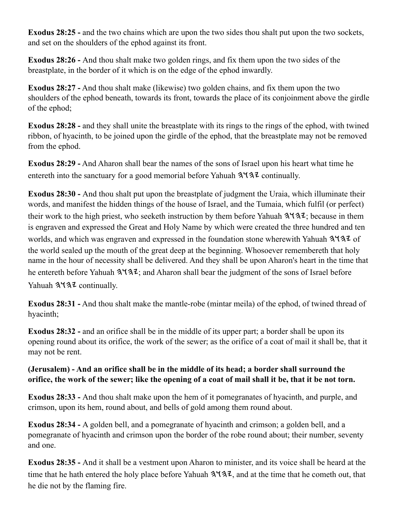**Exodus 28:25 - and the two chains which are upon the two sides thou shalt put upon the two sockets,** and set on the shoulders of the ephod against its front.

**Exodus 28:26 -** And thou shalt make two golden rings, and fix them upon the two sides of the breastplate, in the border of it which is on the edge of the ephod inwardly.

**Exodus 28:27 -** And thou shalt make (likewise) two golden chains, and fix them upon the two shoulders of the ephod beneath, towards its front, towards the place of its conjoinment above the girdle of the ephod;

**Exodus 28:28 -** and they shall unite the breastplate with its rings to the rings of the ephod, with twined ribbon, of hyacinth, to be joined upon the girdle of the ephod, that the breastplate may not be removed from the ephod.

**Exodus 28:29 -** And Aharon shall bear the names of the sons of Israel upon his heart what time he entereth into the sanctuary for a good memorial before Yahuah  $3\frac{1}{3}$  continually.

**Exodus 28:30 -** And thou shalt put upon the breastplate of judgment the Uraia, which illuminate their words, and manifest the hidden things of the house of Israel, and the Tumaia, which fulfil (or perfect) their work to the high priest, who seeketh instruction by them before Yahuah  $3\frac{1}{3}\frac{1}{3}\frac{1}{2}$ ; because in them is engraven and expressed the Great and Holy Name by which were created the three hundred and ten worlds, and which was engraven and expressed in the foundation stone wherewith Yahuah 3137 of the world sealed up the mouth of the great deep at the beginning. Whosoever remembereth that holy name in the hour of necessity shall be delivered. And they shall be upon Aharon's heart in the time that he entereth before Yahuah  $3\overline{137}$ ; and Aharon shall bear the judgment of the sons of Israel before Yahuah  $3\sqrt{3}$  continually.

**Exodus 28:31 -** And thou shalt make the mantle-robe (mintar meila) of the ephod, of twined thread of hyacinth;

**Exodus 28:32 -** and an orifice shall be in the middle of its upper part; a border shall be upon its opening round about its orifice, the work of the sewer; as the orifice of a coat of mail it shall be, that it may not be rent.

### **(Jerusalem) - And an orifice shall be in the middle of its head; a border shall surround the orifice, the work of the sewer; like the opening of a coat of mail shall it be, that it be not torn.**

**Exodus 28:33 -** And thou shalt make upon the hem of it pomegranates of hyacinth, and purple, and crimson, upon its hem, round about, and bells of gold among them round about.

**Exodus 28:34 -** A golden bell, and a pomegranate of hyacinth and crimson; a golden bell, and a pomegranate of hyacinth and crimson upon the border of the robe round about; their number, seventy and one.

**Exodus 28:35 -** And it shall be a vestment upon Aharon to minister, and its voice shall be heard at the time that he hath entered the holy place before Yahuah  $3\frac{4}{3}$ , and at the time that he cometh out, that he die not by the flaming fire.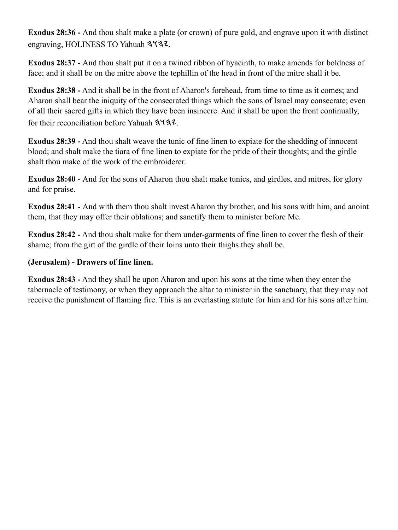**Exodus 28:36 -** And thou shalt make a plate (or crown) of pure gold, and engrave upon it with distinct engraving, HOLINESS TO Yahuah 3437.

**Exodus 28:37 -** And thou shalt put it on a twined ribbon of hyacinth, to make amends for boldness of face; and it shall be on the mitre above the tephillin of the head in front of the mitre shall it be.

**Exodus 28:38 -** And it shall be in the front of Aharon's forehead, from time to time as it comes; and Aharon shall bear the iniquity of the consecrated things which the sons of Israel may consecrate; even of all their sacred gifts in which they have been insincere. And it shall be upon the front continually, for their reconciliation before Yahuah  $3\overline{43z}$ .

**Exodus 28:39 -** And thou shalt weave the tunic of fine linen to expiate for the shedding of innocent blood; and shalt make the tiara of fine linen to expiate for the pride of their thoughts; and the girdle shalt thou make of the work of the embroiderer.

**Exodus 28:40 -** And for the sons of Aharon thou shalt make tunics, and girdles, and mitres, for glory and for praise.

**Exodus 28:41 -** And with them thou shalt invest Aharon thy brother, and his sons with him, and anoint them, that they may offer their oblations; and sanctify them to minister before Me.

**Exodus 28:42 -** And thou shalt make for them under-garments of fine linen to cover the flesh of their shame; from the girt of the girdle of their loins unto their thighs they shall be.

### **(Jerusalem) - Drawers of fine linen.**

**Exodus 28:43 -** And they shall be upon Aharon and upon his sons at the time when they enter the tabernacle of testimony, or when they approach the altar to minister in the sanctuary, that they may not receive the punishment of flaming fire. This is an everlasting statute for him and for his sons after him.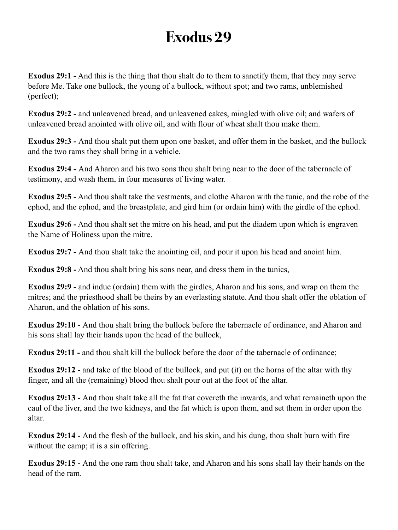**Exodus 29:1 -** And this is the thing that thou shalt do to them to sanctify them, that they may serve before Me. Take one bullock, the young of a bullock, without spot; and two rams, unblemished (perfect);

**Exodus 29:2 -** and unleavened bread, and unleavened cakes, mingled with olive oil; and wafers of unleavened bread anointed with olive oil, and with flour of wheat shalt thou make them.

**Exodus 29:3 -** And thou shalt put them upon one basket, and offer them in the basket, and the bullock and the two rams they shall bring in a vehicle.

**Exodus 29:4 -** And Aharon and his two sons thou shalt bring near to the door of the tabernacle of testimony, and wash them, in four measures of living water.

**Exodus 29:5 -** And thou shalt take the vestments, and clothe Aharon with the tunic, and the robe of the ephod, and the ephod, and the breastplate, and gird him (or ordain him) with the girdle of the ephod.

**Exodus 29:6 -** And thou shalt set the mitre on his head, and put the diadem upon which is engraven the Name of Holiness upon the mitre.

**Exodus 29:7 -** And thou shalt take the anointing oil, and pour it upon his head and anoint him.

**Exodus 29:8 -** And thou shalt bring his sons near, and dress them in the tunics,

**Exodus 29:9 -** and indue (ordain) them with the girdles, Aharon and his sons, and wrap on them the mitres; and the priesthood shall be theirs by an everlasting statute. And thou shalt offer the oblation of Aharon, and the oblation of his sons.

**Exodus 29:10 -** And thou shalt bring the bullock before the tabernacle of ordinance, and Aharon and his sons shall lay their hands upon the head of the bullock,

**Exodus 29:11 -** and thou shalt kill the bullock before the door of the tabernacle of ordinance;

**Exodus 29:12 - and take of the blood of the bullock, and put (it) on the horns of the altar with thy** finger, and all the (remaining) blood thou shalt pour out at the foot of the altar.

**Exodus 29:13 -** And thou shalt take all the fat that covereth the inwards, and what remaineth upon the caul of the liver, and the two kidneys, and the fat which is upon them, and set them in order upon the altar.

**Exodus 29:14 -** And the flesh of the bullock, and his skin, and his dung, thou shalt burn with fire without the camp; it is a sin offering.

**Exodus 29:15 -** And the one ram thou shalt take, and Aharon and his sons shall lay their hands on the head of the ram.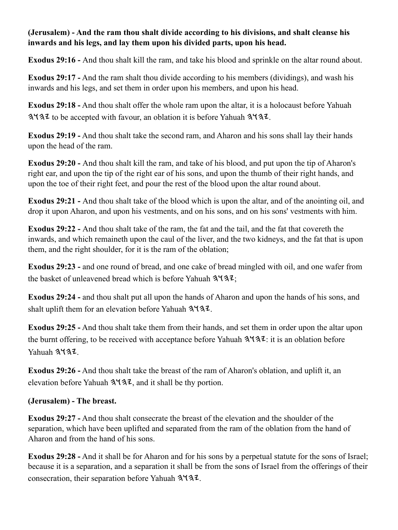### **(Jerusalem) - And the ram thou shalt divide according to his divisions, and shalt cleanse his inwards and his legs, and lay them upon his divided parts, upon his head.**

**Exodus 29:16 -** And thou shalt kill the ram, and take his blood and sprinkle on the altar round about.

**Exodus 29:17 -** And the ram shalt thou divide according to his members (dividings), and wash his inwards and his legs, and set them in order upon his members, and upon his head.

**Exodus 29:18 -** And thou shalt offer the whole ram upon the altar, it is a holocaust before Yahuah  $3\overline{1}3\overline{2}$  to be accepted with favour, an oblation it is before Yahuah  $3\overline{1}3\overline{2}$ .

**Exodus 29:19 -** And thou shalt take the second ram, and Aharon and his sons shall lay their hands upon the head of the ram.

**Exodus 29:20 -** And thou shalt kill the ram, and take of his blood, and put upon the tip of Aharon's right ear, and upon the tip of the right ear of his sons, and upon the thumb of their right hands, and upon the toe of their right feet, and pour the rest of the blood upon the altar round about.

**Exodus 29:21 -** And thou shalt take of the blood which is upon the altar, and of the anointing oil, and drop it upon Aharon, and upon his vestments, and on his sons, and on his sons' vestments with him.

**Exodus 29:22 -** And thou shalt take of the ram, the fat and the tail, and the fat that covereth the inwards, and which remaineth upon the caul of the liver, and the two kidneys, and the fat that is upon them, and the right shoulder, for it is the ram of the oblation;

**Exodus 29:23 -** and one round of bread, and one cake of bread mingled with oil, and one wafer from the basket of unleavened bread which is before Yahuah  $3\sqrt{3}z$ ;

**Exodus 29:24 -** and thou shalt put all upon the hands of Aharon and upon the hands of his sons, and shalt uplift them for an elevation before Yahuah  $3\sqrt{32}$ .

**Exodus 29:25 -** And thou shalt take them from their hands, and set them in order upon the altar upon the burnt offering, to be received with acceptance before Yahuah  $3\frac{1}{3}\cdot\ldots$  it is an oblation before Yahuah 3437

**Exodus 29:26 -** And thou shalt take the breast of the ram of Aharon's oblation, and uplift it, an elevation before Yahuah  $3\frac{4}{3}$ , and it shall be thy portion.

### **(Jerusalem) - The breast.**

**Exodus 29:27 -** And thou shalt consecrate the breast of the elevation and the shoulder of the separation, which have been uplifted and separated from the ram of the oblation from the hand of Aharon and from the hand of his sons.

**Exodus 29:28 -** And it shall be for Aharon and for his sons by a perpetual statute for the sons of Israel; because it is a separation, and a separation it shall be from the sons of Israel from the offerings of their consecration, their separation before Yahuah  $3\overline{43z}$ .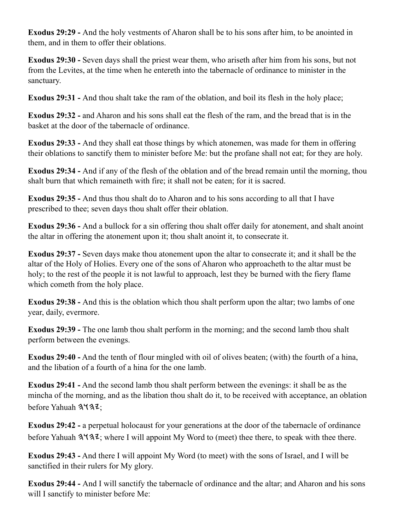**Exodus 29:29 -** And the holy vestments of Aharon shall be to his sons after him, to be anointed in them, and in them to offer their oblations.

**Exodus 29:30 -** Seven days shall the priest wear them, who ariseth after him from his sons, but not from the Levites, at the time when he entereth into the tabernacle of ordinance to minister in the sanctuary.

**Exodus 29:31 -** And thou shalt take the ram of the oblation, and boil its flesh in the holy place;

**Exodus 29:32 -** and Aharon and his sons shall eat the flesh of the ram, and the bread that is in the basket at the door of the tabernacle of ordinance.

**Exodus 29:33 -** And they shall eat those things by which atonemen, was made for them in offering their oblations to sanctify them to minister before Me: but the profane shall not eat; for they are holy.

**Exodus 29:34 -** And if any of the flesh of the oblation and of the bread remain until the morning, thou shalt burn that which remaineth with fire; it shall not be eaten; for it is sacred.

**Exodus 29:35 -** And thus thou shalt do to Aharon and to his sons according to all that I have prescribed to thee; seven days thou shalt offer their oblation.

**Exodus 29:36 -** And a bullock for a sin offering thou shalt offer daily for atonement, and shalt anoint the altar in offering the atonement upon it; thou shalt anoint it, to consecrate it.

**Exodus 29:37 -** Seven days make thou atonement upon the altar to consecrate it; and it shall be the altar of the Holy of Holies. Every one of the sons of Aharon who approacheth to the altar must be holy; to the rest of the people it is not lawful to approach, lest they be burned with the fiery flame which cometh from the holy place.

**Exodus 29:38 -** And this is the oblation which thou shalt perform upon the altar; two lambs of one year, daily, evermore.

**Exodus 29:39 -** The one lamb thou shalt perform in the morning; and the second lamb thou shalt perform between the evenings.

**Exodus 29:40 -** And the tenth of flour mingled with oil of olives beaten; (with) the fourth of a hina, and the libation of a fourth of a hina for the one lamb.

**Exodus 29:41 -** And the second lamb thou shalt perform between the evenings: it shall be as the mincha of the morning, and as the libation thou shalt do it, to be received with acceptance, an oblation before Yahuah  $3\sqrt{3}z$ ;

**Exodus 29:42 -** a perpetual holocaust for your generations at the door of the tabernacle of ordinance before Yahuah  $3\sqrt{3}z$ ; where I will appoint My Word to (meet) thee there, to speak with thee there.

**Exodus 29:43 -** And there I will appoint My Word (to meet) with the sons of Israel, and I will be sanctified in their rulers for My glory.

**Exodus 29:44 -** And I will sanctify the tabernacle of ordinance and the altar; and Aharon and his sons will I sanctify to minister before Me: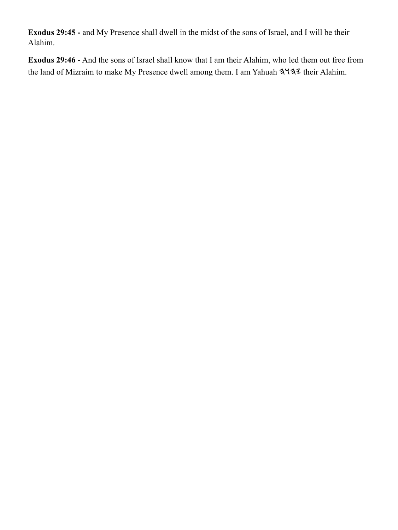**Exodus 29:45 -** and My Presence shall dwell in the midst of the sons of Israel, and I will be their Alahim.

**Exodus 29:46 -** And the sons of Israel shall know that I am their Alahim, who led them out free from the land of Mizraim to make My Presence dwell among them. I am Yahuah 3137 their Alahim.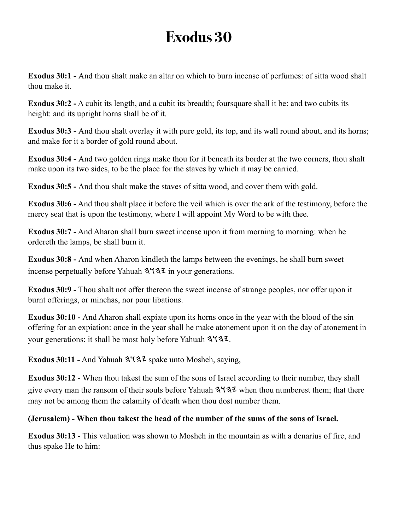**Exodus 30:1 -** And thou shalt make an altar on which to burn incense of perfumes: of sitta wood shalt thou make it.

**Exodus 30:2 -** A cubit its length, and a cubit its breadth; foursquare shall it be: and two cubits its height: and its upright horns shall be of it.

**Exodus 30:3 -** And thou shalt overlay it with pure gold, its top, and its wall round about, and its horns; and make for it a border of gold round about.

**Exodus 30:4 -** And two golden rings make thou for it beneath its border at the two corners, thou shalt make upon its two sides, to be the place for the staves by which it may be carried.

**Exodus 30:5 -** And thou shalt make the staves of sitta wood, and cover them with gold.

**Exodus 30:6 -** And thou shalt place it before the veil which is over the ark of the testimony, before the mercy seat that is upon the testimony, where I will appoint My Word to be with thee.

**Exodus 30:7 -** And Aharon shall burn sweet incense upon it from morning to morning: when he ordereth the lamps, be shall burn it.

**Exodus 30:8 -** And when Aharon kindleth the lamps between the evenings, he shall burn sweet incense perpetually before Yahuah  $3\overline{4}3\overline{2}$  in your generations.

**Exodus 30:9 -** Thou shalt not offer thereon the sweet incense of strange peoples, nor offer upon it burnt offerings, or minchas, nor pour libations.

**Exodus 30:10 -** And Aharon shall expiate upon its horns once in the year with the blood of the sin offering for an expiation: once in the year shall he make atonement upon it on the day of atonement in your generations: it shall be most holy before Yahuah  $3\frac{4}{3}$ .

**Exodus 30:11 -** And Yahuah  $3\sqrt{32}$  spake unto Mosheh, saying,

**Exodus 30:12 -** When thou takest the sum of the sons of Israel according to their number, they shall give every man the ransom of their souls before Yahuah  $3\frac{4}{3}\frac{7}{4}$  when thou numberest them; that there may not be among them the calamity of death when thou dost number them.

### **(Jerusalem) - When thou takest the head of the number of the sums of the sons of Israel.**

**Exodus 30:13 -** This valuation was shown to Mosheh in the mountain as with a denarius of fire, and thus spake He to him: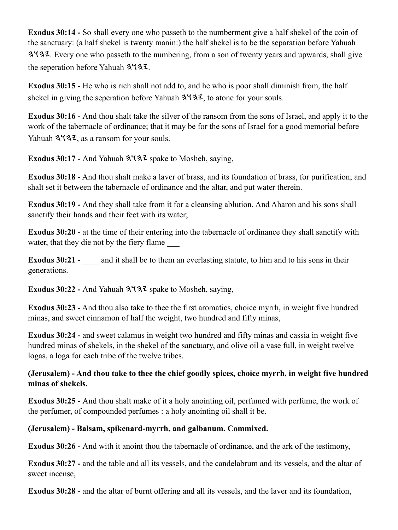**Exodus 30:14 -** So shall every one who passeth to the numberment give a half shekel of the coin of the sanctuary: (a half shekel is twenty manin:) the half shekel is to be the separation before Yahuah . Every one who passeth to the numbering, from a son of twenty years and upwards, shall give the seperation before Yahuah  $3\overline{43z}$ .

**Exodus 30:15 -** He who is rich shall not add to, and he who is poor shall diminish from, the half shekel in giving the seperation before Yahuah  $3\overline{4}3$ , to atone for your souls.

**Exodus 30:16 -** And thou shalt take the silver of the ransom from the sons of Israel, and apply it to the work of the tabernacle of ordinance; that it may be for the sons of Israel for a good memorial before Yahuah  $3\sqrt{3}$ , as a ransom for your souls.

Exodus 30:17 - And Yahuah  $3\sqrt{3}z$  spake to Mosheh, saying,

**Exodus 30:18 -** And thou shalt make a laver of brass, and its foundation of brass, for purification; and shalt set it between the tabernacle of ordinance and the altar, and put water therein.

**Exodus 30:19 -** And they shall take from it for a cleansing ablution. And Aharon and his sons shall sanctify their hands and their feet with its water;

**Exodus 30:20 -** at the time of their entering into the tabernacle of ordinance they shall sanctify with water, that they die not by the fiery flame

**Exodus 30:21 -** and it shall be to them an everlasting statute, to him and to his sons in their generations.

Exodus 30:22 - And Yahuah  $3\sqrt{3}z$  spake to Mosheh, saying,

**Exodus 30:23 -** And thou also take to thee the first aromatics, choice myrrh, in weight five hundred minas, and sweet cinnamon of half the weight, two hundred and fifty minas,

**Exodus 30:24 -** and sweet calamus in weight two hundred and fifty minas and cassia in weight five hundred minas of shekels, in the shekel of the sanctuary, and olive oil a vase full, in weight twelve logas, a loga for each tribe of the twelve tribes.

### **(Jerusalem) - And thou take to thee the chief goodly spices, choice myrrh, in weight five hundred minas of shekels.**

**Exodus 30:25 -** And thou shalt make of it a holy anointing oil, perfumed with perfume, the work of the perfumer, of compounded perfumes : a holy anointing oil shall it be.

### **(Jerusalem) - Balsam, spikenard-myrrh, and galbanum. Commixed.**

**Exodus 30:26 -** And with it anoint thou the tabernacle of ordinance, and the ark of the testimony,

**Exodus 30:27 -** and the table and all its vessels, and the candelabrum and its vessels, and the altar of sweet incense,

**Exodus 30:28 -** and the altar of burnt offering and all its vessels, and the laver and its foundation,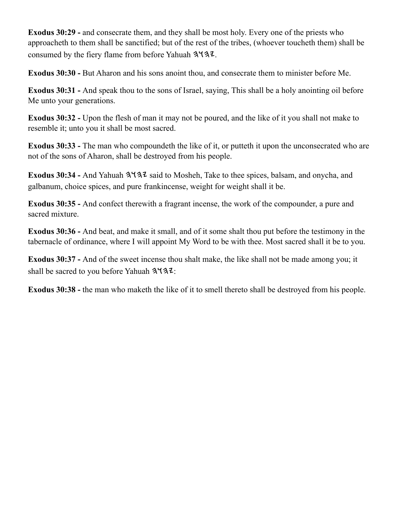**Exodus 30:29 -** and consecrate them, and they shall be most holy. Every one of the priests who approacheth to them shall be sanctified; but of the rest of the tribes, (whoever toucheth them) shall be consumed by the fiery flame from before Yahuah  $3437$ .

**Exodus 30:30 -** But Aharon and his sons anoint thou, and consecrate them to minister before Me.

**Exodus 30:31 -** And speak thou to the sons of Israel, saying, This shall be a holy anointing oil before Me unto your generations.

**Exodus 30:32 -** Upon the flesh of man it may not be poured, and the like of it you shall not make to resemble it; unto you it shall be most sacred.

**Exodus 30:33 -** The man who compoundeth the like of it, or putteth it upon the unconsecrated who are not of the sons of Aharon, shall be destroyed from his people.

Exodus 30:34 - And Yahuah  $3\frac{4}{3}\frac{3}{4}$  said to Mosheh, Take to thee spices, balsam, and onycha, and galbanum, choice spices, and pure frankincense, weight for weight shall it be.

**Exodus 30:35 -** And confect therewith a fragrant incense, the work of the compounder, a pure and sacred mixture.

**Exodus 30:36 -** And beat, and make it small, and of it some shalt thou put before the testimony in the tabernacle of ordinance, where I will appoint My Word to be with thee. Most sacred shall it be to you.

**Exodus 30:37 -** And of the sweet incense thou shalt make, the like shall not be made among you; it shall be sacred to you before Yahuah  $3\sqrt{3}z$ :

**Exodus 30:38 -** the man who maketh the like of it to smell thereto shall be destroyed from his people.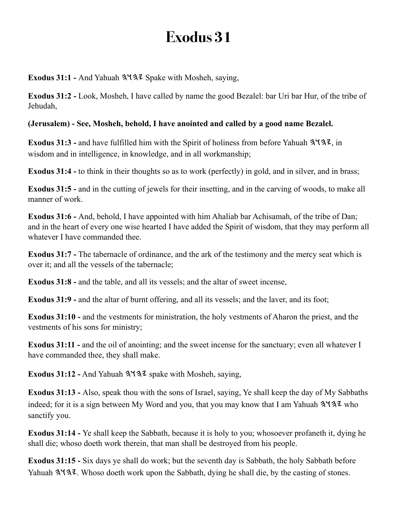**Exodus 31:1 - And Yahuah 3937 Spake with Mosheh, saying,** 

**Exodus 31:2 -** Look, Mosheh, I have called by name the good Bezalel: bar Uri bar Hur, of the tribe of Jehudah,

## **(Jerusalem) - See, Mosheh, behold, I have anointed and called by a good name Bezalel.**

**Exodus 31:3 - and have fulfilled him with the Spirit of holiness from before Yahuah 3137, in** wisdom and in intelligence, in knowledge, and in all workmanship;

**Exodus 31:4 -** to think in their thoughts so as to work (perfectly) in gold, and in silver, and in brass;

**Exodus 31:5 -** and in the cutting of jewels for their insetting, and in the carving of woods, to make all manner of work.

**Exodus 31:6 -** And, behold, I have appointed with him Ahaliab bar Achisamah, of the tribe of Dan; and in the heart of every one wise hearted I have added the Spirit of wisdom, that they may perform all whatever I have commanded thee.

**Exodus 31:7 -** The tabernacle of ordinance, and the ark of the testimony and the mercy seat which is over it; and all the vessels of the tabernacle;

**Exodus 31:8 -** and the table, and all its vessels; and the altar of sweet incense,

**Exodus 31:9 - and the altar of burnt offering, and all its vessels; and the laver, and its foot;** 

**Exodus 31:10 -** and the vestments for ministration, the holy vestments of Aharon the priest, and the vestments of his sons for ministry;

**Exodus 31:11 -** and the oil of anointing; and the sweet incense for the sanctuary; even all whatever I have commanded thee, they shall make.

**Exodus 31:12 -** And Yahuah  $3\sqrt{3}z$  spake with Mosheh, saying,

**Exodus 31:13 -** Also, speak thou with the sons of Israel, saying, Ye shall keep the day of My Sabbaths indeed; for it is a sign between My Word and you, that you may know that I am Yahuah  $3\frac{4}{3}\ell$  who sanctify you.

**Exodus 31:14 -** Ye shall keep the Sabbath, because it is holy to you; whosoever profaneth it, dying he shall die; whoso doeth work therein, that man shall be destroyed from his people.

**Exodus 31:15 -** Six days ye shall do work; but the seventh day is Sabbath, the holy Sabbath before Yahuah  $3\sqrt{3}$ . Whoso doeth work upon the Sabbath, dying he shall die, by the casting of stones.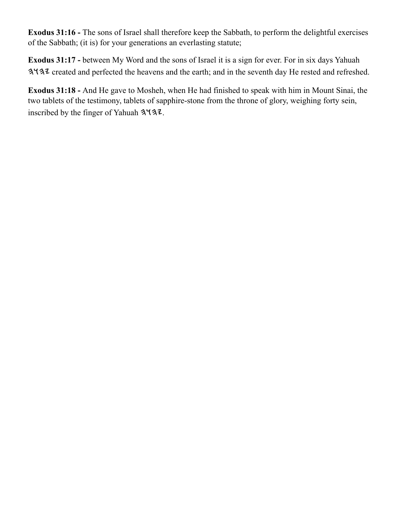**Exodus 31:16 -** The sons of Israel shall therefore keep the Sabbath, to perform the delightful exercises of the Sabbath; (it is) for your generations an everlasting statute;

**Exodus 31:17 -** between My Word and the sons of Israel it is a sign for ever. For in six days Yahuah 3437 created and perfected the heavens and the earth; and in the seventh day He rested and refreshed.

**Exodus 31:18 -** And He gave to Mosheh, when He had finished to speak with him in Mount Sinai, the two tablets of the testimony, tablets of sapphire-stone from the throne of glory, weighing forty sein, inscribed by the finger of Yahuah  $3\sqrt{3}z$ .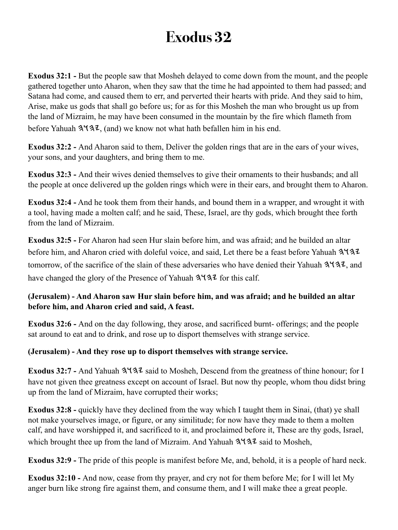**Exodus 32:1 -** But the people saw that Mosheh delayed to come down from the mount, and the people gathered together unto Aharon, when they saw that the time he had appointed to them had passed; and Satana had come, and caused them to err, and perverted their hearts with pride. And they said to him, Arise, make us gods that shall go before us; for as for this Mosheh the man who brought us up from the land of Mizraim, he may have been consumed in the mountain by the fire which flameth from before Yahuah  $3\frac{1}{3}$ , (and) we know not what hath befallen him in his end.

**Exodus 32:2 -** And Aharon said to them, Deliver the golden rings that are in the ears of your wives, your sons, and your daughters, and bring them to me.

**Exodus 32:3 -** And their wives denied themselves to give their ornaments to their husbands; and all the people at once delivered up the golden rings which were in their ears, and brought them to Aharon.

**Exodus 32:4 -** And he took them from their hands, and bound them in a wrapper, and wrought it with a tool, having made a molten calf; and he said, These, Israel, are thy gods, which brought thee forth from the land of Mizraim.

**Exodus 32:5 -** For Aharon had seen Hur slain before him, and was afraid; and he builded an altar before him, and Aharon cried with doleful voice, and said, Let there be a feast before Yahuah 3137 tomorrow, of the sacrifice of the slain of these adversaries who have denied their Yahuah  $3\sqrt{3}z$ , and have changed the glory of the Presence of Yahuah  $3\sqrt{3}$  for this calf.

#### **(Jerusalem) - And Aharon saw Hur slain before him, and was afraid; and he builded an altar before him, and Aharon cried and said, A feast.**

**Exodus 32:6 -** And on the day following, they arose, and sacrificed burnt- offerings; and the people sat around to eat and to drink, and rose up to disport themselves with strange service.

#### **(Jerusalem) - And they rose up to disport themselves with strange service.**

**Exodus 32:7 - And Yahuah 3137** said to Mosheh, Descend from the greatness of thine honour; for I have not given thee greatness except on account of Israel. But now thy people, whom thou didst bring up from the land of Mizraim, have corrupted their works;

**Exodus 32:8 -** quickly have they declined from the way which I taught them in Sinai, (that) ye shall not make yourselves image, or figure, or any similitude; for now have they made to them a molten calf, and have worshipped it, and sacrificed to it, and proclaimed before it, These are thy gods, Israel, which brought thee up from the land of Mizraim. And Yahuah  $3\sqrt{3}z$  said to Mosheh,

**Exodus 32:9 -** The pride of this people is manifest before Me, and, behold, it is a people of hard neck.

**Exodus 32:10 -** And now, cease from thy prayer, and cry not for them before Me; for I will let My anger burn like strong fire against them, and consume them, and I will make thee a great people.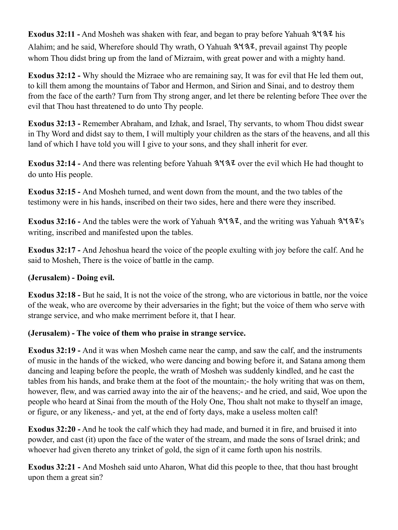**Exodus 32:11 -** And Mosheh was shaken with fear, and began to pray before Yahuah  $3\frac{1}{4}$  his Alahim; and he said, Wherefore should Thy wrath, O Yahuah  $3\frac{4}{3}$ , prevail against Thy people whom Thou didst bring up from the land of Mizraim, with great power and with a mighty hand.

**Exodus 32:12 -** Why should the Mizraee who are remaining say, It was for evil that He led them out, to kill them among the mountains of Tabor and Hermon, and Sirion and Sinai, and to destroy them from the face of the earth? Turn from Thy strong anger, and let there be relenting before Thee over the evil that Thou hast threatened to do unto Thy people.

**Exodus 32:13 -** Remember Abraham, and Izhak, and Israel, Thy servants, to whom Thou didst swear in Thy Word and didst say to them, I will multiply your children as the stars of the heavens, and all this land of which I have told you will I give to your sons, and they shall inherit for ever.

**Exodus 32:14 - And there was relenting before Yahuah**  $3\frac{4}{3}\frac{7}{3}\frac{7}{3}\frac{1}{3}$  **over the evil which He had thought to** do unto His people.

**Exodus 32:15 -** And Mosheh turned, and went down from the mount, and the two tables of the testimony were in his hands, inscribed on their two sides, here and there were they inscribed.

**Exodus 32:16 - And the tables were the work of Yahuah**  $3\frac{4}{3}\ell$ **, and the writing was Yahuah**  $3\frac{4}{3}\ell$ **'s** writing, inscribed and manifested upon the tables.

**Exodus 32:17 -** And Jehoshua heard the voice of the people exulting with joy before the calf. And he said to Mosheh, There is the voice of battle in the camp.

### **(Jerusalem) - Doing evil.**

**Exodus 32:18 -** But he said, It is not the voice of the strong, who are victorious in battle, nor the voice of the weak, who are overcome by their adversaries in the fight; but the voice of them who serve with strange service, and who make merriment before it, that I hear.

#### **(Jerusalem) - The voice of them who praise in strange service.**

**Exodus 32:19 -** And it was when Mosheh came near the camp, and saw the calf, and the instruments of music in the hands of the wicked, who were dancing and bowing before it, and Satana among them dancing and leaping before the people, the wrath of Mosheh was suddenly kindled, and he cast the tables from his hands, and brake them at the foot of the mountain;- the holy writing that was on them, however, flew, and was carried away into the air of the heavens;- and he cried, and said, Woe upon the people who heard at Sinai from the mouth of the Holy One, Thou shalt not make to thyself an image, or figure, or any likeness,- and yet, at the end of forty days, make a useless molten calf!

**Exodus 32:20 -** And he took the calf which they had made, and burned it in fire, and bruised it into powder, and cast (it) upon the face of the water of the stream, and made the sons of Israel drink; and whoever had given thereto any trinket of gold, the sign of it came forth upon his nostrils.

**Exodus 32:21 -** And Mosheh said unto Aharon, What did this people to thee, that thou hast brought upon them a great sin?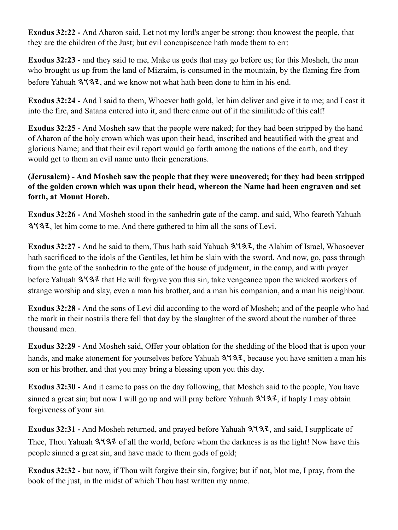**Exodus 32:22 -** And Aharon said, Let not my lord's anger be strong: thou knowest the people, that they are the children of the Just; but evil concupiscence hath made them to err:

**Exodus 32:23 -** and they said to me, Make us gods that may go before us; for this Mosheh, the man who brought us up from the land of Mizraim, is consumed in the mountain, by the flaming fire from before Yahuah  $3137$ , and we know not what hath been done to him in his end.

**Exodus 32:24 -** And I said to them, Whoever hath gold, let him deliver and give it to me; and I cast it into the fire, and Satana entered into it, and there came out of it the similitude of this calf!

**Exodus 32:25 -** And Mosheh saw that the people were naked; for they had been stripped by the hand of Aharon of the holy crown which was upon their head, inscribed and beautified with the great and glorious Name; and that their evil report would go forth among the nations of the earth, and they would get to them an evil name unto their generations.

### **(Jerusalem) - And Mosheh saw the people that they were uncovered; for they had been stripped of the golden crown which was upon their head, whereon the Name had been engraven and set forth, at Mount Horeb.**

**Exodus 32:26 -** And Mosheh stood in the sanhedrin gate of the camp, and said, Who feareth Yahuah 3. Set him come to me. And there gathered to him all the sons of Levi.

**Exodus 32:27 - And he said to them, Thus hath said Yahuah**  $3\frac{4}{3}\frac{7}{3}\lambda$ **, the Alahim of Israel, Whosoever** hath sacrificed to the idols of the Gentiles, let him be slain with the sword. And now, go, pass through from the gate of the sanhedrin to the gate of the house of judgment, in the camp, and with prayer before Yahuah  $3\sqrt{32}$  that He will forgive you this sin, take vengeance upon the wicked workers of strange worship and slay, even a man his brother, and a man his companion, and a man his neighbour.

**Exodus 32:28 -** And the sons of Levi did according to the word of Mosheh; and of the people who had the mark in their nostrils there fell that day by the slaughter of the sword about the number of three thousand men.

**Exodus 32:29 -** And Mosheh said, Offer your oblation for the shedding of the blood that is upon your hands, and make atonement for yourselves before Yahuah  $3\frac{1}{3}$ , because you have smitten a man his son or his brother, and that you may bring a blessing upon you this day.

**Exodus 32:30 -** And it came to pass on the day following, that Mosheh said to the people, You have sinned a great sin; but now I will go up and will pray before Yahuah  $3\frac{4}{3}\frac{7}{3}\frac{7}{1}$  if haply I may obtain forgiveness of your sin.

**Exodus 32:31 -** And Mosheh returned, and prayed before Yahuah  $3\frac{1}{3}$ , and said, I supplicate of Thee, Thou Yahuah  $3137$  of all the world, before whom the darkness is as the light! Now have this people sinned a great sin, and have made to them gods of gold;

**Exodus 32:32 -** but now, if Thou wilt forgive their sin, forgive; but if not, blot me, I pray, from the book of the just, in the midst of which Thou hast written my name.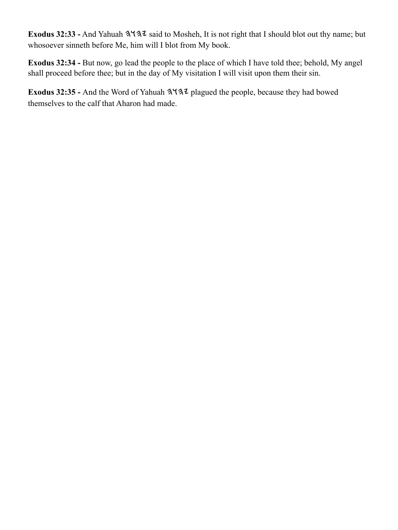Exodus 32:33 - And Yahuah 3137 said to Mosheh, It is not right that I should blot out thy name; but whosoever sinneth before Me, him will I blot from My book.

**Exodus 32:34 -** But now, go lead the people to the place of which I have told thee; behold, My angel shall proceed before thee; but in the day of My visitation I will visit upon them their sin.

Exodus 32:35 - And the Word of Yahuah  $3\frac{4}{3}$  plagued the people, because they had bowed themselves to the calf that Aharon had made.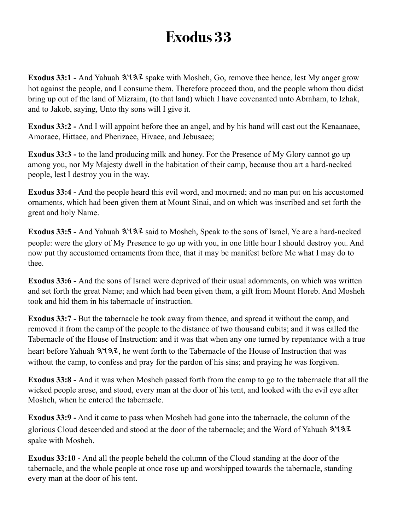**Exodus 33:1 - And Yahuah**  $3\frac{4}{3}\sqrt{2}$  **spake with Mosheh, Go, remove thee hence, lest My anger grow** hot against the people, and I consume them. Therefore proceed thou, and the people whom thou didst bring up out of the land of Mizraim, (to that land) which I have covenanted unto Abraham, to Izhak, and to Jakob, saying, Unto thy sons will I give it.

**Exodus 33:2 -** And I will appoint before thee an angel, and by his hand will cast out the Kenaanaee, Amoraee, Hittaee, and Pherizaee, Hivaee, and Jebusaee;

**Exodus 33:3 -** to the land producing milk and honey. For the Presence of My Glory cannot go up among you, nor My Majesty dwell in the habitation of their camp, because thou art a hard-necked people, lest I destroy you in the way.

**Exodus 33:4 -** And the people heard this evil word, and mourned; and no man put on his accustomed ornaments, which had been given them at Mount Sinai, and on which was inscribed and set forth the great and holy Name.

Exodus 33:5 - And Yahuah  $3\frac{4}{3}\frac{3}{4}$  said to Mosheh, Speak to the sons of Israel, Ye are a hard-necked people: were the glory of My Presence to go up with you, in one little hour I should destroy you. And now put thy accustomed ornaments from thee, that it may be manifest before Me what I may do to thee.

**Exodus 33:6 -** And the sons of Israel were deprived of their usual adornments, on which was written and set forth the great Name; and which had been given them, a gift from Mount Horeb. And Mosheh took and hid them in his tabernacle of instruction.

**Exodus 33:7 -** But the tabernacle he took away from thence, and spread it without the camp, and removed it from the camp of the people to the distance of two thousand cubits; and it was called the Tabernacle of the House of Instruction: and it was that when any one turned by repentance with a true heart before Yahuah  $3137$ , he went forth to the Tabernacle of the House of Instruction that was without the camp, to confess and pray for the pardon of his sins; and praying he was forgiven.

**Exodus 33:8 -** And it was when Mosheh passed forth from the camp to go to the tabernacle that all the wicked people arose, and stood, every man at the door of his tent, and looked with the evil eye after Mosheh, when he entered the tabernacle.

**Exodus 33:9 -** And it came to pass when Mosheh had gone into the tabernacle, the column of the glorious Cloud descended and stood at the door of the tabernacle; and the Word of Yahuah spake with Mosheh.

**Exodus 33:10 -** And all the people beheld the column of the Cloud standing at the door of the tabernacle, and the whole people at once rose up and worshipped towards the tabernacle, standing every man at the door of his tent.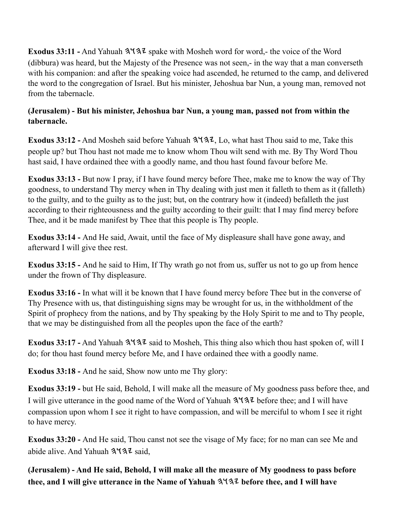**Exodus 33:11 -** And Yahuah  $3\sqrt{3}z$  spake with Mosheh word for word, - the voice of the Word (dibbura) was heard, but the Majesty of the Presence was not seen,- in the way that a man converseth with his companion: and after the speaking voice had ascended, he returned to the camp, and delivered the word to the congregation of Israel. But his minister, Jehoshua bar Nun, a young man, removed not from the tabernacle.

## **(Jerusalem) - But his minister, Jehoshua bar Nun, a young man, passed not from within the tabernacle.**

**Exodus 33:12 -** And Mosheh said before Yahuah  $3\frac{4}{3}\sqrt{3}$ , Lo, what hast Thou said to me, Take this people up? but Thou hast not made me to know whom Thou wilt send with me. By Thy Word Thou hast said, I have ordained thee with a goodly name, and thou hast found favour before Me.

**Exodus 33:13 -** But now I pray, if I have found mercy before Thee, make me to know the way of Thy goodness, to understand Thy mercy when in Thy dealing with just men it falleth to them as it (falleth) to the guilty, and to the guilty as to the just; but, on the contrary how it (indeed) befalleth the just according to their righteousness and the guilty according to their guilt: that I may find mercy before Thee, and it be made manifest by Thee that this people is Thy people.

**Exodus 33:14 -** And He said, Await, until the face of My displeasure shall have gone away, and afterward I will give thee rest.

**Exodus 33:15 -** And he said to Him, If Thy wrath go not from us, suffer us not to go up from hence under the frown of Thy displeasure.

**Exodus 33:16 -** In what will it be known that I have found mercy before Thee but in the converse of Thy Presence with us, that distinguishing signs may be wrought for us, in the withholdment of the Spirit of prophecy from the nations, and by Thy speaking by the Holy Spirit to me and to Thy people, that we may be distinguished from all the peoples upon the face of the earth?

**Exodus 33:17 -** And Yahuah  $3\sqrt{32}$  said to Mosheh, This thing also which thou hast spoken of, will I do; for thou hast found mercy before Me, and I have ordained thee with a goodly name.

**Exodus 33:18 -** And he said, Show now unto me Thy glory:

**Exodus 33:19 -** but He said, Behold, I will make all the measure of My goodness pass before thee, and I will give utterance in the good name of the Word of Yahuah  $3\sqrt{3}$  before thee; and I will have compassion upon whom I see it right to have compassion, and will be merciful to whom I see it right to have mercy.

**Exodus 33:20 -** And He said, Thou canst not see the visage of My face; for no man can see Me and abide alive. And Yahuah  $3\sqrt{3}$  said,

**(Jerusalem) - And He said, Behold, I will make all the measure of My goodness to pass before thee, and I will give utterance in the Name of Yahuah before thee, and I will have**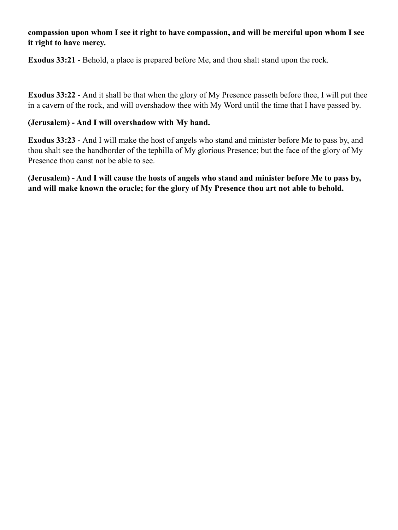### **compassion upon whom I see it right to have compassion, and will be merciful upon whom I see it right to have mercy.**

**Exodus 33:21 -** Behold, a place is prepared before Me, and thou shalt stand upon the rock.

**Exodus 33:22 -** And it shall be that when the glory of My Presence passeth before thee, I will put thee in a cavern of the rock, and will overshadow thee with My Word until the time that I have passed by.

#### **(Jerusalem) - And I will overshadow with My hand.**

**Exodus 33:23 -** And I will make the host of angels who stand and minister before Me to pass by, and thou shalt see the handborder of the tephilla of My glorious Presence; but the face of the glory of My Presence thou canst not be able to see.

**(Jerusalem) - And I will cause the hosts of angels who stand and minister before Me to pass by, and will make known the oracle; for the glory of My Presence thou art not able to behold.**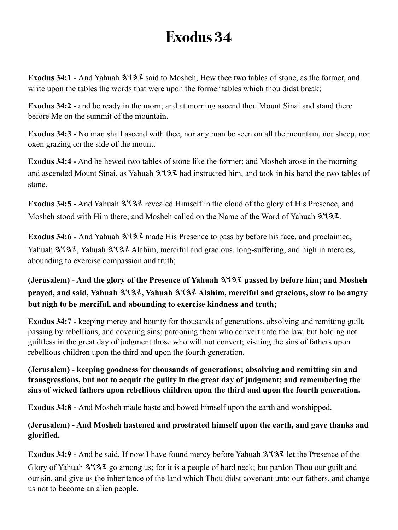Exodus 34:1 - And Yahuah  $3\frac{1}{3}$  said to Mosheh, Hew thee two tables of stone, as the former, and write upon the tables the words that were upon the former tables which thou didst break;

**Exodus 34:2 - and be ready in the morn; and at morning ascend thou Mount Sinai and stand there** before Me on the summit of the mountain.

**Exodus 34:3 -** No man shall ascend with thee, nor any man be seen on all the mountain, nor sheep, nor oxen grazing on the side of the mount.

**Exodus 34:4 -** And he hewed two tables of stone like the former: and Mosheh arose in the morning and ascended Mount Sinai, as Yahuah  $3137$  had instructed him, and took in his hand the two tables of stone.

Exodus 34:5 - And Yahuah  $3\frac{4}{3}\frac{7}{2}$  revealed Himself in the cloud of the glory of His Presence, and Mosheh stood with Him there; and Mosheh called on the Name of the Word of Yahuah  $3\frac{4}{3}$ .

**Exodus 34:6 - And Yahuah**  $3\sqrt{3}$  **made His Presence to pass by before his face, and proclaimed,** Yahuah  $3\sqrt{32}$ , Yahuah  $3\sqrt{32}$  Alahim, merciful and gracious, long-suffering, and nigh in mercies, abounding to exercise compassion and truth;

**(Jerusalem) - And the glory of the Presence of Yahuah passed by before him; and Mosheh prayed, and said, Yahuah**  $3137$ **, Yahuah**  $3137$  **Alahim, merciful and gracious, slow to be angry but nigh to be merciful, and abounding to exercise kindness and truth;**

**Exodus 34:7 -** keeping mercy and bounty for thousands of generations, absolving and remitting guilt, passing by rebellions, and covering sins; pardoning them who convert unto the law, but holding not guiltless in the great day of judgment those who will not convert; visiting the sins of fathers upon rebellious children upon the third and upon the fourth generation.

**(Jerusalem) - keeping goodness for thousands of generations; absolving and remitting sin and transgressions, but not to acquit the guilty in the great day of judgment; and remembering the sins of wicked fathers upon rebellious children upon the third and upon the fourth generation.**

**Exodus 34:8 -** And Mosheh made haste and bowed himself upon the earth and worshipped.

**(Jerusalem) - And Mosheh hastened and prostrated himself upon the earth, and gave thanks and glorified.**

**Exodus 34:9 - And he said, If now I have found mercy before Yahuah**  $3\frac{1}{3}\frac{1}{4}$  **let the Presence of the** Glory of Yahuah  $3\frac{1}{3}$  go among us; for it is a people of hard neck; but pardon Thou our guilt and our sin, and give us the inheritance of the land which Thou didst covenant unto our fathers, and change us not to become an alien people.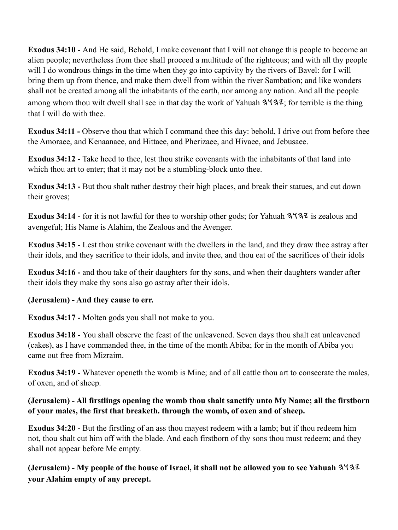**Exodus 34:10 -** And He said, Behold, I make covenant that I will not change this people to become an alien people; nevertheless from thee shall proceed a multitude of the righteous; and with all thy people will I do wondrous things in the time when they go into captivity by the rivers of Bavel: for I will bring them up from thence, and make them dwell from within the river Sambation; and like wonders shall not be created among all the inhabitants of the earth, nor among any nation. And all the people among whom thou wilt dwell shall see in that day the work of Yahuah  $3\frac{4}{3}\cdot\ldots$ ; for terrible is the thing that I will do with thee.

**Exodus 34:11 -** Observe thou that which I command thee this day: behold, I drive out from before thee the Amoraee, and Kenaanaee, and Hittaee, and Pherizaee, and Hivaee, and Jebusaee.

**Exodus 34:12 -** Take heed to thee, lest thou strike covenants with the inhabitants of that land into which thou art to enter; that it may not be a stumbling-block unto thee.

**Exodus 34:13 -** But thou shalt rather destroy their high places, and break their statues, and cut down their groves;

**Exodus 34:14 -** for it is not lawful for thee to worship other gods; for Yahuah  $3\frac{4}{3}\frac{7}{3}\frac{1}{1}$  is zealous and avengeful; His Name is Alahim, the Zealous and the Avenger.

**Exodus 34:15 -** Lest thou strike covenant with the dwellers in the land, and they draw thee astray after their idols, and they sacrifice to their idols, and invite thee, and thou eat of the sacrifices of their idols

**Exodus 34:16 - and thou take of their daughters for thy sons, and when their daughters wander after** their idols they make thy sons also go astray after their idols.

#### **(Jerusalem) - And they cause to err.**

**Exodus 34:17 -** Molten gods you shall not make to you.

**Exodus 34:18 -** You shall observe the feast of the unleavened. Seven days thou shalt eat unleavened (cakes), as I have commanded thee, in the time of the month Abiba; for in the month of Abiba you came out free from Mizraim.

**Exodus 34:19 -** Whatever openeth the womb is Mine; and of all cattle thou art to consecrate the males, of oxen, and of sheep.

### **(Jerusalem) - All firstlings opening the womb thou shalt sanctify unto My Name; all the firstborn of your males, the first that breaketh. through the womb, of oxen and of sheep.**

**Exodus 34:20 -** But the firstling of an ass thou mayest redeem with a lamb; but if thou redeem him not, thou shalt cut him off with the blade. And each firstborn of thy sons thou must redeem; and they shall not appear before Me empty.

**(Jerusalem) - My people of the house of Israel, it shall not be allowed you to see Yahuah your Alahim empty of any precept.**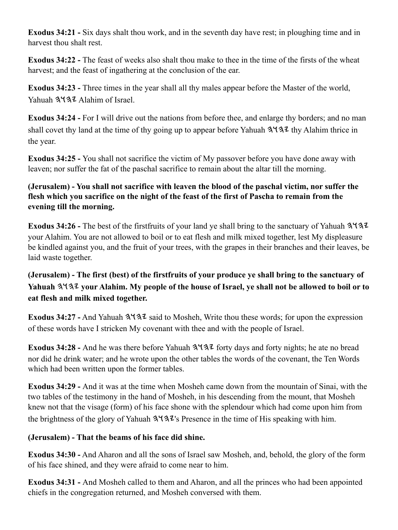**Exodus 34:21 -** Six days shalt thou work, and in the seventh day have rest; in ploughing time and in harvest thou shalt rest.

**Exodus 34:22 -** The feast of weeks also shalt thou make to thee in the time of the firsts of the wheat harvest; and the feast of ingathering at the conclusion of the ear.

**Exodus 34:23 -** Three times in the year shall all thy males appear before the Master of the world, Yahuah 3137 Alahim of Israel.

**Exodus 34:24 -** For I will drive out the nations from before thee, and enlarge thy borders; and no man shall covet thy land at the time of thy going up to appear before Yahuah  $3\frac{1}{3}\frac{1}{3}$  thy Alahim thrice in the year.

**Exodus 34:25 -** You shall not sacrifice the victim of My passover before you have done away with leaven; nor suffer the fat of the paschal sacrifice to remain about the altar till the morning.

## **(Jerusalem) - You shall not sacrifice with leaven the blood of the paschal victim, nor suffer the flesh which you sacrifice on the night of the feast of the first of Pascha to remain from the evening till the morning.**

**Exodus 34:26 -** The best of the firstfruits of your land ye shall bring to the sanctuary of Yahuah your Alahim. You are not allowed to boil or to eat flesh and milk mixed together, lest My displeasure be kindled against you, and the fruit of your trees, with the grapes in their branches and their leaves, be laid waste together.

## **(Jerusalem) - The first (best) of the firstfruits of your produce ye shall bring to the sanctuary of Yahuah your Alahim. My people of the house of Israel, ye shall not be allowed to boil or to eat flesh and milk mixed together.**

**Exodus 34:27 -** And Yahuah  $3\sqrt{3}z$  said to Mosheh, Write thou these words; for upon the expression of these words have I stricken My covenant with thee and with the people of Israel.

Exodus 34:28 - And he was there before Yahuah  $3\frac{4}{3}$  forty days and forty nights; he ate no bread nor did he drink water; and he wrote upon the other tables the words of the covenant, the Ten Words which had been written upon the former tables.

**Exodus 34:29 -** And it was at the time when Mosheh came down from the mountain of Sinai, with the two tables of the testimony in the hand of Mosheh, in his descending from the mount, that Mosheh knew not that the visage (form) of his face shone with the splendour which had come upon him from the brightness of the glory of Yahuah  $3\frac{1}{3}$ 's Presence in the time of His speaking with him.

## **(Jerusalem) - That the beams of his face did shine.**

**Exodus 34:30 -** And Aharon and all the sons of Israel saw Mosheh, and, behold, the glory of the form of his face shined, and they were afraid to come near to him.

**Exodus 34:31 -** And Mosheh called to them and Aharon, and all the princes who had been appointed chiefs in the congregation returned, and Mosheh conversed with them.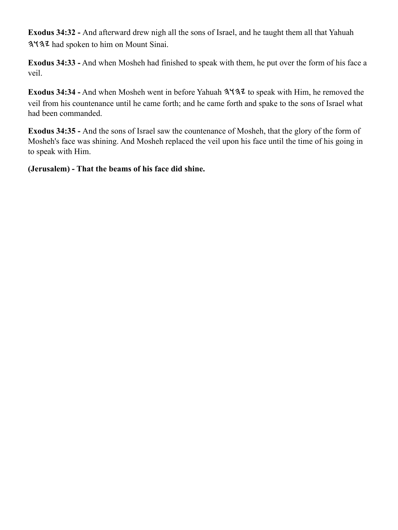**Exodus 34:32 -** And afterward drew nigh all the sons of Israel, and he taught them all that Yahuah had spoken to him on Mount Sinai.

**Exodus 34:33 -** And when Mosheh had finished to speak with them, he put over the form of his face a veil.

Exodus 34:34 - And when Mosheh went in before Yahuah  $3\frac{1}{3}$  to speak with Him, he removed the veil from his countenance until he came forth; and he came forth and spake to the sons of Israel what had been commanded.

**Exodus 34:35 -** And the sons of Israel saw the countenance of Mosheh, that the glory of the form of Mosheh's face was shining. And Mosheh replaced the veil upon his face until the time of his going in to speak with Him.

**(Jerusalem) - That the beams of his face did shine.**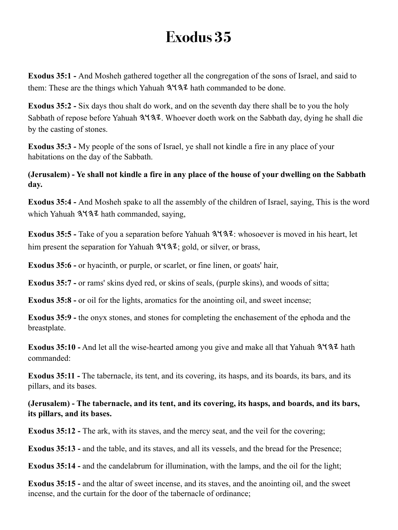**Exodus 35:1 -** And Mosheh gathered together all the congregation of the sons of Israel, and said to them: These are the things which Yahuah  $3\sqrt{3}$  hath commanded to be done.

**Exodus 35:2 -** Six days thou shalt do work, and on the seventh day there shall be to you the holy Sabbath of repose before Yahuah  $3\frac{1}{2}$ . Whoever doeth work on the Sabbath day, dying he shall die by the casting of stones.

**Exodus 35:3 -** My people of the sons of Israel, ye shall not kindle a fire in any place of your habitations on the day of the Sabbath.

**(Jerusalem) - Ye shall not kindle a fire in any place of the house of your dwelling on the Sabbath day.**

**Exodus 35:4 -** And Mosheh spake to all the assembly of the children of Israel, saying, This is the word which Yahuah  $3137$  hath commanded, saying,

**Exodus 35:5 -** Take of you a separation before Yahuah  $3\frac{4}{3}\cdot\ldots$  whosoever is moved in his heart, let him present the separation for Yahuah  $3\overline{4}3\overline{2}$ ; gold, or silver, or brass,

**Exodus 35:6 -** or hyacinth, or purple, or scarlet, or fine linen, or goats' hair,

**Exodus 35:7 -** or rams' skins dyed red, or skins of seals, (purple skins), and woods of sitta;

**Exodus 35:8 -** or oil for the lights, aromatics for the anointing oil, and sweet incense;

**Exodus 35:9 -** the onyx stones, and stones for completing the enchasement of the ephoda and the breastplate.

**Exodus 35:10 -** And let all the wise-hearted among you give and make all that Yahuah  $3\frac{1}{4}$  hath commanded:

**Exodus 35:11 -** The tabernacle, its tent, and its covering, its hasps, and its boards, its bars, and its pillars, and its bases.

**(Jerusalem) - The tabernacle, and its tent, and its covering, its hasps, and boards, and its bars, its pillars, and its bases.**

**Exodus 35:12 -** The ark, with its staves, and the mercy seat, and the veil for the covering;

**Exodus 35:13 -** and the table, and its staves, and all its vessels, and the bread for the Presence;

**Exodus 35:14 -** and the candelabrum for illumination, with the lamps, and the oil for the light;

**Exodus 35:15 -** and the altar of sweet incense, and its staves, and the anointing oil, and the sweet incense, and the curtain for the door of the tabernacle of ordinance;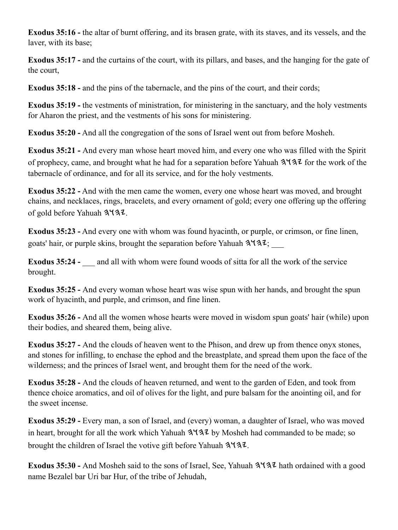**Exodus 35:16 -** the altar of burnt offering, and its brasen grate, with its staves, and its vessels, and the laver, with its base;

**Exodus 35:17 -** and the curtains of the court, with its pillars, and bases, and the hanging for the gate of the court,

**Exodus 35:18 - and the pins of the tabernacle, and the pins of the court, and their cords;** 

**Exodus 35:19 -** the vestments of ministration, for ministering in the sanctuary, and the holy vestments for Aharon the priest, and the vestments of his sons for ministering.

**Exodus 35:20 -** And all the congregation of the sons of Israel went out from before Mosheh.

**Exodus 35:21 -** And every man whose heart moved him, and every one who was filled with the Spirit of prophecy, came, and brought what he had for a separation before Yahuah  $3\frac{1}{3}$  for the work of the tabernacle of ordinance, and for all its service, and for the holy vestments.

**Exodus 35:22 -** And with the men came the women, every one whose heart was moved, and brought chains, and necklaces, rings, bracelets, and every ornament of gold; every one offering up the offering of gold before Yahuah 3437.

**Exodus 35:23 -** And every one with whom was found hyacinth, or purple, or crimson, or fine linen, goats' hair, or purple skins, brought the separation before Yahuah  $3\frac{1}{3}\frac{1}{2}$ ;

**Exodus 35:24 -** \_\_\_ and all with whom were found woods of sitta for all the work of the service brought.

**Exodus 35:25 -** And every woman whose heart was wise spun with her hands, and brought the spun work of hyacinth, and purple, and crimson, and fine linen.

**Exodus 35:26 -** And all the women whose hearts were moved in wisdom spun goats' hair (while) upon their bodies, and sheared them, being alive.

**Exodus 35:27 -** And the clouds of heaven went to the Phison, and drew up from thence onyx stones, and stones for infilling, to enchase the ephod and the breastplate, and spread them upon the face of the wilderness; and the princes of Israel went, and brought them for the need of the work.

**Exodus 35:28 -** And the clouds of heaven returned, and went to the garden of Eden, and took from thence choice aromatics, and oil of olives for the light, and pure balsam for the anointing oil, and for the sweet incense.

**Exodus 35:29 -** Every man, a son of Israel, and (every) woman, a daughter of Israel, who was moved in heart, brought for all the work which Yahuah  $3\overline{4}3\overline{2}$  by Mosheh had commanded to be made; so brought the children of Israel the votive gift before Yahuah  $3137$ .

Exodus 35:30 - And Mosheh said to the sons of Israel, See, Yahuah  $3\frac{4}{3}\frac{7}{4}$  hath ordained with a good name Bezalel bar Uri bar Hur, of the tribe of Jehudah,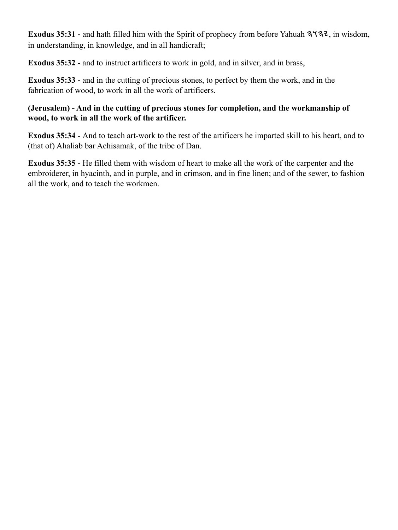**Exodus 35:31 -** and hath filled him with the Spirit of prophecy from before Yahuah  $3\frac{4}{3}\frac{7}{3}\frac{7}{9}$ , in wisdom, in understanding, in knowledge, and in all handicraft;

**Exodus 35:32 -** and to instruct artificers to work in gold, and in silver, and in brass,

**Exodus 35:33 -** and in the cutting of precious stones, to perfect by them the work, and in the fabrication of wood, to work in all the work of artificers.

### **(Jerusalem) - And in the cutting of precious stones for completion, and the workmanship of wood, to work in all the work of the artificer.**

**Exodus 35:34 -** And to teach art-work to the rest of the artificers he imparted skill to his heart, and to (that of) Ahaliab bar Achisamak, of the tribe of Dan.

**Exodus 35:35 -** He filled them with wisdom of heart to make all the work of the carpenter and the embroiderer, in hyacinth, and in purple, and in crimson, and in fine linen; and of the sewer, to fashion all the work, and to teach the workmen.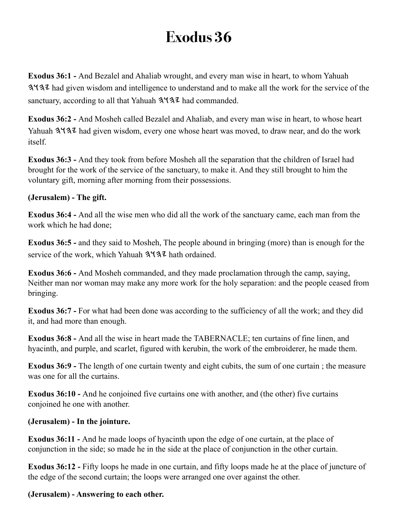**Exodus 36:1 -** And Bezalel and Ahaliab wrought, and every man wise in heart, to whom Yahuah had given wisdom and intelligence to understand and to make all the work for the service of the sanctuary, according to all that Yahuah  $3\frac{4}{3}\ell$  had commanded.

**Exodus 36:2 -** And Mosheh called Bezalel and Ahaliab, and every man wise in heart, to whose heart Yahuah  $3\sqrt{32}$  had given wisdom, every one whose heart was moved, to draw near, and do the work itself.

**Exodus 36:3 -** And they took from before Mosheh all the separation that the children of Israel had brought for the work of the service of the sanctuary, to make it. And they still brought to him the voluntary gift, morning after morning from their possessions.

### **(Jerusalem) - The gift.**

**Exodus 36:4 -** And all the wise men who did all the work of the sanctuary came, each man from the work which he had done;

**Exodus 36:5 -** and they said to Mosheh, The people abound in bringing (more) than is enough for the service of the work, which Yahuah  $3\sqrt{3}$  hath ordained.

**Exodus 36:6 -** And Mosheh commanded, and they made proclamation through the camp, saying, Neither man nor woman may make any more work for the holy separation: and the people ceased from bringing.

**Exodus 36:7 -** For what had been done was according to the sufficiency of all the work; and they did it, and had more than enough.

**Exodus 36:8 -** And all the wise in heart made the TABERNACLE; ten curtains of fine linen, and hyacinth, and purple, and scarlet, figured with kerubin, the work of the embroiderer, he made them.

**Exodus 36:9 -** The length of one curtain twenty and eight cubits, the sum of one curtain ; the measure was one for all the curtains.

**Exodus 36:10 -** And he conjoined five curtains one with another, and (the other) five curtains conjoined he one with another.

### **(Jerusalem) - In the jointure.**

**Exodus 36:11 -** And he made loops of hyacinth upon the edge of one curtain, at the place of conjunction in the side; so made he in the side at the place of conjunction in the other curtain.

**Exodus 36:12 -** Fifty loops he made in one curtain, and fifty loops made he at the place of juncture of the edge of the second curtain; the loops were arranged one over against the other.

### **(Jerusalem) - Answering to each other.**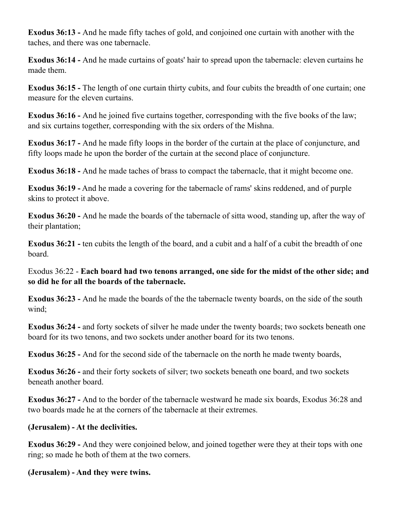**Exodus 36:13 -** And he made fifty taches of gold, and conjoined one curtain with another with the taches, and there was one tabernacle.

**Exodus 36:14 -** And he made curtains of goats' hair to spread upon the tabernacle: eleven curtains he made them.

**Exodus 36:15 -** The length of one curtain thirty cubits, and four cubits the breadth of one curtain; one measure for the eleven curtains.

**Exodus 36:16 -** And he joined five curtains together, corresponding with the five books of the law; and six curtains together, corresponding with the six orders of the Mishna.

**Exodus 36:17 -** And he made fifty loops in the border of the curtain at the place of conjuncture, and fifty loops made he upon the border of the curtain at the second place of conjuncture.

**Exodus 36:18 -** And he made taches of brass to compact the tabernacle, that it might become one.

**Exodus 36:19 -** And he made a covering for the tabernacle of rams' skins reddened, and of purple skins to protect it above.

**Exodus 36:20 -** And he made the boards of the tabernacle of sitta wood, standing up, after the way of their plantation;

**Exodus 36:21 -** ten cubits the length of the board, and a cubit and a half of a cubit the breadth of one board.

Exodus 36:22 - **Each board had two tenons arranged, one side for the midst of the other side; and so did he for all the boards of the tabernacle.**

**Exodus 36:23 -** And he made the boards of the the tabernacle twenty boards, on the side of the south wind;

**Exodus 36:24 -** and forty sockets of silver he made under the twenty boards; two sockets beneath one board for its two tenons, and two sockets under another board for its two tenons.

**Exodus 36:25 -** And for the second side of the tabernacle on the north he made twenty boards,

**Exodus 36:26 -** and their forty sockets of silver; two sockets beneath one board, and two sockets beneath another board.

**Exodus 36:27 -** And to the border of the tabernacle westward he made six boards, Exodus 36:28 and two boards made he at the corners of the tabernacle at their extremes.

#### **(Jerusalem) - At the declivities.**

**Exodus 36:29 -** And they were conjoined below, and joined together were they at their tops with one ring; so made he both of them at the two corners.

**(Jerusalem) - And they were twins.**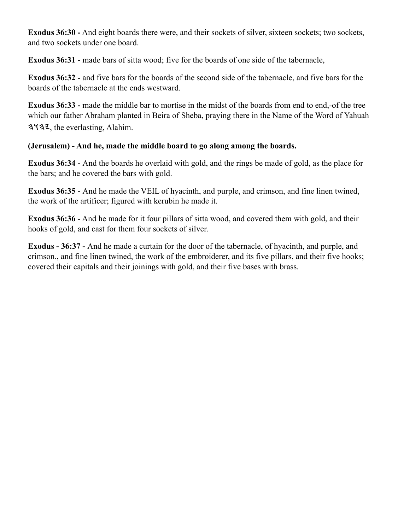**Exodus 36:30 -** And eight boards there were, and their sockets of silver, sixteen sockets; two sockets, and two sockets under one board.

**Exodus 36:31 - made bars of sitta wood; five for the boards of one side of the tabernacle,** 

**Exodus 36:32 -** and five bars for the boards of the second side of the tabernacle, and five bars for the boards of the tabernacle at the ends westward.

**Exodus 36:33 - made the middle bar to mortise in the midst of the boards from end to end,-of the tree** which our father Abraham planted in Beira of Sheba, praying there in the Name of the Word of Yahuah 3437, the everlasting, Alahim.

### **(Jerusalem) - And he, made the middle board to go along among the boards.**

**Exodus 36:34 -** And the boards he overlaid with gold, and the rings be made of gold, as the place for the bars; and he covered the bars with gold.

**Exodus 36:35 -** And he made the VEIL of hyacinth, and purple, and crimson, and fine linen twined, the work of the artificer; figured with kerubin he made it.

**Exodus 36:36 -** And he made for it four pillars of sitta wood, and covered them with gold, and their hooks of gold, and cast for them four sockets of silver.

**Exodus - 36:37 -** And he made a curtain for the door of the tabernacle, of hyacinth, and purple, and crimson., and fine linen twined, the work of the embroiderer, and its five pillars, and their five hooks; covered their capitals and their joinings with gold, and their five bases with brass.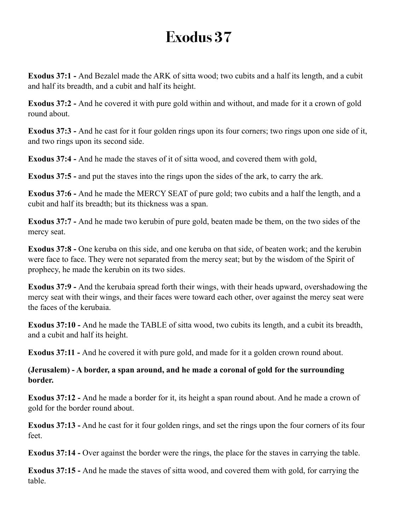**Exodus 37:1 -** And Bezalel made the ARK of sitta wood; two cubits and a half its length, and a cubit and half its breadth, and a cubit and half its height.

**Exodus 37:2 -** And he covered it with pure gold within and without, and made for it a crown of gold round about.

**Exodus 37:3 -** And he cast for it four golden rings upon its four corners; two rings upon one side of it, and two rings upon its second side.

**Exodus 37:4 -** And he made the staves of it of sitta wood, and covered them with gold,

**Exodus 37:5 -** and put the staves into the rings upon the sides of the ark, to carry the ark.

**Exodus 37:6 -** And he made the MERCY SEAT of pure gold; two cubits and a half the length, and a cubit and half its breadth; but its thickness was a span.

**Exodus 37:7 -** And he made two kerubin of pure gold, beaten made be them, on the two sides of the mercy seat.

**Exodus 37:8 -** One keruba on this side, and one keruba on that side, of beaten work; and the kerubin were face to face. They were not separated from the mercy seat; but by the wisdom of the Spirit of prophecy, he made the kerubin on its two sides.

**Exodus 37:9 -** And the kerubaia spread forth their wings, with their heads upward, overshadowing the mercy seat with their wings, and their faces were toward each other, over against the mercy seat were the faces of the kerubaia.

**Exodus 37:10 -** And he made the TABLE of sitta wood, two cubits its length, and a cubit its breadth, and a cubit and half its height.

**Exodus 37:11 -** And he covered it with pure gold, and made for it a golden crown round about.

**(Jerusalem) - A border, a span around, and he made a coronal of gold for the surrounding border.**

**Exodus 37:12 -** And he made a border for it, its height a span round about. And he made a crown of gold for the border round about.

**Exodus 37:13 -** And he cast for it four golden rings, and set the rings upon the four corners of its four feet.

**Exodus 37:14 -** Over against the border were the rings, the place for the staves in carrying the table.

**Exodus 37:15 -** And he made the staves of sitta wood, and covered them with gold, for carrying the table.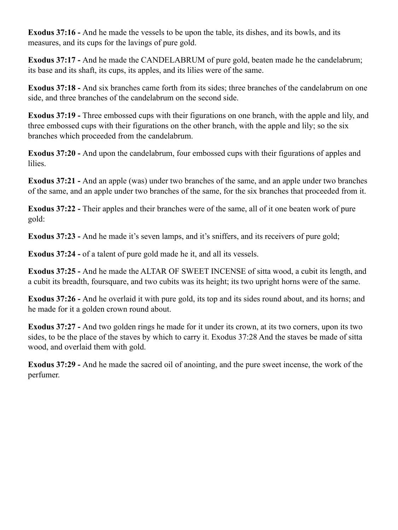**Exodus 37:16 -** And he made the vessels to be upon the table, its dishes, and its bowls, and its measures, and its cups for the lavings of pure gold.

**Exodus 37:17 -** And he made the CANDELABRUM of pure gold, beaten made he the candelabrum; its base and its shaft, its cups, its apples, and its lilies were of the same.

**Exodus 37:18 -** And six branches came forth from its sides; three branches of the candelabrum on one side, and three branches of the candelabrum on the second side.

**Exodus 37:19 -** Three embossed cups with their figurations on one branch, with the apple and lily, and three embossed cups with their figurations on the other branch, with the apple and lily; so the six branches which proceeded from the candelabrum.

**Exodus 37:20 -** And upon the candelabrum, four embossed cups with their figurations of apples and lilies.

**Exodus 37:21 -** And an apple (was) under two branches of the same, and an apple under two branches of the same, and an apple under two branches of the same, for the six branches that proceeded from it.

**Exodus 37:22 -** Their apples and their branches were of the same, all of it one beaten work of pure gold:

**Exodus 37:23 -** And he made it's seven lamps, and it's sniffers, and its receivers of pure gold;

**Exodus 37:24 -** of a talent of pure gold made he it, and all its vessels.

**Exodus 37:25 -** And he made the ALTAR OF SWEET INCENSE of sitta wood, a cubit its length, and a cubit its breadth, foursquare, and two cubits was its height; its two upright horns were of the same.

**Exodus 37:26 -** And he overlaid it with pure gold, its top and its sides round about, and its horns; and he made for it a golden crown round about.

**Exodus 37:27 -** And two golden rings he made for it under its crown, at its two corners, upon its two sides, to be the place of the staves by which to carry it. Exodus 37:28 And the staves be made of sitta wood, and overlaid them with gold.

**Exodus 37:29 -** And he made the sacred oil of anointing, and the pure sweet incense, the work of the perfumer.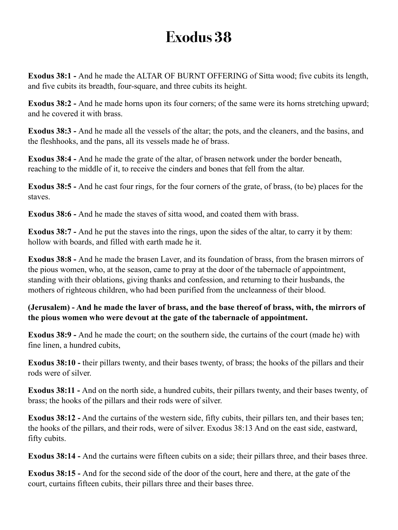**Exodus 38:1 -** And he made the ALTAR OF BURNT OFFERING of Sitta wood; five cubits its length, and five cubits its breadth, four-square, and three cubits its height.

**Exodus 38:2 -** And he made horns upon its four corners; of the same were its horns stretching upward; and he covered it with brass.

**Exodus 38:3 -** And he made all the vessels of the altar; the pots, and the cleaners, and the basins, and the fleshhooks, and the pans, all its vessels made he of brass.

**Exodus 38:4 -** And he made the grate of the altar, of brasen network under the border beneath, reaching to the middle of it, to receive the cinders and bones that fell from the altar.

**Exodus 38:5 -** And he cast four rings, for the four corners of the grate, of brass, (to be) places for the staves.

**Exodus 38:6 -** And he made the staves of sitta wood, and coated them with brass.

**Exodus 38:7 -** And he put the staves into the rings, upon the sides of the altar, to carry it by them: hollow with boards, and filled with earth made he it.

**Exodus 38:8 -** And he made the brasen Laver, and its foundation of brass, from the brasen mirrors of the pious women, who, at the season, came to pray at the door of the tabernacle of appointment, standing with their oblations, giving thanks and confession, and returning to their husbands, the mothers of righteous children, who had been purified from the uncleanness of their blood.

**(Jerusalem) - And he made the laver of brass, and the base thereof of brass, with, the mirrors of the pious women who were devout at the gate of the tabernacle of appointment.**

**Exodus 38:9 -** And he made the court; on the southern side, the curtains of the court (made he) with fine linen, a hundred cubits,

**Exodus 38:10 - their pillars twenty, and their bases twenty, of brass; the hooks of the pillars and their** rods were of silver.

**Exodus 38:11 -** And on the north side, a hundred cubits, their pillars twenty, and their bases twenty, of brass; the hooks of the pillars and their rods were of silver.

**Exodus 38:12 -** And the curtains of the western side, fifty cubits, their pillars ten, and their bases ten; the hooks of the pillars, and their rods, were of silver. Exodus 38:13 And on the east side, eastward, fifty cubits.

**Exodus 38:14 -** And the curtains were fifteen cubits on a side; their pillars three, and their bases three.

**Exodus 38:15 -** And for the second side of the door of the court, here and there, at the gate of the court, curtains fifteen cubits, their pillars three and their bases three.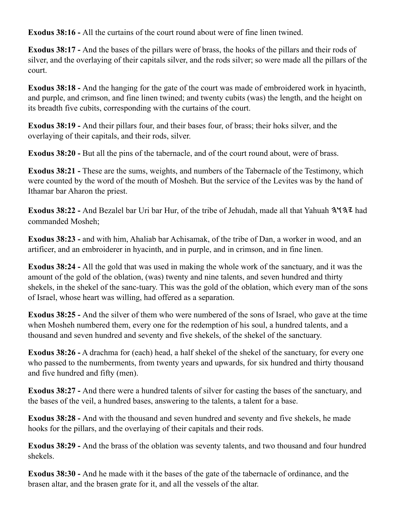**Exodus 38:16 -** All the curtains of the court round about were of fine linen twined.

**Exodus 38:17 -** And the bases of the pillars were of brass, the hooks of the pillars and their rods of silver, and the overlaying of their capitals silver, and the rods silver; so were made all the pillars of the court.

**Exodus 38:18 -** And the hanging for the gate of the court was made of embroidered work in hyacinth, and purple, and crimson, and fine linen twined; and twenty cubits (was) the length, and the height on its breadth five cubits, corresponding with the curtains of the court.

**Exodus 38:19 -** And their pillars four, and their bases four, of brass; their hoks silver, and the overlaying of their capitals, and their rods, silver.

**Exodus 38:20 -** But all the pins of the tabernacle, and of the court round about, were of brass.

**Exodus 38:21 -** These are the sums, weights, and numbers of the Tabernacle of the Testimony, which were counted by the word of the mouth of Mosheh. But the service of the Levites was by the hand of Ithamar bar Aharon the priest.

**Exodus 38:22 - And Bezalel bar Uri bar Hur, of the tribe of Jehudah, made all that Yahuah 3437 had** commanded Mosheh;

**Exodus 38:23 -** and with him, Ahaliab bar Achisamak, of the tribe of Dan, a worker in wood, and an artificer, and an embroiderer in hyacinth, and in purple, and in crimson, and in fine linen.

**Exodus 38:24 -** All the gold that was used in making the whole work of the sanctuary, and it was the amount of the gold of the oblation, (was) twenty and nine talents, and seven hundred and thirty shekels, in the shekel of the sanc-tuary. This was the gold of the oblation, which every man of the sons of Israel, whose heart was willing, had offered as a separation.

**Exodus 38:25 -** And the silver of them who were numbered of the sons of Israel, who gave at the time when Mosheh numbered them, every one for the redemption of his soul, a hundred talents, and a thousand and seven hundred and seventy and five shekels, of the shekel of the sanctuary.

**Exodus 38:26 -** A drachma for (each) head, a half shekel of the shekel of the sanctuary, for every one who passed to the numberments, from twenty years and upwards, for six hundred and thirty thousand and five hundred and fifty (men).

**Exodus 38:27 -** And there were a hundred talents of silver for casting the bases of the sanctuary, and the bases of the veil, a hundred bases, answering to the talents, a talent for a base.

**Exodus 38:28 -** And with the thousand and seven hundred and seventy and five shekels, he made hooks for the pillars, and the overlaying of their capitals and their rods.

**Exodus 38:29 -** And the brass of the oblation was seventy talents, and two thousand and four hundred shekels.

**Exodus 38:30 -** And he made with it the bases of the gate of the tabernacle of ordinance, and the brasen altar, and the brasen grate for it, and all the vessels of the altar.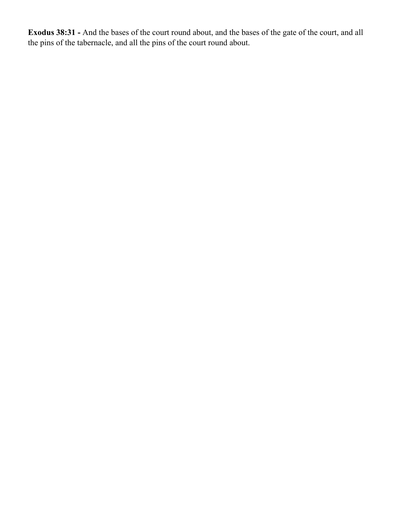**Exodus 38:31 -** And the bases of the court round about, and the bases of the gate of the court, and all the pins of the tabernacle, and all the pins of the court round about.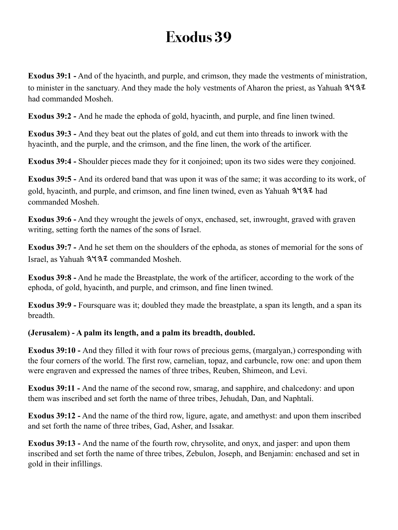**Exodus 39:1 -** And of the hyacinth, and purple, and crimson, they made the vestments of ministration, to minister in the sanctuary. And they made the holy vestments of Aharon the priest, as Yahuah 3.437 had commanded Mosheh.

**Exodus 39:2 -** And he made the ephoda of gold, hyacinth, and purple, and fine linen twined.

**Exodus 39:3 -** And they beat out the plates of gold, and cut them into threads to inwork with the hyacinth, and the purple, and the crimson, and the fine linen, the work of the artificer.

**Exodus 39:4 -** Shoulder pieces made they for it conjoined; upon its two sides were they conjoined.

**Exodus 39:5 -** And its ordered band that was upon it was of the same; it was according to its work, of gold, hyacinth, and purple, and crimson, and fine linen twined, even as Yahuah  $3\frac{1}{3}$  had commanded Mosheh.

**Exodus 39:6 -** And they wrought the jewels of onyx, enchased, set, inwrought, graved with graven writing, setting forth the names of the sons of Israel.

**Exodus 39:7 -** And he set them on the shoulders of the ephoda, as stones of memorial for the sons of Israel, as Yahuah 3137 commanded Mosheh.

**Exodus 39:8 -** And he made the Breastplate, the work of the artificer, according to the work of the ephoda, of gold, hyacinth, and purple, and crimson, and fine linen twined.

**Exodus 39:9 -** Foursquare was it; doubled they made the breastplate, a span its length, and a span its breadth.

### **(Jerusalem) - A palm its length, and a palm its breadth, doubled.**

**Exodus 39:10 -** And they filled it with four rows of precious gems, (margalyan,) corresponding with the four corners of the world. The first row, carnelian, topaz, and carbuncle, row one: and upon them were engraven and expressed the names of three tribes, Reuben, Shimeon, and Levi.

**Exodus 39:11 -** And the name of the second row, smarag, and sapphire, and chalcedony: and upon them was inscribed and set forth the name of three tribes, Jehudah, Dan, and Naphtali.

**Exodus 39:12 -** And the name of the third row, ligure, agate, and amethyst: and upon them inscribed and set forth the name of three tribes, Gad, Asher, and Issakar.

**Exodus 39:13 -** And the name of the fourth row, chrysolite, and onyx, and jasper: and upon them inscribed and set forth the name of three tribes, Zebulon, Joseph, and Benjamin: enchased and set in gold in their infillings.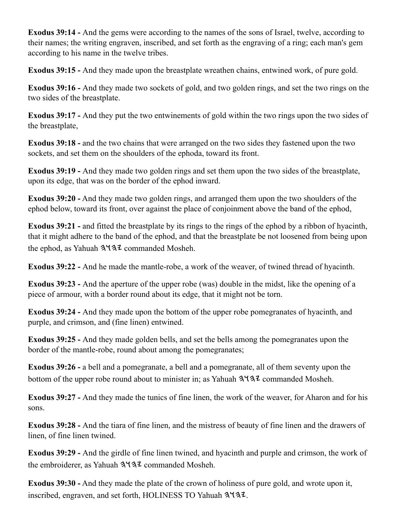**Exodus 39:14 -** And the gems were according to the names of the sons of Israel, twelve, according to their names; the writing engraven, inscribed, and set forth as the engraving of a ring; each man's gem according to his name in the twelve tribes.

**Exodus 39:15 -** And they made upon the breastplate wreathen chains, entwined work, of pure gold.

**Exodus 39:16 -** And they made two sockets of gold, and two golden rings, and set the two rings on the two sides of the breastplate.

**Exodus 39:17 -** And they put the two entwinements of gold within the two rings upon the two sides of the breastplate,

**Exodus 39:18 -** and the two chains that were arranged on the two sides they fastened upon the two sockets, and set them on the shoulders of the ephoda, toward its front.

**Exodus 39:19 -** And they made two golden rings and set them upon the two sides of the breastplate, upon its edge, that was on the border of the ephod inward.

**Exodus 39:20 -** And they made two golden rings, and arranged them upon the two shoulders of the ephod below, toward its front, over against the place of conjoinment above the band of the ephod,

**Exodus 39:21 - and fitted the breastplate by its rings to the rings of the ephod by a ribbon of hyacinth,** that it might adhere to the band of the ephod, and that the breastplate be not loosened from being upon the ephod, as Yahuah  $3\frac{4}{3}$  commanded Mosheh.

**Exodus 39:22 -** And he made the mantle-robe, a work of the weaver, of twined thread of hyacinth.

**Exodus 39:23 -** And the aperture of the upper robe (was) double in the midst, like the opening of a piece of armour, with a border round about its edge, that it might not be torn.

**Exodus 39:24 -** And they made upon the bottom of the upper robe pomegranates of hyacinth, and purple, and crimson, and (fine linen) entwined.

**Exodus 39:25 -** And they made golden bells, and set the bells among the pomegranates upon the border of the mantle-robe, round about among the pomegranates;

**Exodus 39:26 -** a bell and a pomegranate, a bell and a pomegranate, all of them seventy upon the bottom of the upper robe round about to minister in; as Yahuah  $3\frac{1}{3}$  commanded Mosheh.

**Exodus 39:27 -** And they made the tunics of fine linen, the work of the weaver, for Aharon and for his sons.

**Exodus 39:28 -** And the tiara of fine linen, and the mistress of beauty of fine linen and the drawers of linen, of fine linen twined.

**Exodus 39:29 -** And the girdle of fine linen twined, and hyacinth and purple and crimson, the work of the embroiderer, as Yahuah  $3\sqrt{3}$  commanded Mosheh.

**Exodus 39:30 -** And they made the plate of the crown of holiness of pure gold, and wrote upon it, inscribed, engraven, and set forth, HOLINESS TO Yahuah 3437.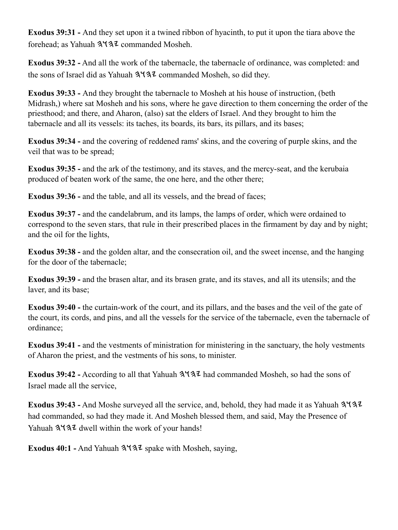**Exodus 39:31 -** And they set upon it a twined ribbon of hyacinth, to put it upon the tiara above the forehead: as Yahuah  $3137$  commanded Mosheh.

**Exodus 39:32 -** And all the work of the tabernacle, the tabernacle of ordinance, was completed: and the sons of Israel did as Yahuah  $3\frac{4}{3}\frac{7}{2}$  commanded Mosheh, so did they.

**Exodus 39:33 -** And they brought the tabernacle to Mosheh at his house of instruction, (beth Midrash,) where sat Mosheh and his sons, where he gave direction to them concerning the order of the priesthood; and there, and Aharon, (also) sat the elders of Israel. And they brought to him the tabernacle and all its vessels: its taches, its boards, its bars, its pillars, and its bases;

**Exodus 39:34 -** and the covering of reddened rams' skins, and the covering of purple skins, and the veil that was to be spread;

**Exodus 39:35 -** and the ark of the testimony, and its staves, and the mercy-seat, and the kerubaia produced of beaten work of the same, the one here, and the other there;

**Exodus 39:36 - and the table, and all its vessels, and the bread of faces;** 

**Exodus 39:37 -** and the candelabrum, and its lamps, the lamps of order, which were ordained to correspond to the seven stars, that rule in their prescribed places in the firmament by day and by night; and the oil for the lights,

**Exodus 39:38 -** and the golden altar, and the consecration oil, and the sweet incense, and the hanging for the door of the tabernacle;

**Exodus 39:39 -** and the brasen altar, and its brasen grate, and its staves, and all its utensils; and the laver, and its base;

**Exodus 39:40 -** the curtain-work of the court, and its pillars, and the bases and the veil of the gate of the court, its cords, and pins, and all the vessels for the service of the tabernacle, even the tabernacle of ordinance;

**Exodus 39:41 -** and the vestments of ministration for ministering in the sanctuary, the holy vestments of Aharon the priest, and the vestments of his sons, to minister.

**Exodus 39:42 -** According to all that Yahuah  $3\frac{4}{3}\frac{4}{3}\frac{1}{3}$  had commanded Mosheh, so had the sons of Israel made all the service,

**Exodus 39:43 -** And Moshe surveyed all the service, and, behold, they had made it as Yahuah had commanded, so had they made it. And Mosheh blessed them, and said, May the Presence of Yahuah 3137 dwell within the work of your hands!

**Exodus 40:1 -** And Yahuah  $3\sqrt{32}$  spake with Mosheh, saying,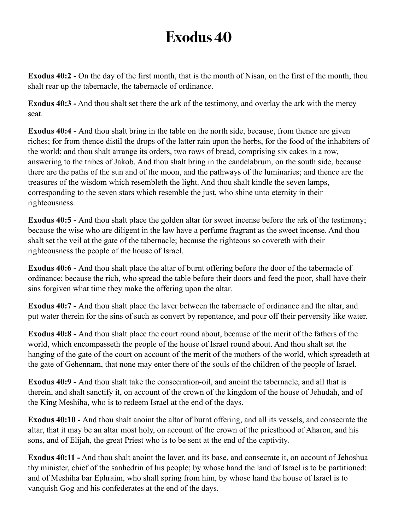**Exodus 40:2 -** On the day of the first month, that is the month of Nisan, on the first of the month, thou shalt rear up the tabernacle, the tabernacle of ordinance.

**Exodus 40:3 -** And thou shalt set there the ark of the testimony, and overlay the ark with the mercy seat.

**Exodus 40:4 -** And thou shalt bring in the table on the north side, because, from thence are given riches; for from thence distil the drops of the latter rain upon the herbs, for the food of the inhabiters of the world; and thou shalt arrange its orders, two rows of bread, comprising six cakes in a row, answering to the tribes of Jakob. And thou shalt bring in the candelabrum, on the south side, because there are the paths of the sun and of the moon, and the pathways of the luminaries; and thence are the treasures of the wisdom which resembleth the light. And thou shalt kindle the seven lamps, corresponding to the seven stars which resemble the just, who shine unto eternity in their righteousness.

**Exodus 40:5 -** And thou shalt place the golden altar for sweet incense before the ark of the testimony; because the wise who are diligent in the law have a perfume fragrant as the sweet incense. And thou shalt set the veil at the gate of the tabernacle; because the righteous so covereth with their righteousness the people of the house of Israel.

**Exodus 40:6 -** And thou shalt place the altar of burnt offering before the door of the tabernacle of ordinance; because the rich, who spread the table before their doors and feed the poor, shall have their sins forgiven what time they make the offering upon the altar.

**Exodus 40:7 -** And thou shalt place the laver between the tabernacle of ordinance and the altar, and put water therein for the sins of such as convert by repentance, and pour off their perversity like water.

**Exodus 40:8 -** And thou shalt place the court round about, because of the merit of the fathers of the world, which encompasseth the people of the house of Israel round about. And thou shalt set the hanging of the gate of the court on account of the merit of the mothers of the world, which spreadeth at the gate of Gehennam, that none may enter there of the souls of the children of the people of Israel.

**Exodus 40:9 -** And thou shalt take the consecration-oil, and anoint the tabernacle, and all that is therein, and shalt sanctify it, on account of the crown of the kingdom of the house of Jehudah, and of the King Meshiha, who is to redeem Israel at the end of the days.

**Exodus 40:10 -** And thou shalt anoint the altar of burnt offering, and all its vessels, and consecrate the altar, that it may be an altar most holy, on account of the crown of the priesthood of Aharon, and his sons, and of Elijah, the great Priest who is to be sent at the end of the captivity.

**Exodus 40:11 -** And thou shalt anoint the laver, and its base, and consecrate it, on account of Jehoshua thy minister, chief of the sanhedrin of his people; by whose hand the land of Israel is to be partitioned: and of Meshiha bar Ephraim, who shall spring from him, by whose hand the house of Israel is to vanquish Gog and his confederates at the end of the days.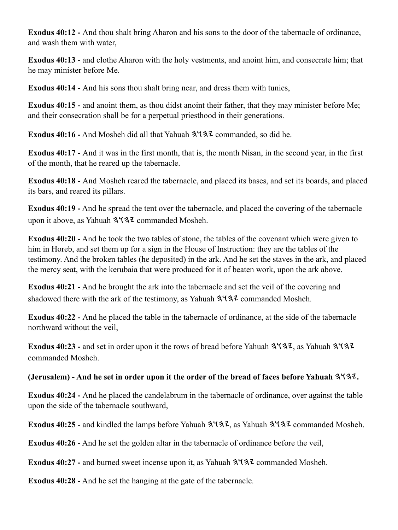**Exodus 40:12 -** And thou shalt bring Aharon and his sons to the door of the tabernacle of ordinance, and wash them with water,

**Exodus 40:13 -** and clothe Aharon with the holy vestments, and anoint him, and consecrate him; that he may minister before Me.

**Exodus 40:14 -** And his sons thou shalt bring near, and dress them with tunics,

**Exodus 40:15 -** and anoint them, as thou didst anoint their father, that they may minister before Me; and their consecration shall be for a perpetual priesthood in their generations.

**Exodus 40:16 -** And Mosheh did all that Yahuah  $3\sqrt{3}$  commanded, so did he.

**Exodus 40:17 -** And it was in the first month, that is, the month Nisan, in the second year, in the first of the month, that he reared up the tabernacle.

**Exodus 40:18 -** And Mosheh reared the tabernacle, and placed its bases, and set its boards, and placed its bars, and reared its pillars.

**Exodus 40:19 -** And he spread the tent over the tabernacle, and placed the covering of the tabernacle upon it above, as Yahuah 3137 commanded Mosheh.

**Exodus 40:20 -** And he took the two tables of stone, the tables of the covenant which were given to him in Horeb, and set them up for a sign in the House of Instruction: they are the tables of the testimony. And the broken tables (he deposited) in the ark. And he set the staves in the ark, and placed the mercy seat, with the kerubaia that were produced for it of beaten work, upon the ark above.

**Exodus 40:21 -** And he brought the ark into the tabernacle and set the veil of the covering and shadowed there with the ark of the testimony, as Yahuah  $3\frac{1}{3}$  commanded Mosheh.

**Exodus 40:22 -** And he placed the table in the tabernacle of ordinance, at the side of the tabernacle northward without the veil,

**Exodus 40:23 -** and set in order upon it the rows of bread before Yahuah  $3\sqrt{32}$ , as Yahuah  $3\sqrt{32}$ commanded Mosheh.

**(Jerusalem) - And he set in order upon it the order of the bread of faces before Yahuah .**

**Exodus 40:24 -** And he placed the candelabrum in the tabernacle of ordinance, over against the table upon the side of the tabernacle southward,

Exodus 40:25 - and kindled the lamps before Yahuah  $3\frac{4}{3}$ , as Yahuah  $3\frac{4}{3}$  commanded Mosheh.

**Exodus 40:26 -** And he set the golden altar in the tabernacle of ordinance before the veil,

**Exodus 40:27 -** and burned sweet incense upon it, as Yahuah  $3\frac{4}{3}\frac{2}{\sqrt{2}}$  commanded Mosheh.

**Exodus 40:28 -** And he set the hanging at the gate of the tabernacle.